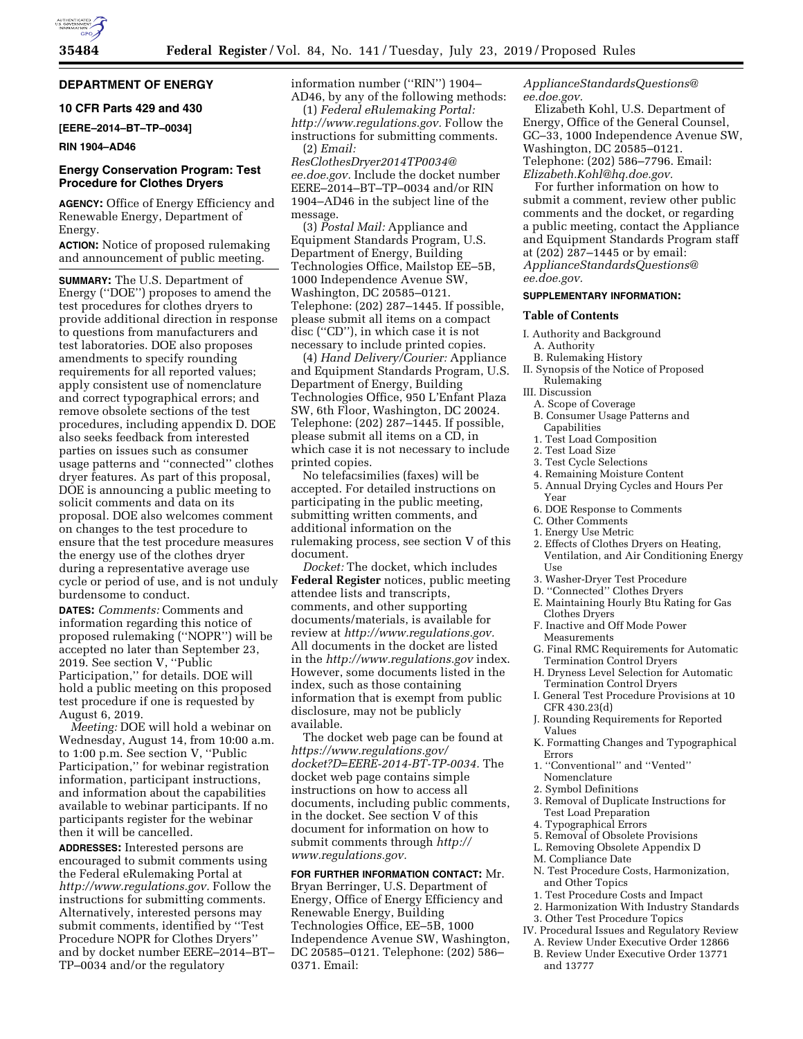# **DEPARTMENT OF ENERGY**

# **10 CFR Parts 429 and 430**

**[EERE–2014–BT–TP–0034]** 

#### **RIN 1904–AD46**

### **Energy Conservation Program: Test Procedure for Clothes Dryers**

**AGENCY:** Office of Energy Efficiency and Renewable Energy, Department of Energy.

**ACTION:** Notice of proposed rulemaking and announcement of public meeting.

**SUMMARY:** The U.S. Department of Energy (''DOE'') proposes to amend the test procedures for clothes dryers to provide additional direction in response to questions from manufacturers and test laboratories. DOE also proposes amendments to specify rounding requirements for all reported values; apply consistent use of nomenclature and correct typographical errors; and remove obsolete sections of the test procedures, including appendix D. DOE also seeks feedback from interested parties on issues such as consumer usage patterns and ''connected'' clothes dryer features. As part of this proposal, DOE is announcing a public meeting to solicit comments and data on its proposal. DOE also welcomes comment on changes to the test procedure to ensure that the test procedure measures the energy use of the clothes dryer during a representative average use cycle or period of use, and is not unduly burdensome to conduct.

**DATES:** *Comments:* Comments and information regarding this notice of proposed rulemaking (''NOPR'') will be accepted no later than September 23, 2019. See section V, ''Public Participation,'' for details. DOE will hold a public meeting on this proposed test procedure if one is requested by August 6, 2019.

*Meeting:* DOE will hold a webinar on Wednesday, August 14, from 10:00 a.m. to 1:00 p.m. See section V, ''Public Participation,'' for webinar registration information, participant instructions, and information about the capabilities available to webinar participants. If no participants register for the webinar then it will be cancelled.

**ADDRESSES:** Interested persons are encouraged to submit comments using the Federal eRulemaking Portal at *[http://www.regulations.gov.](http://www.regulations.gov)* Follow the instructions for submitting comments. Alternatively, interested persons may submit comments, identified by ''Test Procedure NOPR for Clothes Dryers'' and by docket number EERE–2014–BT– TP–0034 and/or the regulatory

information number (''RIN'') 1904– AD46, by any of the following methods:

(1) *Federal eRulemaking Portal: [http://www.regulations.gov.](http://www.regulations.gov)* Follow the instructions for submitting comments. (2) *Email:* 

*[ResClothesDryer2014TP0034@](mailto:ResClothesDryer2014TP0034@ee.doe.gov) [ee.doe.gov.](mailto:ResClothesDryer2014TP0034@ee.doe.gov)* Include the docket number EERE–2014–BT–TP–0034 and/or RIN 1904–AD46 in the subject line of the message.

(3) *Postal Mail:* Appliance and Equipment Standards Program, U.S. Department of Energy, Building Technologies Office, Mailstop EE–5B, 1000 Independence Avenue SW, Washington, DC 20585–0121. Telephone: (202) 287–1445. If possible, please submit all items on a compact disc (''CD''), in which case it is not necessary to include printed copies.

(4) *Hand Delivery/Courier:* Appliance and Equipment Standards Program, U.S. Department of Energy, Building Technologies Office, 950 L'Enfant Plaza SW, 6th Floor, Washington, DC 20024. Telephone: (202) 287–1445. If possible, please submit all items on a CD, in which case it is not necessary to include printed copies.

No telefacsimilies (faxes) will be accepted. For detailed instructions on participating in the public meeting, submitting written comments, and additional information on the rulemaking process, see section V of this document.

*Docket:* The docket, which includes **Federal Register** notices, public meeting attendee lists and transcripts, comments, and other supporting documents/materials, is available for review at *[http://www.regulations.gov.](http://www.regulations.gov)*  All documents in the docket are listed in the *<http://www.regulations.gov>*index. However, some documents listed in the index, such as those containing information that is exempt from public disclosure, may not be publicly available.

The docket web page can be found at *[https://www.regulations.gov/](https://www.regulations.gov/docket?D=EERE-2014-BT-TP-0034)  [docket?D=EERE-2014-BT-TP-0034.](https://www.regulations.gov/docket?D=EERE-2014-BT-TP-0034)* The docket web page contains simple instructions on how to access all documents, including public comments, in the docket. See section V of this document for information on how to submit comments through *[http://](http://www.regulations.gov) [www.regulations.gov.](http://www.regulations.gov)* 

**FOR FURTHER INFORMATION CONTACT:** Mr. Bryan Berringer, U.S. Department of Energy, Office of Energy Efficiency and Renewable Energy, Building Technologies Office, EE–5B, 1000 Independence Avenue SW, Washington, DC 20585–0121. Telephone: (202) 586– 0371. Email:

*[ApplianceStandardsQuestions@](mailto:ApplianceStandardsQuestions@ee.doe.gov) [ee.doe.gov.](mailto:ApplianceStandardsQuestions@ee.doe.gov)* 

Elizabeth Kohl, U.S. Department of Energy, Office of the General Counsel, GC–33, 1000 Independence Avenue SW, Washington, DC 20585–0121. Telephone: (202) 586–7796. Email: *[Elizabeth.Kohl@hq.doe.gov.](mailto:Elizabeth.Kohl@hq.doe.gov)* 

For further information on how to submit a comment, review other public comments and the docket, or regarding a public meeting, contact the Appliance and Equipment Standards Program staff at (202) 287–1445 or by email: *[ApplianceStandardsQuestions@](mailto:ApplianceStandardsQuestions@ee.doe.gov) [ee.doe.gov.](mailto:ApplianceStandardsQuestions@ee.doe.gov)* 

### **SUPPLEMENTARY INFORMATION:**

# **Table of Contents**

- I. Authority and Background
- A. Authority
- B. Rulemaking History
- II. Synopsis of the Notice of Proposed Rulemaking
- III. Discussion
- A. Scope of Coverage
- B. Consumer Usage Patterns and Capabilities
- 1. Test Load Composition
- 2. Test Load Size
- 3. Test Cycle Selections
- 4. Remaining Moisture Content
- 5. Annual Drying Cycles and Hours Per Year
- 6. DOE Response to Comments
- C. Other Comments
- 1. Energy Use Metric
- 2. Effects of Clothes Dryers on Heating, Ventilation, and Air Conditioning Energy Use
- 3. Washer-Dryer Test Procedure
- D. ''Connected'' Clothes Dryers
- E. Maintaining Hourly Btu Rating for Gas Clothes Dryers
- F. Inactive and Off Mode Power
- Measurements G. Final RMC Requirements for Automatic Termination Control Dryers
- H. Dryness Level Selection for Automatic Termination Control Dryers
- I. General Test Procedure Provisions at 10 CFR 430.23(d)
- J. Rounding Requirements for Reported Values
- K. Formatting Changes and Typographical Errors
- 1. ''Conventional'' and ''Vented'' Nomenclature
- 2. Symbol Definitions
- 3. Removal of Duplicate Instructions for Test Load Preparation
- 4. Typographical Errors
- 5. Removal of Obsolete Provisions
- L. Removing Obsolete Appendix D
- M. Compliance Date
- N. Test Procedure Costs, Harmonization, and Other Topics
- 1. Test Procedure Costs and Impact
- 2. Harmonization With Industry Standards
- 3. Other Test Procedure Topics
- IV. Procedural Issues and Regulatory Review A. Review Under Executive Order 12866
	- B. Review Under Executive Order 13771 and 13777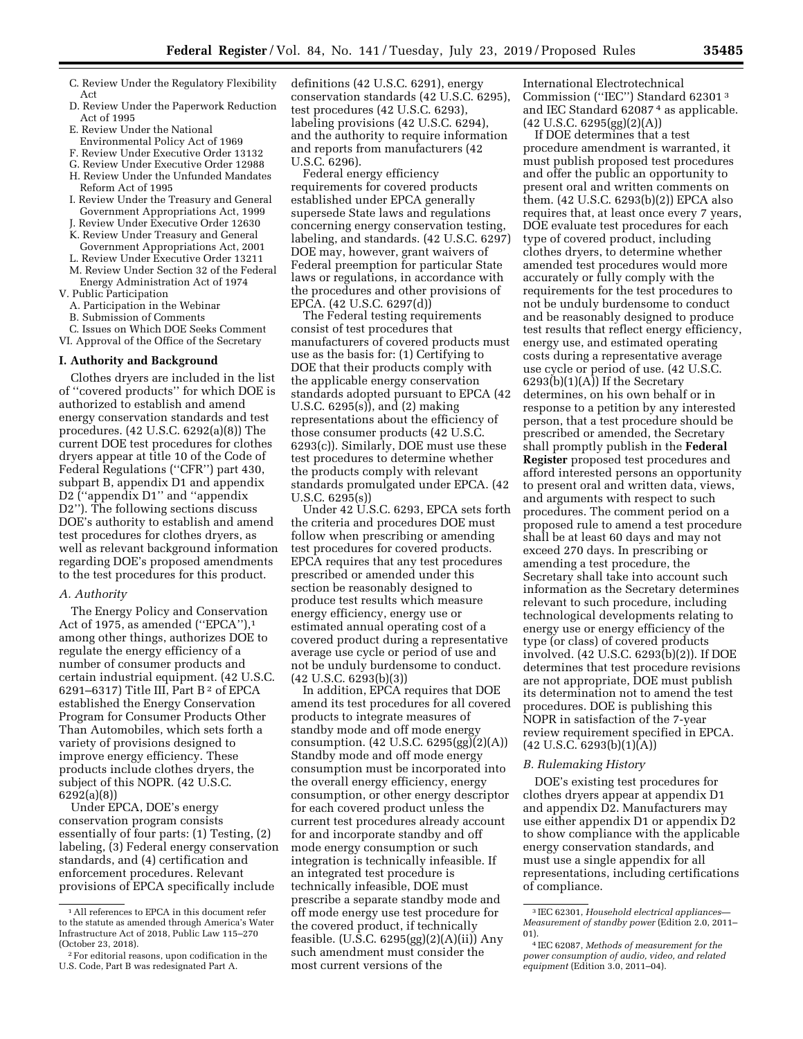- C. Review Under the Regulatory Flexibility Act
- D. Review Under the Paperwork Reduction Act of 1995
- E. Review Under the National
- Environmental Policy Act of 1969
- F. Review Under Executive Order 13132
- G. Review Under Executive Order 12988 H. Review Under the Unfunded Mandates
- Reform Act of 1995 I. Review Under the Treasury and General
- Government Appropriations Act, 1999 Review Under Executive Order 12630
- K. Review Under Treasury and General
- Government Appropriations Act, 2001
- L. Review Under Executive Order 13211 M. Review Under Section 32 of the Federal
- Energy Administration Act of 1974 V. Public Participation
	- A. Participation in the Webinar
	- B. Submission of Comments

C. Issues on Which DOE Seeks Comment VI. Approval of the Office of the Secretary

### **I. Authority and Background**

Clothes dryers are included in the list of ''covered products'' for which DOE is authorized to establish and amend energy conservation standards and test procedures. (42 U.S.C. 6292(a)(8)) The current DOE test procedures for clothes dryers appear at title 10 of the Code of Federal Regulations (''CFR'') part 430, subpart B, appendix D1 and appendix D2 ("appendix D1" and "appendix D2''). The following sections discuss DOE's authority to establish and amend test procedures for clothes dryers, as well as relevant background information regarding DOE's proposed amendments to the test procedures for this product.

#### *A. Authority*

The Energy Policy and Conservation Act of 1975, as amended ("EPCA"),<sup>1</sup> among other things, authorizes DOE to regulate the energy efficiency of a number of consumer products and certain industrial equipment. (42 U.S.C. 6291–6317) Title III, Part B 2 of EPCA established the Energy Conservation Program for Consumer Products Other Than Automobiles, which sets forth a variety of provisions designed to improve energy efficiency. These products include clothes dryers, the subject of this NOPR. (42 U.S.C. 6292(a)(8))

Under EPCA, DOE's energy conservation program consists essentially of four parts: (1) Testing, (2) labeling, (3) Federal energy conservation standards, and (4) certification and enforcement procedures. Relevant provisions of EPCA specifically include

definitions (42 U.S.C. 6291), energy conservation standards (42 U.S.C. 6295), test procedures (42 U.S.C. 6293), labeling provisions (42 U.S.C. 6294), and the authority to require information and reports from manufacturers (42 U.S.C. 6296).

Federal energy efficiency requirements for covered products established under EPCA generally supersede State laws and regulations concerning energy conservation testing, labeling, and standards. (42 U.S.C. 6297) DOE may, however, grant waivers of Federal preemption for particular State laws or regulations, in accordance with the procedures and other provisions of EPCA. (42 U.S.C. 6297(d))

The Federal testing requirements consist of test procedures that manufacturers of covered products must use as the basis for: (1) Certifying to DOE that their products comply with the applicable energy conservation standards adopted pursuant to EPCA (42 U.S.C. 6295(s)), and (2) making representations about the efficiency of those consumer products (42 U.S.C. 6293(c)). Similarly, DOE must use these test procedures to determine whether the products comply with relevant standards promulgated under EPCA. (42 U.S.C. 6295(s))

Under 42 U.S.C. 6293, EPCA sets forth the criteria and procedures DOE must follow when prescribing or amending test procedures for covered products. EPCA requires that any test procedures prescribed or amended under this section be reasonably designed to produce test results which measure energy efficiency, energy use or estimated annual operating cost of a covered product during a representative average use cycle or period of use and not be unduly burdensome to conduct. (42 U.S.C. 6293(b)(3))

In addition, EPCA requires that DOE amend its test procedures for all covered products to integrate measures of standby mode and off mode energy consumption. (42 U.S.C. 6295(gg)(2)(A)) Standby mode and off mode energy consumption must be incorporated into the overall energy efficiency, energy consumption, or other energy descriptor for each covered product unless the current test procedures already account for and incorporate standby and off mode energy consumption or such integration is technically infeasible. If an integrated test procedure is technically infeasible, DOE must prescribe a separate standby mode and off mode energy use test procedure for the covered product, if technically feasible. (U.S.C. 6295(gg)(2)(A)(ii)) Any such amendment must consider the most current versions of the

International Electrotechnical Commission (''IEC'') Standard 62301 3 and IEC Standard 62087 4 as applicable.  $(42 \text{ U.S.C. } 6295\text{(gg)}(2)(A))$ 

If DOE determines that a test procedure amendment is warranted, it must publish proposed test procedures and offer the public an opportunity to present oral and written comments on them. (42 U.S.C. 6293(b)(2)) EPCA also requires that, at least once every 7 years, DOE evaluate test procedures for each type of covered product, including clothes dryers, to determine whether amended test procedures would more accurately or fully comply with the requirements for the test procedures to not be unduly burdensome to conduct and be reasonably designed to produce test results that reflect energy efficiency, energy use, and estimated operating costs during a representative average use cycle or period of use. (42 U.S.C. 6293(b)(1)(A)) If the Secretary determines, on his own behalf or in response to a petition by any interested person, that a test procedure should be prescribed or amended, the Secretary shall promptly publish in the **Federal Register** proposed test procedures and afford interested persons an opportunity to present oral and written data, views, and arguments with respect to such procedures. The comment period on a proposed rule to amend a test procedure shall be at least 60 days and may not exceed 270 days. In prescribing or amending a test procedure, the Secretary shall take into account such information as the Secretary determines relevant to such procedure, including technological developments relating to energy use or energy efficiency of the type (or class) of covered products involved. (42 U.S.C. 6293(b)(2)). If DOE determines that test procedure revisions are not appropriate, DOE must publish its determination not to amend the test procedures. DOE is publishing this NOPR in satisfaction of the 7-year review requirement specified in EPCA.  $(42 \text{ U.S.C. } 6293(b)(1)(A))$ 

#### *B. Rulemaking History*

DOE's existing test procedures for clothes dryers appear at appendix D1 and appendix D2. Manufacturers may use either appendix D1 or appendix D2 to show compliance with the applicable energy conservation standards, and must use a single appendix for all representations, including certifications of compliance.

 $^{\rm 1}\!$  All references to EPCA in this document refer to the statute as amended through America's Water Infrastructure Act of 2018, Public Law 115–270 (October 23, 2018).

<sup>2</sup>For editorial reasons, upon codification in the U.S. Code, Part B was redesignated Part A.

<sup>3</sup> IEC 62301, *Household electrical appliances— Measurement of standby power* (Edition 2.0, 2011– 01).

<sup>4</sup> IEC 62087, *Methods of measurement for the power consumption of audio, video, and related equipment* (Edition 3.0, 2011–04).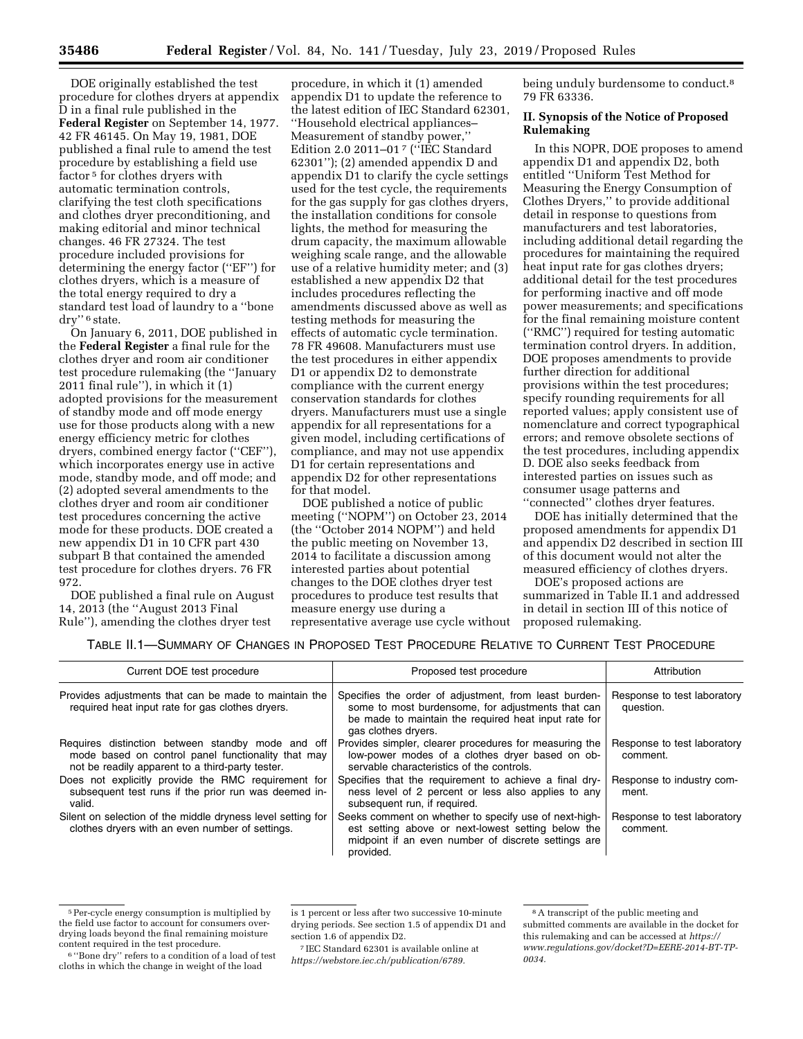DOE originally established the test procedure for clothes dryers at appendix D in a final rule published in the **Federal Register** on September 14, 1977. 42 FR 46145. On May 19, 1981, DOE published a final rule to amend the test procedure by establishing a field use factor 5 for clothes dryers with automatic termination controls, clarifying the test cloth specifications and clothes dryer preconditioning, and making editorial and minor technical changes. 46 FR 27324. The test procedure included provisions for determining the energy factor (''EF'') for clothes dryers, which is a measure of the total energy required to dry a standard test load of laundry to a ''bone dry'' 6 state.

On January 6, 2011, DOE published in the **Federal Register** a final rule for the clothes dryer and room air conditioner test procedure rulemaking (the ''January  $2011$  final rule"), in which it  $(1)$ adopted provisions for the measurement of standby mode and off mode energy use for those products along with a new energy efficiency metric for clothes dryers, combined energy factor (''CEF''), which incorporates energy use in active mode, standby mode, and off mode; and (2) adopted several amendments to the clothes dryer and room air conditioner test procedures concerning the active mode for these products. DOE created a new appendix D1 in 10 CFR part 430 subpart B that contained the amended test procedure for clothes dryers. 76 FR 972.

DOE published a final rule on August 14, 2013 (the ''August 2013 Final Rule''), amending the clothes dryer test

procedure, in which it (1) amended appendix D1 to update the reference to the latest edition of IEC Standard 62301, ''Household electrical appliances– Measurement of standby power,'' Edition 2.0 2011–01 7 (''IEC Standard 62301''); (2) amended appendix D and appendix D1 to clarify the cycle settings used for the test cycle, the requirements for the gas supply for gas clothes dryers, the installation conditions for console lights, the method for measuring the drum capacity, the maximum allowable weighing scale range, and the allowable use of a relative humidity meter; and (3) established a new appendix D2 that includes procedures reflecting the amendments discussed above as well as testing methods for measuring the effects of automatic cycle termination. 78 FR 49608. Manufacturers must use the test procedures in either appendix D1 or appendix D2 to demonstrate compliance with the current energy conservation standards for clothes dryers. Manufacturers must use a single appendix for all representations for a given model, including certifications of compliance, and may not use appendix D1 for certain representations and appendix D2 for other representations for that model.

DOE published a notice of public meeting (''NOPM'') on October 23, 2014 (the ''October 2014 NOPM'') and held the public meeting on November 13, 2014 to facilitate a discussion among interested parties about potential changes to the DOE clothes dryer test procedures to produce test results that measure energy use during a representative average use cycle without being unduly burdensome to conduct.<sup>8</sup> 79 FR 63336.

### **II. Synopsis of the Notice of Proposed Rulemaking**

In this NOPR, DOE proposes to amend appendix D1 and appendix D2, both entitled ''Uniform Test Method for Measuring the Energy Consumption of Clothes Dryers,'' to provide additional detail in response to questions from manufacturers and test laboratories, including additional detail regarding the procedures for maintaining the required heat input rate for gas clothes dryers; additional detail for the test procedures for performing inactive and off mode power measurements; and specifications for the final remaining moisture content (''RMC'') required for testing automatic termination control dryers. In addition, DOE proposes amendments to provide further direction for additional provisions within the test procedures; specify rounding requirements for all reported values; apply consistent use of nomenclature and correct typographical errors; and remove obsolete sections of the test procedures, including appendix D. DOE also seeks feedback from interested parties on issues such as consumer usage patterns and ''connected'' clothes dryer features.

DOE has initially determined that the proposed amendments for appendix D1 and appendix D2 described in section III of this document would not alter the measured efficiency of clothes dryers.

DOE's proposed actions are summarized in Table II.1 and addressed in detail in section III of this notice of proposed rulemaking.

## TABLE II.1—SUMMARY OF CHANGES IN PROPOSED TEST PROCEDURE RELATIVE TO CURRENT TEST PROCEDURE

| Current DOE test procedure                                                                                                                                  | Proposed test procedure                                                                                                                                                                   | Attribution                              |
|-------------------------------------------------------------------------------------------------------------------------------------------------------------|-------------------------------------------------------------------------------------------------------------------------------------------------------------------------------------------|------------------------------------------|
| Provides adjustments that can be made to maintain the<br>required heat input rate for gas clothes dryers.                                                   | Specifies the order of adjustment, from least burden-<br>some to most burdensome, for adjustments that can<br>be made to maintain the required heat input rate for<br>gas clothes dryers. | Response to test laboratory<br>question. |
| Requires distinction between standby mode and off<br>mode based on control panel functionality that may<br>not be readily apparent to a third-party tester. | Provides simpler, clearer procedures for measuring the<br>low-power modes of a clothes dryer based on ob-<br>servable characteristics of the controls.                                    | Response to test laboratory<br>comment.  |
| Does not explicitly provide the RMC requirement for<br>subsequent test runs if the prior run was deemed in-<br>valid.                                       | Specifies that the requirement to achieve a final dry-<br>ness level of 2 percent or less also applies to any<br>subsequent run, if required.                                             | Response to industry com-<br>ment.       |
| Silent on selection of the middle dryness level setting for<br>clothes dryers with an even number of settings.                                              | Seeks comment on whether to specify use of next-high-<br>est setting above or next-lowest setting below the<br>midpoint if an even number of discrete settings are<br>provided.           | Response to test laboratory<br>comment.  |

<sup>5</sup>Per-cycle energy consumption is multiplied by the field use factor to account for consumers overdrying loads beyond the final remaining moisture content required in the test procedure.

<sup>6</sup> ''Bone dry'' refers to a condition of a load of test cloths in which the change in weight of the load

is 1 percent or less after two successive 10-minute drying periods. See section 1.5 of appendix D1 and section 1.6 of appendix D2.

<sup>7</sup> IEC Standard 62301 is available online at *[https://webstore.iec.ch/publication/6789.](https://webstore.iec.ch/publication/6789)* 

<sup>8</sup>A transcript of the public meeting and submitted comments are available in the docket for this rulemaking and can be accessed at *[https://](https://www.regulations.gov/docket?D=EERE-2014-BT-TP-0034) [www.regulations.gov/docket?D=EERE-2014-BT-TP-](https://www.regulations.gov/docket?D=EERE-2014-BT-TP-0034)[0034.](https://www.regulations.gov/docket?D=EERE-2014-BT-TP-0034)*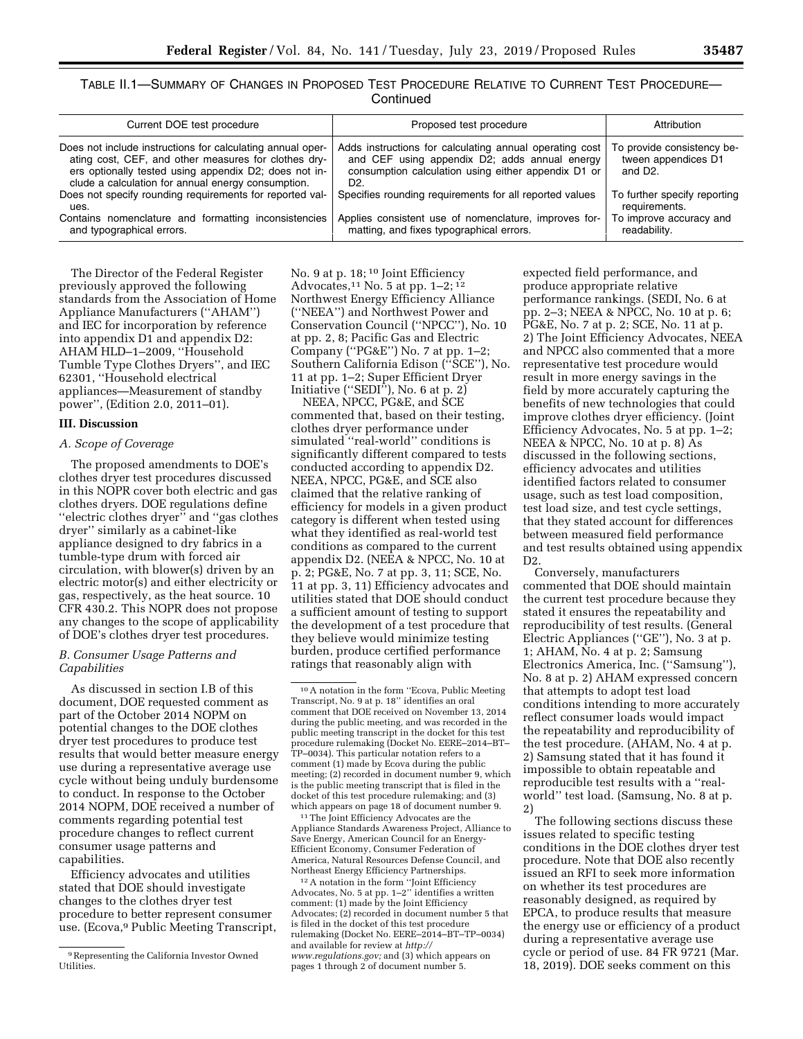TABLE II.1—SUMMARY OF CHANGES IN PROPOSED TEST PROCEDURE RELATIVE TO CURRENT TEST PROCEDURE— **Continued** 

| Current DOE test procedure                                                                                                                                                                                                        | Proposed test procedure                                                                                                                                                | Attribution                                                               |
|-----------------------------------------------------------------------------------------------------------------------------------------------------------------------------------------------------------------------------------|------------------------------------------------------------------------------------------------------------------------------------------------------------------------|---------------------------------------------------------------------------|
| Does not include instructions for calculating annual oper-<br>ating cost, CEF, and other measures for clothes dry-<br>ers optionally tested using appendix D2; does not in-<br>clude a calculation for annual energy consumption. | Adds instructions for calculating annual operating cost<br>and CEF using appendix D2; adds annual energy<br>consumption calculation using either appendix D1 or<br>D2. | To provide consistency be-<br>tween appendices D1<br>and D <sub>2</sub> . |
| Does not specify rounding requirements for reported val-<br>ues.                                                                                                                                                                  | Specifies rounding requirements for all reported values                                                                                                                | To further specify reporting<br>requirements.                             |
| Contains nomenclature and formatting inconsistencies<br>and typographical errors.                                                                                                                                                 | Applies consistent use of nomenclature, improves for-<br>matting, and fixes typographical errors.                                                                      | To improve accuracy and<br>readability.                                   |

The Director of the Federal Register previously approved the following standards from the Association of Home Appliance Manufacturers (''AHAM'') and IEC for incorporation by reference into appendix D1 and appendix D2: AHAM HLD–1–2009, ''Household Tumble Type Clothes Dryers'', and IEC 62301, ''Household electrical appliances—Measurement of standby power'', (Edition 2.0, 2011–01).

#### **III. Discussion**

### *A. Scope of Coverage*

The proposed amendments to DOE's clothes dryer test procedures discussed in this NOPR cover both electric and gas clothes dryers. DOE regulations define ''electric clothes dryer'' and ''gas clothes dryer'' similarly as a cabinet-like appliance designed to dry fabrics in a tumble-type drum with forced air circulation, with blower(s) driven by an electric motor(s) and either electricity or gas, respectively, as the heat source. 10 CFR 430.2. This NOPR does not propose any changes to the scope of applicability of DOE's clothes dryer test procedures.

### *B. Consumer Usage Patterns and Capabilities*

As discussed in section I.B of this document, DOE requested comment as part of the October 2014 NOPM on potential changes to the DOE clothes dryer test procedures to produce test results that would better measure energy use during a representative average use cycle without being unduly burdensome to conduct. In response to the October 2014 NOPM, DOE received a number of comments regarding potential test procedure changes to reflect current consumer usage patterns and capabilities.

Efficiency advocates and utilities stated that DOE should investigate changes to the clothes dryer test procedure to better represent consumer use. (Ecova,9 Public Meeting Transcript,

No. 9 at p. 18; 10 Joint Efficiency Advocates,11 No. 5 at pp. 1–2; 12 Northwest Energy Efficiency Alliance (''NEEA'') and Northwest Power and Conservation Council (''NPCC''), No. 10 at pp. 2, 8; Pacific Gas and Electric Company (''PG&E'') No. 7 at pp. 1–2; Southern California Edison (''SCE''), No. 11 at pp. 1–2; Super Efficient Dryer Initiative (''SEDI''), No. 6 at p. 2)

NEEA, NPCC, PG&E, and SCE commented that, based on their testing, clothes dryer performance under simulated ''real-world'' conditions is significantly different compared to tests conducted according to appendix D2. NEEA, NPCC, PG&E, and SCE also claimed that the relative ranking of efficiency for models in a given product category is different when tested using what they identified as real-world test conditions as compared to the current appendix D2. (NEEA & NPCC, No. 10 at p. 2; PG&E, No. 7 at pp. 3, 11; SCE, No. 11 at pp. 3, 11) Efficiency advocates and utilities stated that DOE should conduct a sufficient amount of testing to support the development of a test procedure that they believe would minimize testing burden, produce certified performance ratings that reasonably align with

11The Joint Efficiency Advocates are the Appliance Standards Awareness Project, Alliance to Save Energy, American Council for an Energy-Efficient Economy, Consumer Federation of America, Natural Resources Defense Council, and Northeast Energy Efficiency Partnerships.

12A notation in the form ''Joint Efficiency Advocates, No. 5 at pp. 1–2'' identifies a written comment: (1) made by the Joint Efficiency Advocates; (2) recorded in document number 5 that is filed in the docket of this test procedure rulemaking (Docket No. EERE–2014–BT–TP–0034) and available for review at *[http://](http://www.regulations.gov) [www.regulations.gov;](http://www.regulations.gov)* and (3) which appears on pages 1 through 2 of document number 5.

expected field performance, and produce appropriate relative performance rankings. (SEDI, No. 6 at pp. 2–3; NEEA & NPCC, No. 10 at p. 6; PG&E, No. 7 at p. 2; SCE, No. 11 at p. 2) The Joint Efficiency Advocates, NEEA and NPCC also commented that a more representative test procedure would result in more energy savings in the field by more accurately capturing the benefits of new technologies that could improve clothes dryer efficiency. (Joint Efficiency Advocates, No. 5 at pp. 1–2; NEEA & NPCC, No. 10 at p. 8) As discussed in the following sections, efficiency advocates and utilities identified factors related to consumer usage, such as test load composition, test load size, and test cycle settings, that they stated account for differences between measured field performance and test results obtained using appendix D2.

Conversely, manufacturers commented that DOE should maintain the current test procedure because they stated it ensures the repeatability and reproducibility of test results. (General Electric Appliances (''GE''), No. 3 at p. 1; AHAM, No. 4 at p. 2; Samsung Electronics America, Inc. (''Samsung''), No. 8 at p. 2) AHAM expressed concern that attempts to adopt test load conditions intending to more accurately reflect consumer loads would impact the repeatability and reproducibility of the test procedure. (AHAM, No. 4 at p. 2) Samsung stated that it has found it impossible to obtain repeatable and reproducible test results with a ''realworld'' test load. (Samsung, No. 8 at p. 2)

The following sections discuss these issues related to specific testing conditions in the DOE clothes dryer test procedure. Note that DOE also recently issued an RFI to seek more information on whether its test procedures are reasonably designed, as required by EPCA, to produce results that measure the energy use or efficiency of a product during a representative average use cycle or period of use. 84 FR 9721 (Mar. 18, 2019). DOE seeks comment on this

<sup>9</sup>Representing the California Investor Owned Utilities.

<sup>10</sup>A notation in the form ''Ecova, Public Meeting Transcript, No. 9 at p. 18'' identifies an oral comment that DOE received on November 13, 2014 during the public meeting, and was recorded in the public meeting transcript in the docket for this test procedure rulemaking (Docket No. EERE–2014–BT– TP–0034). This particular notation refers to a comment (1) made by Ecova during the public meeting; (2) recorded in document number 9, which is the public meeting transcript that is filed in the docket of this test procedure rulemaking; and (3) which appears on page 18 of document number 9.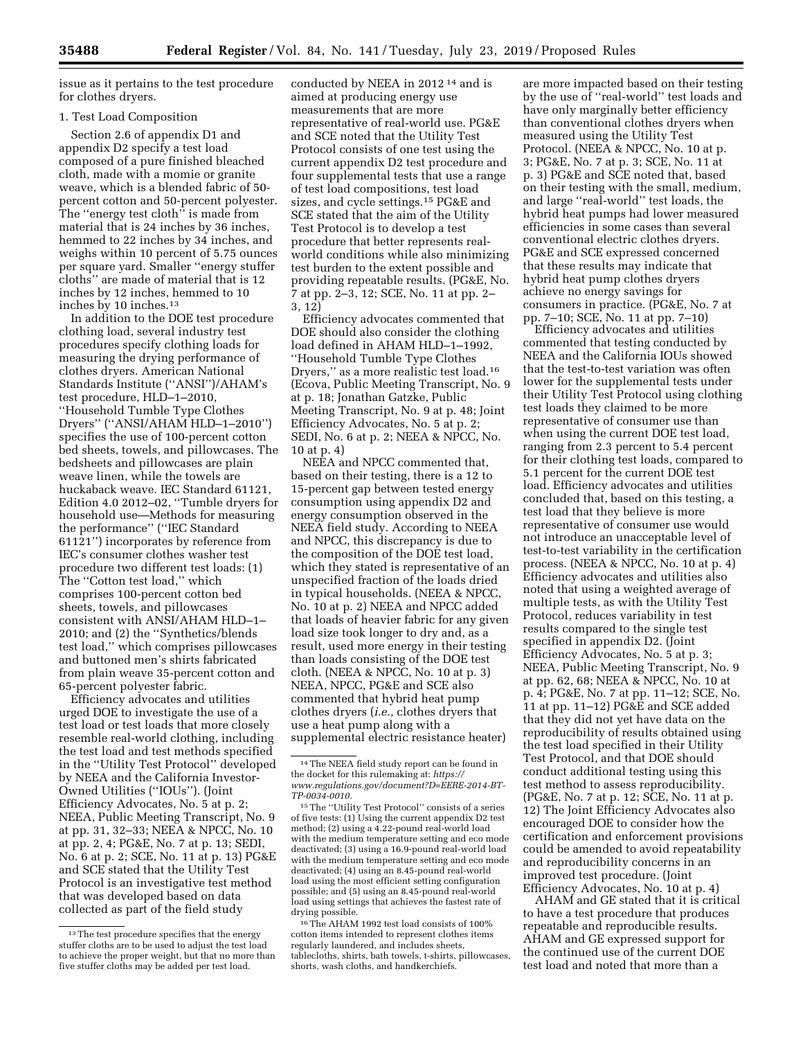issue as it pertains to the test procedure for clothes dryers.

### 1. Test Load Composition

Section 2.6 of appendix D1 and appendix D2 specify a test load composed of a pure finished bleached cloth, made with a momie or granite weave, which is a blended fabric of 50 percent cotton and 50-percent polyester. The ''energy test cloth'' is made from material that is 24 inches by 36 inches, hemmed to 22 inches by 34 inches, and weighs within 10 percent of 5.75 ounces per square yard. Smaller ''energy stuffer cloths'' are made of material that is 12 inches by 12 inches, hemmed to 10 inches by 10 inches.13

In addition to the DOE test procedure clothing load, several industry test procedures specify clothing loads for measuring the drying performance of clothes dryers. American National Standards Institute (''ANSI'')/AHAM's test procedure, HLD–1–2010, ''Household Tumble Type Clothes Dryers'' (''ANSI/AHAM HLD–1–2010'') specifies the use of 100-percent cotton bed sheets, towels, and pillowcases. The bedsheets and pillowcases are plain weave linen, while the towels are huckaback weave. IEC Standard 61121, Edition 4.0 2012–02, ''Tumble dryers for household use—Methods for measuring the performance'' (''IEC Standard 61121'') incorporates by reference from IEC's consumer clothes washer test procedure two different test loads: (1) The ''Cotton test load,'' which comprises 100-percent cotton bed sheets, towels, and pillowcases consistent with ANSI/AHAM HLD–1– 2010; and (2) the ''Synthetics/blends test load,'' which comprises pillowcases and buttoned men's shirts fabricated from plain weave 35-percent cotton and 65-percent polyester fabric.

Efficiency advocates and utilities urged DOE to investigate the use of a test load or test loads that more closely resemble real-world clothing, including the test load and test methods specified in the ''Utility Test Protocol'' developed by NEEA and the California Investor-Owned Utilities (''IOUs''). (Joint Efficiency Advocates, No. 5 at p. 2; NEEA, Public Meeting Transcript, No. 9 at pp. 31, 32–33; NEEA & NPCC, No. 10 at pp. 2, 4; PG&E, No. 7 at p. 13; SEDI, No. 6 at p. 2; SCE, No. 11 at p. 13) PG&E and SCE stated that the Utility Test Protocol is an investigative test method that was developed based on data collected as part of the field study

conducted by NEEA in 2012 14 and is aimed at producing energy use measurements that are more representative of real-world use. PG&E and SCE noted that the Utility Test Protocol consists of one test using the current appendix D2 test procedure and four supplemental tests that use a range of test load compositions, test load sizes, and cycle settings.15 PG&E and SCE stated that the aim of the Utility Test Protocol is to develop a test procedure that better represents realworld conditions while also minimizing test burden to the extent possible and providing repeatable results. (PG&E, No. 7 at pp. 2–3, 12; SCE, No. 11 at pp. 2– 3, 12)

Efficiency advocates commented that DOE should also consider the clothing load defined in AHAM HLD–1–1992, ''Household Tumble Type Clothes Dryers," as a more realistic test load.<sup>16</sup> (Ecova, Public Meeting Transcript, No. 9 at p. 18; Jonathan Gatzke, Public Meeting Transcript, No. 9 at p. 48; Joint Efficiency Advocates, No. 5 at p. 2; SEDI, No. 6 at p. 2; NEEA & NPCC, No. 10 at p. 4)

NEEA and NPCC commented that, based on their testing, there is a 12 to 15-percent gap between tested energy consumption using appendix D2 and energy consumption observed in the NEEA field study. According to NEEA and NPCC, this discrepancy is due to the composition of the DOE test load, which they stated is representative of an unspecified fraction of the loads dried in typical households. (NEEA & NPCC, No. 10 at p. 2) NEEA and NPCC added that loads of heavier fabric for any given load size took longer to dry and, as a result, used more energy in their testing than loads consisting of the DOE test cloth. (NEEA & NPCC, No. 10 at p. 3) NEEA, NPCC, PG&E and SCE also commented that hybrid heat pump clothes dryers (*i.e.,* clothes dryers that use a heat pump along with a supplemental electric resistance heater)

16The AHAM 1992 test load consists of 100% cotton items intended to represent clothes items regularly laundered, and includes sheets, tablecloths, shirts, bath towels, t-shirts, pillowcases, shorts, wash cloths, and handkerchiefs.

are more impacted based on their testing by the use of ''real-world'' test loads and have only marginally better efficiency than conventional clothes dryers when measured using the Utility Test Protocol. (NEEA & NPCC, No. 10 at p. 3; PG&E, No. 7 at p. 3; SCE, No. 11 at p. 3) PG&E and SCE noted that, based on their testing with the small, medium, and large ''real-world'' test loads, the hybrid heat pumps had lower measured efficiencies in some cases than several conventional electric clothes dryers. PG&E and SCE expressed concerned that these results may indicate that hybrid heat pump clothes dryers achieve no energy savings for consumers in practice. (PG&E, No. 7 at pp. 7–10; SCE, No. 11 at pp. 7–10)

Efficiency advocates and utilities commented that testing conducted by NEEA and the California IOUs showed that the test-to-test variation was often lower for the supplemental tests under their Utility Test Protocol using clothing test loads they claimed to be more representative of consumer use than when using the current DOE test load, ranging from 2.3 percent to 5.4 percent for their clothing test loads, compared to 5.1 percent for the current DOE test load. Efficiency advocates and utilities concluded that, based on this testing, a test load that they believe is more representative of consumer use would not introduce an unacceptable level of test-to-test variability in the certification process. (NEEA & NPCC, No. 10 at p. 4) Efficiency advocates and utilities also noted that using a weighted average of multiple tests, as with the Utility Test Protocol, reduces variability in test results compared to the single test specified in appendix D2. (Joint Efficiency Advocates, No. 5 at p. 3; NEEA, Public Meeting Transcript, No. 9 at pp. 62, 68; NEEA & NPCC, No. 10 at p. 4; PG&E, No. 7 at pp. 11–12; SCE, No. 11 at pp. 11–12) PG&E and SCE added that they did not yet have data on the reproducibility of results obtained using the test load specified in their Utility Test Protocol, and that DOE should conduct additional testing using this test method to assess reproducibility. (PG&E, No. 7 at p. 12; SCE, No. 11 at p. 12) The Joint Efficiency Advocates also encouraged DOE to consider how the certification and enforcement provisions could be amended to avoid repeatability and reproducibility concerns in an improved test procedure. (Joint Efficiency Advocates, No. 10 at p. 4)

AHAM and GE stated that it is critical to have a test procedure that produces repeatable and reproducible results. AHAM and GE expressed support for the continued use of the current DOE test load and noted that more than a

<sup>&</sup>lt;sup>13</sup> The test procedure specifies that the energy stuffer cloths are to be used to adjust the test load to achieve the proper weight, but that no more than five stuffer cloths may be added per test load.

<sup>14</sup>The NEEA field study report can be found in the docket for this rulemaking at: *[https://](https://www.regulations.gov/document?D=EERE-2014-BT-TP-0034-0010) [www.regulations.gov/document?D=EERE-2014-BT-](https://www.regulations.gov/document?D=EERE-2014-BT-TP-0034-0010)[TP-0034-0010.](https://www.regulations.gov/document?D=EERE-2014-BT-TP-0034-0010)* 

<sup>15</sup>The ''Utility Test Protocol'' consists of a series of five tests: (1) Using the current appendix D2 test method; (2) using a 4.22-pound real-world load with the medium temperature setting and eco mode deactivated; (3) using a 16.9-pound real-world load with the medium temperature setting and eco mode deactivated; (4) using an 8.45-pound real-world load using the most efficient setting configuration possible; and (5) using an 8.45-pound real-world load using settings that achieves the fastest rate of drying possible.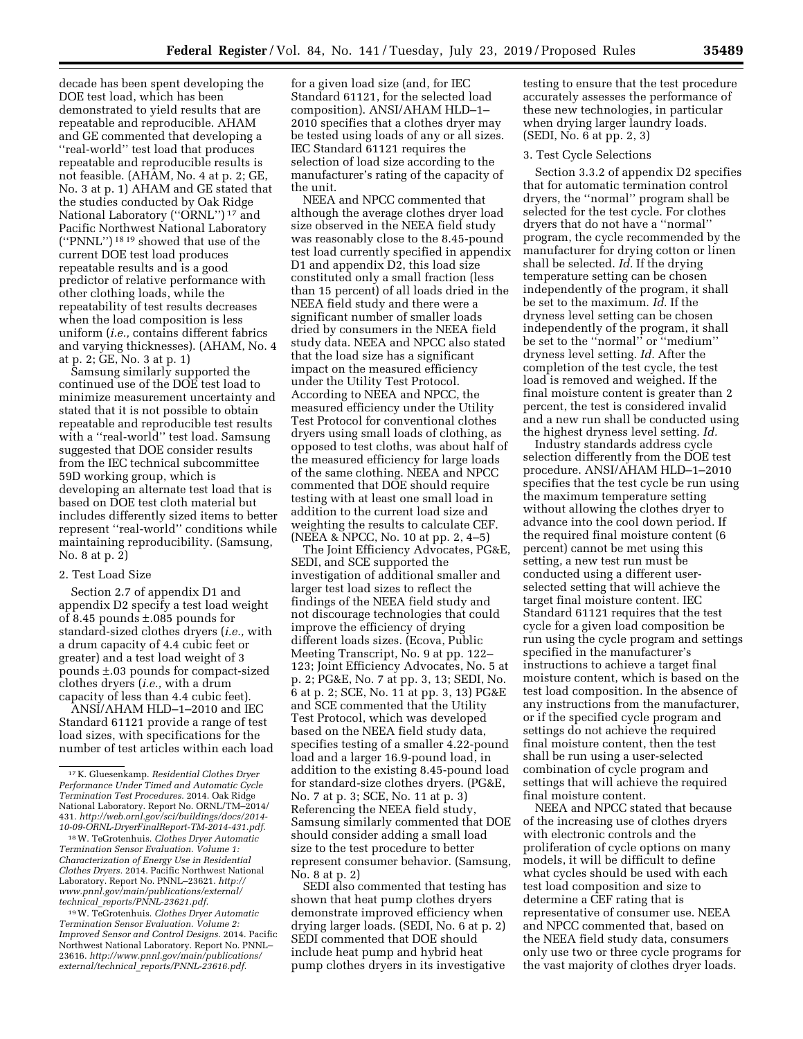decade has been spent developing the DOE test load, which has been demonstrated to yield results that are repeatable and reproducible. AHAM and GE commented that developing a ''real-world'' test load that produces repeatable and reproducible results is not feasible. (AHAM, No. 4 at p. 2; GE, No. 3 at p. 1) AHAM and GE stated that the studies conducted by Oak Ridge National Laboratory (''ORNL'') 17 and Pacific Northwest National Laboratory (''PNNL'') 18 19 showed that use of the current DOE test load produces repeatable results and is a good predictor of relative performance with other clothing loads, while the repeatability of test results decreases when the load composition is less uniform (*i.e.,* contains different fabrics and varying thicknesses). (AHAM, No. 4 at p. 2; GE, No. 3 at p. 1)

Samsung similarly supported the continued use of the DOE test load to minimize measurement uncertainty and stated that it is not possible to obtain repeatable and reproducible test results with a ''real-world'' test load. Samsung suggested that DOE consider results from the IEC technical subcommittee 59D working group, which is developing an alternate test load that is based on DOE test cloth material but includes differently sized items to better represent ''real-world'' conditions while maintaining reproducibility. (Samsung, No. 8 at p. 2)

#### 2. Test Load Size

Section 2.7 of appendix D1 and appendix D2 specify a test load weight of 8.45 pounds ±.085 pounds for standard-sized clothes dryers (*i.e.,* with a drum capacity of 4.4 cubic feet or greater) and a test load weight of 3 pounds ±.03 pounds for compact-sized clothes dryers (*i.e.,* with a drum capacity of less than 4.4 cubic feet).

ANSI/AHAM HLD–1–2010 and IEC Standard 61121 provide a range of test load sizes, with specifications for the number of test articles within each load

18W. TeGrotenhuis. *Clothes Dryer Automatic Termination Sensor Evaluation. Volume 1: Characterization of Energy Use in Residential Clothes Dryers.* 2014. Pacific Northwest National Laboratory. Report No. PNNL–23621. *[http://](http://www.pnnl.gov/main/publications/external/technical_reports/PNNL-23621.pdf) [www.pnnl.gov/main/publications/external/](http://www.pnnl.gov/main/publications/external/technical_reports/PNNL-23621.pdf)  technical*\_*[reports/PNNL-23621.pdf.](http://www.pnnl.gov/main/publications/external/technical_reports/PNNL-23621.pdf)* 

19W. TeGrotenhuis. *Clothes Dryer Automatic Termination Sensor Evaluation. Volume 2: Improved Sensor and Control Designs.* 2014. Pacific Northwest National Laboratory. Report No. PNNL– 23616. *[http://www.pnnl.gov/main/publications/](http://www.pnnl.gov/main/publications/external/technical_reports/PNNL-23616.pdf)  external/technical*\_*[reports/PNNL-23616.pdf.](http://www.pnnl.gov/main/publications/external/technical_reports/PNNL-23616.pdf)* 

for a given load size (and, for IEC Standard 61121, for the selected load composition). ANSI/AHAM HLD–1– 2010 specifies that a clothes dryer may be tested using loads of any or all sizes. IEC Standard 61121 requires the selection of load size according to the manufacturer's rating of the capacity of the unit.

NEEA and NPCC commented that although the average clothes dryer load size observed in the NEEA field study was reasonably close to the 8.45-pound test load currently specified in appendix D1 and appendix D2, this load size constituted only a small fraction (less than 15 percent) of all loads dried in the NEEA field study and there were a significant number of smaller loads dried by consumers in the NEEA field study data. NEEA and NPCC also stated that the load size has a significant impact on the measured efficiency under the Utility Test Protocol. According to NEEA and NPCC, the measured efficiency under the Utility Test Protocol for conventional clothes dryers using small loads of clothing, as opposed to test cloths, was about half of the measured efficiency for large loads of the same clothing. NEEA and NPCC commented that DOE should require testing with at least one small load in addition to the current load size and weighting the results to calculate CEF. (NEEA & NPCC, No. 10 at pp. 2, 4–5)

The Joint Efficiency Advocates, PG&E, SEDI, and SCE supported the investigation of additional smaller and larger test load sizes to reflect the findings of the NEEA field study and not discourage technologies that could improve the efficiency of drying different loads sizes. (Ecova, Public Meeting Transcript, No. 9 at pp. 122– 123; Joint Efficiency Advocates, No. 5 at p. 2; PG&E, No. 7 at pp. 3, 13; SEDI, No. 6 at p. 2; SCE, No. 11 at pp. 3, 13) PG&E and SCE commented that the Utility Test Protocol, which was developed based on the NEEA field study data, specifies testing of a smaller 4.22-pound load and a larger 16.9-pound load, in addition to the existing 8.45-pound load for standard-size clothes dryers. (PG&E, No. 7 at p. 3; SCE, No. 11 at p. 3) Referencing the NEEA field study, Samsung similarly commented that DOE should consider adding a small load size to the test procedure to better represent consumer behavior. (Samsung, No. 8 at p. 2)

SEDI also commented that testing has shown that heat pump clothes dryers demonstrate improved efficiency when drying larger loads. (SEDI, No. 6 at p. 2) SEDI commented that DOE should include heat pump and hybrid heat pump clothes dryers in its investigative

testing to ensure that the test procedure accurately assesses the performance of these new technologies, in particular when drying larger laundry loads. (SEDI, No. 6 at pp. 2, 3)

### 3. Test Cycle Selections

Section 3.3.2 of appendix D2 specifies that for automatic termination control dryers, the ''normal'' program shall be selected for the test cycle. For clothes dryers that do not have a ''normal'' program, the cycle recommended by the manufacturer for drying cotton or linen shall be selected. *Id.* If the drying temperature setting can be chosen independently of the program, it shall be set to the maximum. *Id.* If the dryness level setting can be chosen independently of the program, it shall be set to the ''normal'' or ''medium'' dryness level setting. *Id.* After the completion of the test cycle, the test load is removed and weighed. If the final moisture content is greater than 2 percent, the test is considered invalid and a new run shall be conducted using the highest dryness level setting. *Id.* 

Industry standards address cycle selection differently from the DOE test procedure. ANSI/AHAM HLD–1–2010 specifies that the test cycle be run using the maximum temperature setting without allowing the clothes dryer to advance into the cool down period. If the required final moisture content (6 percent) cannot be met using this setting, a new test run must be conducted using a different userselected setting that will achieve the target final moisture content. IEC Standard 61121 requires that the test cycle for a given load composition be run using the cycle program and settings specified in the manufacturer's instructions to achieve a target final moisture content, which is based on the test load composition. In the absence of any instructions from the manufacturer, or if the specified cycle program and settings do not achieve the required final moisture content, then the test shall be run using a user-selected combination of cycle program and settings that will achieve the required final moisture content.

NEEA and NPCC stated that because of the increasing use of clothes dryers with electronic controls and the proliferation of cycle options on many models, it will be difficult to define what cycles should be used with each test load composition and size to determine a CEF rating that is representative of consumer use. NEEA and NPCC commented that, based on the NEEA field study data, consumers only use two or three cycle programs for the vast majority of clothes dryer loads.

<sup>17</sup> K. Gluesenkamp. *Residential Clothes Dryer Performance Under Timed and Automatic Cycle Termination Test Procedures.* 2014. Oak Ridge National Laboratory. Report No. ORNL/TM–2014/ 431. *[http://web.ornl.gov/sci/buildings/docs/2014-](http://web.ornl.gov/sci/buildings/docs/2014-10-09-ORNL-DryerFinalReport-TM-2014-431.pdf) [10-09-ORNL-DryerFinalReport-TM-2014-431.pdf.](http://web.ornl.gov/sci/buildings/docs/2014-10-09-ORNL-DryerFinalReport-TM-2014-431.pdf)*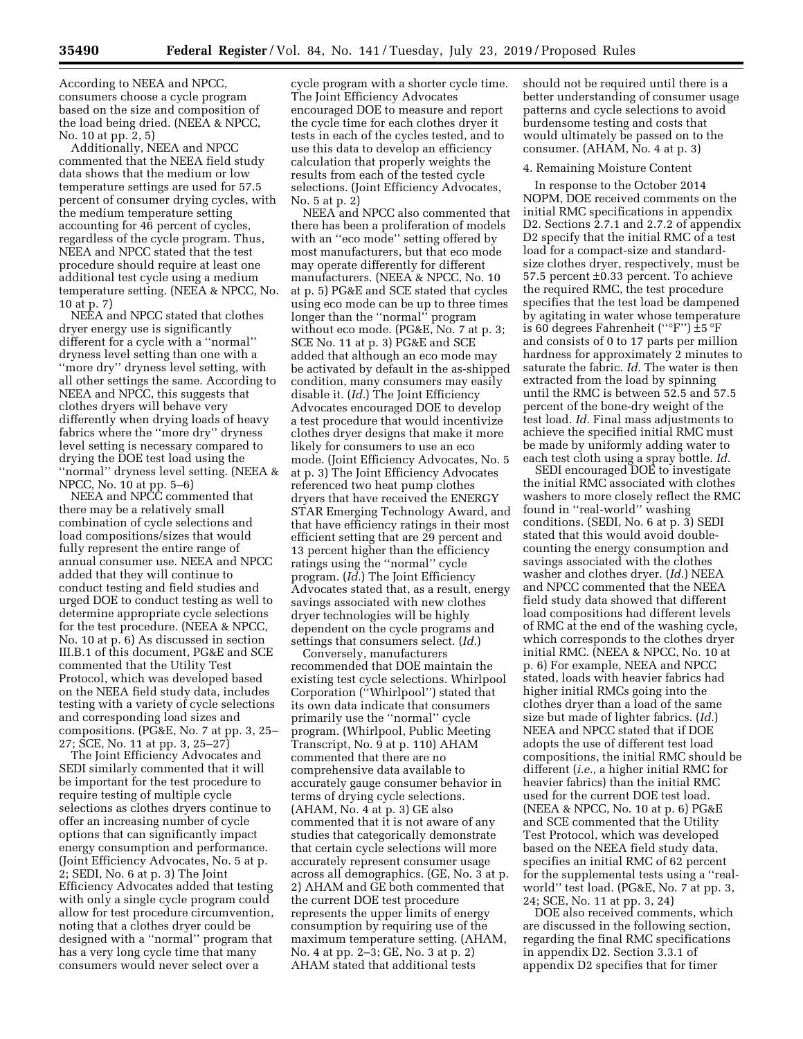According to NEEA and NPCC, consumers choose a cycle program based on the size and composition of the load being dried. (NEEA & NPCC, No. 10 at pp. 2, 5)

Additionally, NEEA and NPCC commented that the NEEA field study data shows that the medium or low temperature settings are used for 57.5 percent of consumer drying cycles, with the medium temperature setting accounting for 46 percent of cycles, regardless of the cycle program. Thus, NEEA and NPCC stated that the test procedure should require at least one additional test cycle using a medium temperature setting. (NEEA & NPCC, No. 10 at p. 7)

NEEA and NPCC stated that clothes dryer energy use is significantly different for a cycle with a ''normal'' dryness level setting than one with a ''more dry'' dryness level setting, with all other settings the same. According to NEEA and NPCC, this suggests that clothes dryers will behave very differently when drying loads of heavy fabrics where the ''more dry'' dryness level setting is necessary compared to drying the DOE test load using the ''normal'' dryness level setting. (NEEA & NPCC, No. 10 at pp. 5–6)

NEEA and NPCC commented that there may be a relatively small combination of cycle selections and load compositions/sizes that would fully represent the entire range of annual consumer use. NEEA and NPCC added that they will continue to conduct testing and field studies and urged DOE to conduct testing as well to determine appropriate cycle selections for the test procedure. (NEEA & NPCC, No. 10 at p. 6) As discussed in section III.B.1 of this document, PG&E and SCE commented that the Utility Test Protocol, which was developed based on the NEEA field study data, includes testing with a variety of cycle selections and corresponding load sizes and compositions. (PG&E, No. 7 at pp. 3, 25– 27; SCE, No. 11 at pp. 3, 25–27)

The Joint Efficiency Advocates and SEDI similarly commented that it will be important for the test procedure to require testing of multiple cycle selections as clothes dryers continue to offer an increasing number of cycle options that can significantly impact energy consumption and performance. (Joint Efficiency Advocates, No. 5 at p. 2; SEDI, No. 6 at p. 3) The Joint Efficiency Advocates added that testing with only a single cycle program could allow for test procedure circumvention, noting that a clothes dryer could be designed with a ''normal'' program that has a very long cycle time that many consumers would never select over a

cycle program with a shorter cycle time. The Joint Efficiency Advocates encouraged DOE to measure and report the cycle time for each clothes dryer it tests in each of the cycles tested, and to use this data to develop an efficiency calculation that properly weights the results from each of the tested cycle selections. (Joint Efficiency Advocates, No. 5 at p. 2)

NEEA and NPCC also commented that there has been a proliferation of models with an ''eco mode'' setting offered by most manufacturers, but that eco mode may operate differently for different manufacturers. (NEEA & NPCC, No. 10 at p. 5) PG&E and SCE stated that cycles using eco mode can be up to three times longer than the "normal" program without eco mode. (PG&E, No. 7 at p. 3; SCE No. 11 at p. 3) PG&E and SCE added that although an eco mode may be activated by default in the as-shipped condition, many consumers may easily disable it. (*Id.*) The Joint Efficiency Advocates encouraged DOE to develop a test procedure that would incentivize clothes dryer designs that make it more likely for consumers to use an eco mode. (Joint Efficiency Advocates, No. 5 at p. 3) The Joint Efficiency Advocates referenced two heat pump clothes dryers that have received the ENERGY STAR Emerging Technology Award, and that have efficiency ratings in their most efficient setting that are 29 percent and 13 percent higher than the efficiency ratings using the ''normal'' cycle program. (*Id.*) The Joint Efficiency Advocates stated that, as a result, energy savings associated with new clothes dryer technologies will be highly dependent on the cycle programs and settings that consumers select. (*Id.*)

Conversely, manufacturers recommended that DOE maintain the existing test cycle selections. Whirlpool Corporation (''Whirlpool'') stated that its own data indicate that consumers primarily use the ''normal'' cycle program. (Whirlpool, Public Meeting Transcript, No. 9 at p. 110) AHAM commented that there are no comprehensive data available to accurately gauge consumer behavior in terms of drying cycle selections. (AHAM, No. 4 at p. 3) GE also commented that it is not aware of any studies that categorically demonstrate that certain cycle selections will more accurately represent consumer usage across all demographics. (GE, No. 3 at p. 2) AHAM and GE both commented that the current DOE test procedure represents the upper limits of energy consumption by requiring use of the maximum temperature setting. (AHAM, No. 4 at pp. 2–3; GE, No. 3 at p. 2) AHAM stated that additional tests

should not be required until there is a better understanding of consumer usage patterns and cycle selections to avoid burdensome testing and costs that would ultimately be passed on to the consumer. (AHAM, No. 4 at p. 3)

#### 4. Remaining Moisture Content

In response to the October 2014 NOPM, DOE received comments on the initial RMC specifications in appendix D2. Sections 2.7.1 and 2.7.2 of appendix D2 specify that the initial RMC of a test load for a compact-size and standardsize clothes dryer, respectively, must be 57.5 percent ±0.33 percent. To achieve the required RMC, the test procedure specifies that the test load be dampened by agitating in water whose temperature is 60 degrees Fahrenheit (''°F'') ±5 °F and consists of 0 to 17 parts per million hardness for approximately 2 minutes to saturate the fabric. *Id.* The water is then extracted from the load by spinning until the RMC is between 52.5 and 57.5 percent of the bone-dry weight of the test load. *Id.* Final mass adjustments to achieve the specified initial RMC must be made by uniformly adding water to each test cloth using a spray bottle. *Id.* 

SEDI encouraged DOE to investigate the initial RMC associated with clothes washers to more closely reflect the RMC found in ''real-world'' washing conditions. (SEDI, No. 6 at p. 3) SEDI stated that this would avoid doublecounting the energy consumption and savings associated with the clothes washer and clothes dryer. (*Id.*) NEEA and NPCC commented that the NEEA field study data showed that different load compositions had different levels of RMC at the end of the washing cycle, which corresponds to the clothes dryer initial RMC. (NEEA & NPCC, No. 10 at p. 6) For example, NEEA and NPCC stated, loads with heavier fabrics had higher initial RMCs going into the clothes dryer than a load of the same size but made of lighter fabrics. (*Id.*) NEEA and NPCC stated that if DOE adopts the use of different test load compositions, the initial RMC should be different (*i.e.,* a higher initial RMC for heavier fabrics) than the initial RMC used for the current DOE test load. (NEEA & NPCC, No. 10 at p. 6) PG&E and SCE commented that the Utility Test Protocol, which was developed based on the NEEA field study data, specifies an initial RMC of 62 percent for the supplemental tests using a ''realworld'' test load. (PG&E, No. 7 at pp. 3, 24; SCE, No. 11 at pp. 3, 24)

DOE also received comments, which are discussed in the following section, regarding the final RMC specifications in appendix D2. Section 3.3.1 of appendix D2 specifies that for timer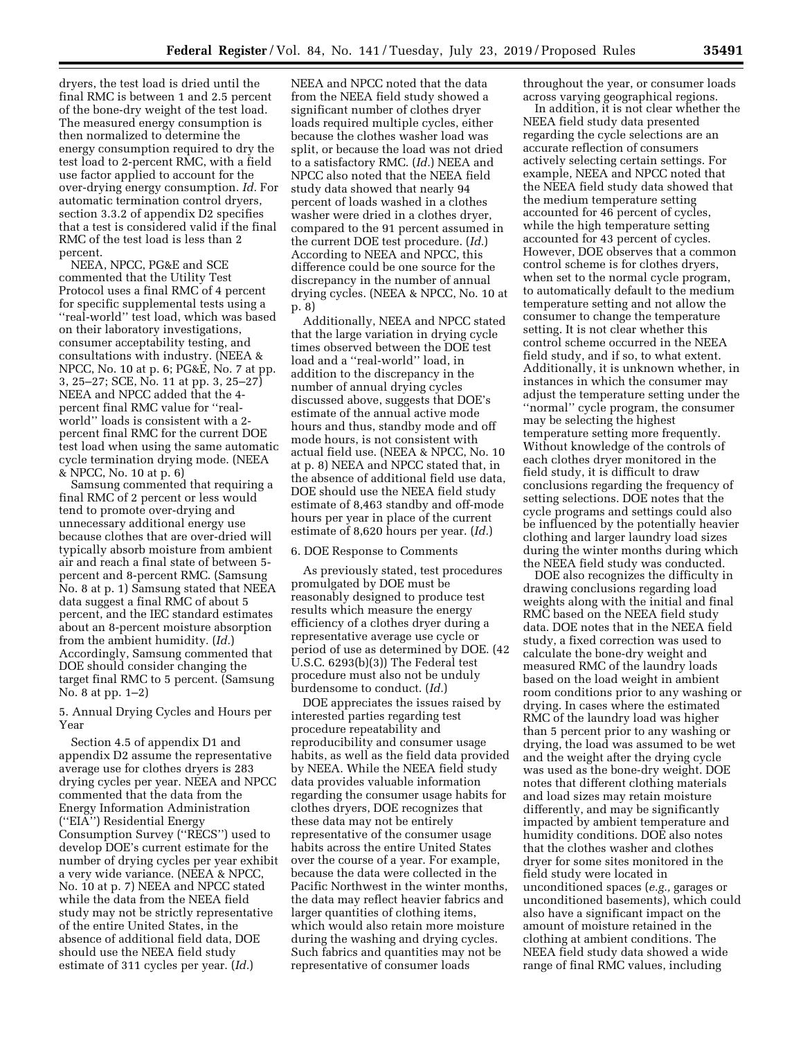dryers, the test load is dried until the final RMC is between 1 and 2.5 percent of the bone-dry weight of the test load. The measured energy consumption is then normalized to determine the energy consumption required to dry the test load to 2-percent RMC, with a field use factor applied to account for the over-drying energy consumption. *Id.* For automatic termination control dryers, section 3.3.2 of appendix D2 specifies that a test is considered valid if the final RMC of the test load is less than 2 percent.

NEEA, NPCC, PG&E and SCE commented that the Utility Test Protocol uses a final RMC of 4 percent for specific supplemental tests using a ''real-world'' test load, which was based on their laboratory investigations, consumer acceptability testing, and consultations with industry. (NEEA & NPCC, No. 10 at p. 6; PG&E, No. 7 at pp. 3, 25–27; SCE, No. 11 at pp. 3, 25–27) NEEA and NPCC added that the 4 percent final RMC value for ''realworld'' loads is consistent with a 2 percent final RMC for the current DOE test load when using the same automatic cycle termination drying mode. (NEEA & NPCC, No. 10 at p. 6)

Samsung commented that requiring a final RMC of 2 percent or less would tend to promote over-drying and unnecessary additional energy use because clothes that are over-dried will typically absorb moisture from ambient air and reach a final state of between 5 percent and 8-percent RMC. (Samsung No. 8 at p. 1) Samsung stated that NEEA data suggest a final RMC of about 5 percent, and the IEC standard estimates about an 8-percent moisture absorption from the ambient humidity. (*Id.*) Accordingly, Samsung commented that DOE should consider changing the target final RMC to 5 percent. (Samsung No. 8 at pp. 1–2)

5. Annual Drying Cycles and Hours per Year

Section 4.5 of appendix D1 and appendix D2 assume the representative average use for clothes dryers is 283 drying cycles per year. NEEA and NPCC commented that the data from the Energy Information Administration (''EIA'') Residential Energy Consumption Survey (''RECS'') used to develop DOE's current estimate for the number of drying cycles per year exhibit a very wide variance. (NEEA & NPCC, No. 10 at p. 7) NEEA and NPCC stated while the data from the NEEA field study may not be strictly representative of the entire United States, in the absence of additional field data, DOE should use the NEEA field study estimate of 311 cycles per year. (*Id.*)

NEEA and NPCC noted that the data from the NEEA field study showed a significant number of clothes dryer loads required multiple cycles, either because the clothes washer load was split, or because the load was not dried to a satisfactory RMC. (*Id.*) NEEA and NPCC also noted that the NEEA field study data showed that nearly 94 percent of loads washed in a clothes washer were dried in a clothes dryer, compared to the 91 percent assumed in the current DOE test procedure. (*Id.*) According to NEEA and NPCC, this difference could be one source for the discrepancy in the number of annual drying cycles. (NEEA & NPCC, No. 10 at p. 8)

Additionally, NEEA and NPCC stated that the large variation in drying cycle times observed between the DOE test load and a ''real-world'' load, in addition to the discrepancy in the number of annual drying cycles discussed above, suggests that DOE's estimate of the annual active mode hours and thus, standby mode and off mode hours, is not consistent with actual field use. (NEEA & NPCC, No. 10 at p. 8) NEEA and NPCC stated that, in the absence of additional field use data, DOE should use the NEEA field study estimate of 8,463 standby and off-mode hours per year in place of the current estimate of 8,620 hours per year. (*Id.*)

# 6. DOE Response to Comments

As previously stated, test procedures promulgated by DOE must be reasonably designed to produce test results which measure the energy efficiency of a clothes dryer during a representative average use cycle or period of use as determined by DOE. (42 U.S.C. 6293(b)(3)) The Federal test procedure must also not be unduly burdensome to conduct. (*Id.*)

DOE appreciates the issues raised by interested parties regarding test procedure repeatability and reproducibility and consumer usage habits, as well as the field data provided by NEEA. While the NEEA field study data provides valuable information regarding the consumer usage habits for clothes dryers, DOE recognizes that these data may not be entirely representative of the consumer usage habits across the entire United States over the course of a year. For example, because the data were collected in the Pacific Northwest in the winter months, the data may reflect heavier fabrics and larger quantities of clothing items, which would also retain more moisture during the washing and drying cycles. Such fabrics and quantities may not be representative of consumer loads

throughout the year, or consumer loads across varying geographical regions.

In addition, it is not clear whether the NEEA field study data presented regarding the cycle selections are an accurate reflection of consumers actively selecting certain settings. For example, NEEA and NPCC noted that the NEEA field study data showed that the medium temperature setting accounted for 46 percent of cycles, while the high temperature setting accounted for 43 percent of cycles. However, DOE observes that a common control scheme is for clothes dryers, when set to the normal cycle program, to automatically default to the medium temperature setting and not allow the consumer to change the temperature setting. It is not clear whether this control scheme occurred in the NEEA field study, and if so, to what extent. Additionally, it is unknown whether, in instances in which the consumer may adjust the temperature setting under the ''normal'' cycle program, the consumer may be selecting the highest temperature setting more frequently. Without knowledge of the controls of each clothes dryer monitored in the field study, it is difficult to draw conclusions regarding the frequency of setting selections. DOE notes that the cycle programs and settings could also be influenced by the potentially heavier clothing and larger laundry load sizes during the winter months during which the NEEA field study was conducted.

DOE also recognizes the difficulty in drawing conclusions regarding load weights along with the initial and final RMC based on the NEEA field study data. DOE notes that in the NEEA field study, a fixed correction was used to calculate the bone-dry weight and measured RMC of the laundry loads based on the load weight in ambient room conditions prior to any washing or drying. In cases where the estimated RMC of the laundry load was higher than 5 percent prior to any washing or drying, the load was assumed to be wet and the weight after the drying cycle was used as the bone-dry weight. DOE notes that different clothing materials and load sizes may retain moisture differently, and may be significantly impacted by ambient temperature and humidity conditions. DOE also notes that the clothes washer and clothes dryer for some sites monitored in the field study were located in unconditioned spaces (*e.g.,* garages or unconditioned basements), which could also have a significant impact on the amount of moisture retained in the clothing at ambient conditions. The NEEA field study data showed a wide range of final RMC values, including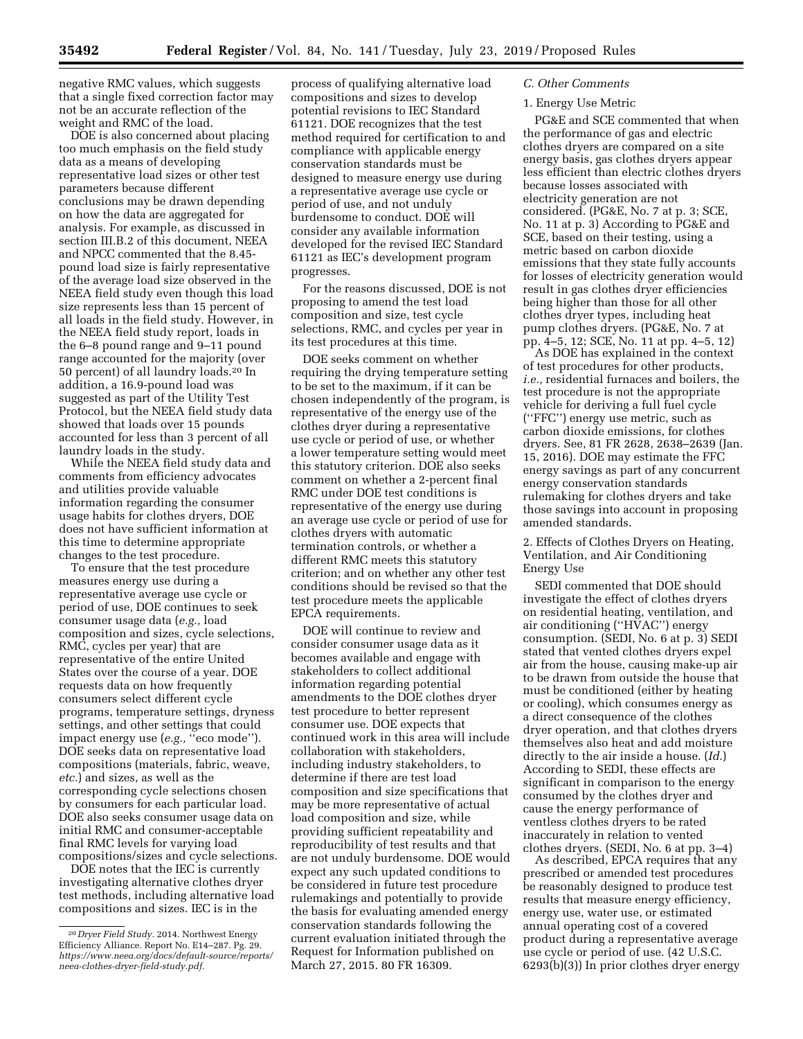negative RMC values, which suggests that a single fixed correction factor may not be an accurate reflection of the weight and RMC of the load.

DOE is also concerned about placing too much emphasis on the field study data as a means of developing representative load sizes or other test parameters because different conclusions may be drawn depending on how the data are aggregated for analysis. For example, as discussed in section III.B.2 of this document, NEEA and NPCC commented that the 8.45 pound load size is fairly representative of the average load size observed in the NEEA field study even though this load size represents less than 15 percent of all loads in the field study. However, in the NEEA field study report, loads in the 6–8 pound range and 9–11 pound range accounted for the majority (over 50 percent) of all laundry loads.20 In addition, a 16.9-pound load was suggested as part of the Utility Test Protocol, but the NEEA field study data showed that loads over 15 pounds accounted for less than 3 percent of all laundry loads in the study.

While the NEEA field study data and comments from efficiency advocates and utilities provide valuable information regarding the consumer usage habits for clothes dryers, DOE does not have sufficient information at this time to determine appropriate changes to the test procedure.

To ensure that the test procedure measures energy use during a representative average use cycle or period of use, DOE continues to seek consumer usage data (*e.g.,* load composition and sizes, cycle selections, RMC, cycles per year) that are representative of the entire United States over the course of a year. DOE requests data on how frequently consumers select different cycle programs, temperature settings, dryness settings, and other settings that could impact energy use (e.g., "eco mode"). DOE seeks data on representative load compositions (materials, fabric, weave, *etc.*) and sizes, as well as the corresponding cycle selections chosen by consumers for each particular load. DOE also seeks consumer usage data on initial RMC and consumer-acceptable final RMC levels for varying load compositions/sizes and cycle selections.

DOE notes that the IEC is currently investigating alternative clothes dryer test methods, including alternative load compositions and sizes. IEC is in the

process of qualifying alternative load compositions and sizes to develop potential revisions to IEC Standard 61121. DOE recognizes that the test method required for certification to and compliance with applicable energy conservation standards must be designed to measure energy use during a representative average use cycle or period of use, and not unduly burdensome to conduct. DOE will consider any available information developed for the revised IEC Standard 61121 as IEC's development program progresses.

For the reasons discussed, DOE is not proposing to amend the test load composition and size, test cycle selections, RMC, and cycles per year in its test procedures at this time.

DOE seeks comment on whether requiring the drying temperature setting to be set to the maximum, if it can be chosen independently of the program, is representative of the energy use of the clothes dryer during a representative use cycle or period of use, or whether a lower temperature setting would meet this statutory criterion. DOE also seeks comment on whether a 2-percent final RMC under DOE test conditions is representative of the energy use during an average use cycle or period of use for clothes dryers with automatic termination controls, or whether a different RMC meets this statutory criterion; and on whether any other test conditions should be revised so that the test procedure meets the applicable EPCA requirements.

DOE will continue to review and consider consumer usage data as it becomes available and engage with stakeholders to collect additional information regarding potential amendments to the DOE clothes dryer test procedure to better represent consumer use. DOE expects that continued work in this area will include collaboration with stakeholders, including industry stakeholders, to determine if there are test load composition and size specifications that may be more representative of actual load composition and size, while providing sufficient repeatability and reproducibility of test results and that are not unduly burdensome. DOE would expect any such updated conditions to be considered in future test procedure rulemakings and potentially to provide the basis for evaluating amended energy conservation standards following the current evaluation initiated through the Request for Information published on March 27, 2015. 80 FR 16309.

# *C. Other Comments*

# 1. Energy Use Metric

PG&E and SCE commented that when the performance of gas and electric clothes dryers are compared on a site energy basis, gas clothes dryers appear less efficient than electric clothes dryers because losses associated with electricity generation are not considered. (PG&E, No. 7 at p. 3; SCE, No. 11 at p. 3) According to PG&E and SCE, based on their testing, using a metric based on carbon dioxide emissions that they state fully accounts for losses of electricity generation would result in gas clothes dryer efficiencies being higher than those for all other clothes dryer types, including heat pump clothes dryers. (PG&E, No. 7 at pp. 4–5, 12; SCE, No. 11 at pp. 4–5, 12)

As DOE has explained in the context of test procedures for other products, *i.e.,* residential furnaces and boilers, the test procedure is not the appropriate vehicle for deriving a full fuel cycle (''FFC'') energy use metric, such as carbon dioxide emissions, for clothes dryers. See, 81 FR 2628, 2638–2639 (Jan. 15, 2016). DOE may estimate the FFC energy savings as part of any concurrent energy conservation standards rulemaking for clothes dryers and take those savings into account in proposing amended standards.

2. Effects of Clothes Dryers on Heating, Ventilation, and Air Conditioning Energy Use

SEDI commented that DOE should investigate the effect of clothes dryers on residential heating, ventilation, and air conditioning (''HVAC'') energy consumption. (SEDI, No. 6 at p. 3) SEDI stated that vented clothes dryers expel air from the house, causing make-up air to be drawn from outside the house that must be conditioned (either by heating or cooling), which consumes energy as a direct consequence of the clothes dryer operation, and that clothes dryers themselves also heat and add moisture directly to the air inside a house. (*Id.*) According to SEDI, these effects are significant in comparison to the energy consumed by the clothes dryer and cause the energy performance of ventless clothes dryers to be rated inaccurately in relation to vented clothes dryers. (SEDI, No. 6 at pp. 3–4)

As described, EPCA requires that any prescribed or amended test procedures be reasonably designed to produce test results that measure energy efficiency, energy use, water use, or estimated annual operating cost of a covered product during a representative average use cycle or period of use. (42 U.S.C. 6293(b)(3)) In prior clothes dryer energy

<sup>20</sup> *Dryer Field Study.* 2014. Northwest Energy Efficiency Alliance. Report No. E14–287. Pg. 29. *[https://www.neea.org/docs/default-source/reports/](https://www.neea.org/docs/default-source/reports/neea-clothes-dryer-field-study.pdf) [neea-clothes-dryer-field-study.pdf.](https://www.neea.org/docs/default-source/reports/neea-clothes-dryer-field-study.pdf)*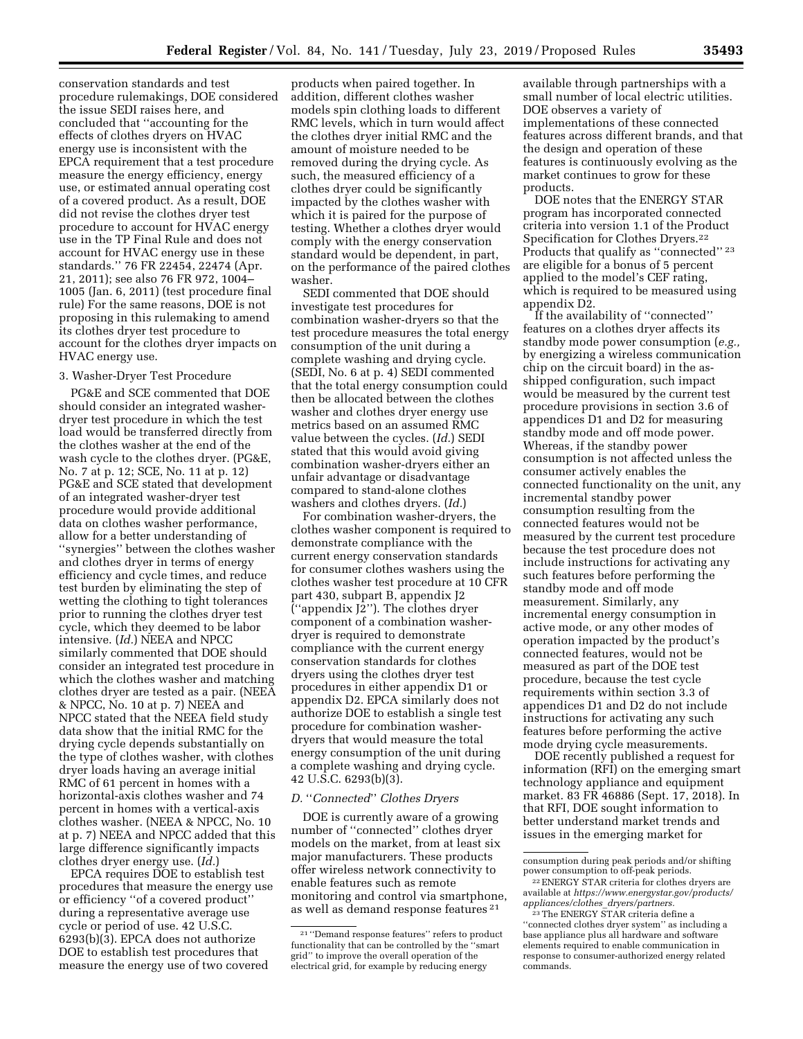conservation standards and test procedure rulemakings, DOE considered the issue SEDI raises here, and concluded that ''accounting for the effects of clothes dryers on HVAC energy use is inconsistent with the EPCA requirement that a test procedure measure the energy efficiency, energy use, or estimated annual operating cost of a covered product. As a result, DOE did not revise the clothes dryer test procedure to account for HVAC energy use in the TP Final Rule and does not account for HVAC energy use in these standards.'' 76 FR 22454, 22474 (Apr. 21, 2011); see also 76 FR 972, 1004– 1005 (Jan. 6, 2011) (test procedure final rule) For the same reasons, DOE is not proposing in this rulemaking to amend its clothes dryer test procedure to account for the clothes dryer impacts on HVAC energy use.

### 3. Washer-Dryer Test Procedure

PG&E and SCE commented that DOE should consider an integrated washerdryer test procedure in which the test load would be transferred directly from the clothes washer at the end of the wash cycle to the clothes dryer. (PG&E, No. 7 at p. 12; SCE, No. 11 at p. 12) PG&E and SCE stated that development of an integrated washer-dryer test procedure would provide additional data on clothes washer performance, allow for a better understanding of ''synergies'' between the clothes washer and clothes dryer in terms of energy efficiency and cycle times, and reduce test burden by eliminating the step of wetting the clothing to tight tolerances prior to running the clothes dryer test cycle, which they deemed to be labor intensive. (*Id.*) NEEA and NPCC similarly commented that DOE should consider an integrated test procedure in which the clothes washer and matching clothes dryer are tested as a pair. (NEEA & NPCC, No. 10 at p. 7) NEEA and NPCC stated that the NEEA field study data show that the initial RMC for the drying cycle depends substantially on the type of clothes washer, with clothes dryer loads having an average initial RMC of 61 percent in homes with a horizontal-axis clothes washer and 74 percent in homes with a vertical-axis clothes washer. (NEEA & NPCC, No. 10 at p. 7) NEEA and NPCC added that this large difference significantly impacts clothes dryer energy use. (*Id.*)

EPCA requires DOE to establish test procedures that measure the energy use or efficiency ''of a covered product'' during a representative average use cycle or period of use. 42 U.S.C.  $6293(b)(3)$ . EPCA does not authorize DOE to establish test procedures that measure the energy use of two covered

products when paired together. In addition, different clothes washer models spin clothing loads to different RMC levels, which in turn would affect the clothes dryer initial RMC and the amount of moisture needed to be removed during the drying cycle. As such, the measured efficiency of a clothes dryer could be significantly impacted by the clothes washer with which it is paired for the purpose of testing. Whether a clothes dryer would comply with the energy conservation standard would be dependent, in part, on the performance of the paired clothes washer.

SEDI commented that DOE should investigate test procedures for combination washer-dryers so that the test procedure measures the total energy consumption of the unit during a complete washing and drying cycle. (SEDI, No. 6 at p. 4) SEDI commented that the total energy consumption could then be allocated between the clothes washer and clothes dryer energy use metrics based on an assumed RMC value between the cycles. (*Id.*) SEDI stated that this would avoid giving combination washer-dryers either an unfair advantage or disadvantage compared to stand-alone clothes washers and clothes dryers. (*Id.*)

For combination washer-dryers, the clothes washer component is required to demonstrate compliance with the current energy conservation standards for consumer clothes washers using the clothes washer test procedure at 10 CFR part 430, subpart B, appendix J2 (''appendix J2''). The clothes dryer component of a combination washerdryer is required to demonstrate compliance with the current energy conservation standards for clothes dryers using the clothes dryer test procedures in either appendix D1 or appendix D2. EPCA similarly does not authorize DOE to establish a single test procedure for combination washerdryers that would measure the total energy consumption of the unit during a complete washing and drying cycle. 42 U.S.C. 6293(b)(3).

### *D.* ''*Connected*'' *Clothes Dryers*

DOE is currently aware of a growing number of ''connected'' clothes dryer models on the market, from at least six major manufacturers. These products offer wireless network connectivity to enable features such as remote monitoring and control via smartphone, as well as demand response features 21

available through partnerships with a small number of local electric utilities. DOE observes a variety of implementations of these connected features across different brands, and that the design and operation of these features is continuously evolving as the market continues to grow for these products.

DOE notes that the ENERGY STAR program has incorporated connected criteria into version 1.1 of the Product Specification for Clothes Dryers.<sup>22</sup> Products that qualify as "connected"<sup>23</sup> are eligible for a bonus of 5 percent applied to the model's CEF rating, which is required to be measured using appendix D2.

If the availability of ''connected'' features on a clothes dryer affects its standby mode power consumption (*e.g.,*  by energizing a wireless communication chip on the circuit board) in the asshipped configuration, such impact would be measured by the current test procedure provisions in section 3.6 of appendices D1 and D2 for measuring standby mode and off mode power. Whereas, if the standby power consumption is not affected unless the consumer actively enables the connected functionality on the unit, any incremental standby power consumption resulting from the connected features would not be measured by the current test procedure because the test procedure does not include instructions for activating any such features before performing the standby mode and off mode measurement. Similarly, any incremental energy consumption in active mode, or any other modes of operation impacted by the product's connected features, would not be measured as part of the DOE test procedure, because the test cycle requirements within section 3.3 of appendices D1 and D2 do not include instructions for activating any such features before performing the active mode drying cycle measurements.

DOE recently published a request for information (RFI) on the emerging smart technology appliance and equipment market. 83 FR 46886 (Sept. 17, 2018). In that RFI, DOE sought information to better understand market trends and issues in the emerging market for

<sup>21</sup> ''Demand response features'' refers to product functionality that can be controlled by the ''smart grid'' to improve the overall operation of the electrical grid, for example by reducing energy

consumption during peak periods and/or shifting

<sup>&</sup>lt;sup>22</sup> ENERGY STAR criteria for clothes dryers are available at *[https://www.energystar.gov/products/](https://www.energystar.gov/products/appliances/clothes_dryers/partners) [appliances/clothes](https://www.energystar.gov/products/appliances/clothes_dryers/partners)*\_*dryers/partners.* 

<sup>&</sup>lt;sup>23</sup>The ENERGY STAR criteria define a ''connected clothes dryer system'' as including a base appliance plus all hardware and software elements required to enable communication in response to consumer-authorized energy related commands.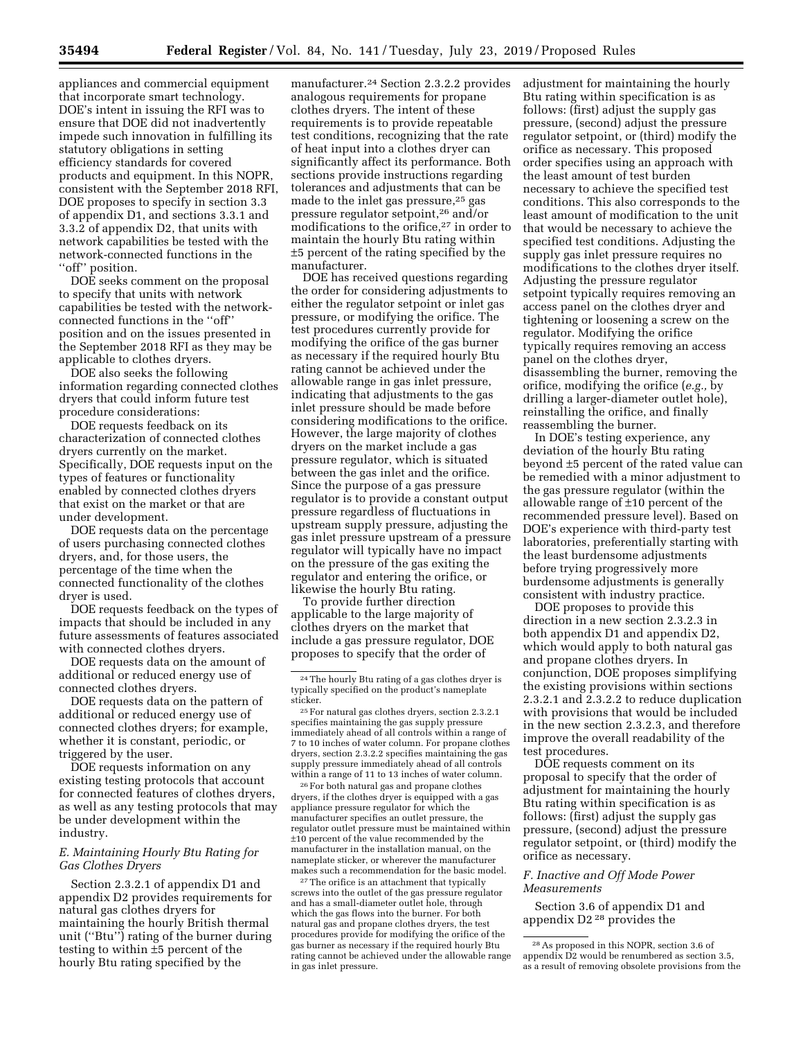appliances and commercial equipment that incorporate smart technology. DOE's intent in issuing the RFI was to ensure that DOE did not inadvertently impede such innovation in fulfilling its statutory obligations in setting efficiency standards for covered products and equipment. In this NOPR, consistent with the September 2018 RFI, DOE proposes to specify in section 3.3 of appendix D1, and sections 3.3.1 and 3.3.2 of appendix D2, that units with network capabilities be tested with the network-connected functions in the "off" position.

DOE seeks comment on the proposal to specify that units with network capabilities be tested with the networkconnected functions in the ''off'' position and on the issues presented in the September 2018 RFI as they may be applicable to clothes dryers.

DOE also seeks the following information regarding connected clothes dryers that could inform future test procedure considerations:

DOE requests feedback on its characterization of connected clothes dryers currently on the market. Specifically, DOE requests input on the types of features or functionality enabled by connected clothes dryers that exist on the market or that are under development.

DOE requests data on the percentage of users purchasing connected clothes dryers, and, for those users, the percentage of the time when the connected functionality of the clothes dryer is used.

DOE requests feedback on the types of impacts that should be included in any future assessments of features associated with connected clothes dryers.

DOE requests data on the amount of additional or reduced energy use of connected clothes dryers.

DOE requests data on the pattern of additional or reduced energy use of connected clothes dryers; for example, whether it is constant, periodic, or triggered by the user.

DOE requests information on any existing testing protocols that account for connected features of clothes dryers, as well as any testing protocols that may be under development within the industry.

### *E. Maintaining Hourly Btu Rating for Gas Clothes Dryers*

Section 2.3.2.1 of appendix D1 and appendix D2 provides requirements for natural gas clothes dryers for maintaining the hourly British thermal unit (''Btu'') rating of the burner during testing to within ±5 percent of the hourly Btu rating specified by the

manufacturer.24 Section 2.3.2.2 provides analogous requirements for propane clothes dryers. The intent of these requirements is to provide repeatable test conditions, recognizing that the rate of heat input into a clothes dryer can significantly affect its performance. Both sections provide instructions regarding tolerances and adjustments that can be made to the inlet gas pressure,25 gas pressure regulator setpoint,26 and/or modifications to the orifice,27 in order to maintain the hourly Btu rating within ±5 percent of the rating specified by the manufacturer.

DOE has received questions regarding the order for considering adjustments to either the regulator setpoint or inlet gas pressure, or modifying the orifice. The test procedures currently provide for modifying the orifice of the gas burner as necessary if the required hourly Btu rating cannot be achieved under the allowable range in gas inlet pressure, indicating that adjustments to the gas inlet pressure should be made before considering modifications to the orifice. However, the large majority of clothes dryers on the market include a gas pressure regulator, which is situated between the gas inlet and the orifice. Since the purpose of a gas pressure regulator is to provide a constant output pressure regardless of fluctuations in upstream supply pressure, adjusting the gas inlet pressure upstream of a pressure regulator will typically have no impact on the pressure of the gas exiting the regulator and entering the orifice, or likewise the hourly Btu rating.

To provide further direction applicable to the large majority of clothes dryers on the market that include a gas pressure regulator, DOE proposes to specify that the order of

26For both natural gas and propane clothes dryers, if the clothes dryer is equipped with a gas appliance pressure regulator for which the manufacturer specifies an outlet pressure, the regulator outlet pressure must be maintained within ±10 percent of the value recommended by the manufacturer in the installation manual, on the nameplate sticker, or wherever the manufacturer makes such a recommendation for the basic model.

<sup>27</sup>The orifice is an attachment that typically screws into the outlet of the gas pressure regulator and has a small-diameter outlet hole, through which the gas flows into the burner. For both natural gas and propane clothes dryers, the test procedures provide for modifying the orifice of the gas burner as necessary if the required hourly Btu rating cannot be achieved under the allowable range in gas inlet pressure.

adjustment for maintaining the hourly Btu rating within specification is as follows: (first) adjust the supply gas pressure, (second) adjust the pressure regulator setpoint, or (third) modify the orifice as necessary. This proposed order specifies using an approach with the least amount of test burden necessary to achieve the specified test conditions. This also corresponds to the least amount of modification to the unit that would be necessary to achieve the specified test conditions. Adjusting the supply gas inlet pressure requires no modifications to the clothes dryer itself. Adjusting the pressure regulator setpoint typically requires removing an access panel on the clothes dryer and tightening or loosening a screw on the regulator. Modifying the orifice typically requires removing an access panel on the clothes dryer, disassembling the burner, removing the orifice, modifying the orifice (*e.g.,* by drilling a larger-diameter outlet hole), reinstalling the orifice, and finally reassembling the burner.

In DOE's testing experience, any deviation of the hourly Btu rating beyond ±5 percent of the rated value can be remedied with a minor adjustment to the gas pressure regulator (within the allowable range of ±10 percent of the recommended pressure level). Based on DOE's experience with third-party test laboratories, preferentially starting with the least burdensome adjustments before trying progressively more burdensome adjustments is generally consistent with industry practice.

DOE proposes to provide this direction in a new section 2.3.2.3 in both appendix D1 and appendix D2, which would apply to both natural gas and propane clothes dryers. In conjunction, DOE proposes simplifying the existing provisions within sections 2.3.2.1 and 2.3.2.2 to reduce duplication with provisions that would be included in the new section 2.3.2.3, and therefore improve the overall readability of the test procedures.

DOE requests comment on its proposal to specify that the order of adjustment for maintaining the hourly Btu rating within specification is as follows: (first) adjust the supply gas pressure, (second) adjust the pressure regulator setpoint, or (third) modify the orifice as necessary.

### *F. Inactive and Off Mode Power Measurements*

Section 3.6 of appendix D1 and appendix D2 28 provides the

<sup>24</sup>The hourly Btu rating of a gas clothes dryer is typically specified on the product's nameplate sticker.

<sup>25</sup>For natural gas clothes dryers, section 2.3.2.1 specifies maintaining the gas supply pressure immediately ahead of all controls within a range of 7 to 10 inches of water column. For propane clothes dryers, section 2.3.2.2 specifies maintaining the gas supply pressure immediately ahead of all controls within a range of 11 to 13 inches of water column.

<sup>28</sup>As proposed in this NOPR, section 3.6 of appendix D2 would be renumbered as section 3.5, as a result of removing obsolete provisions from the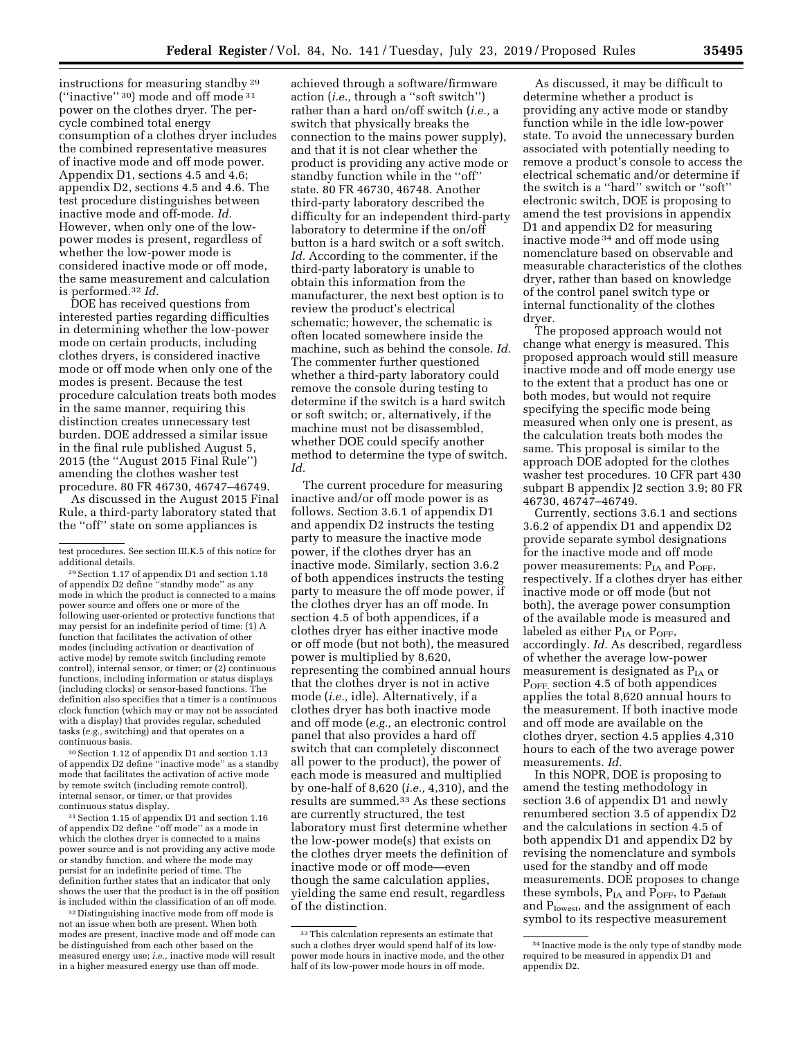instructions for measuring standby 29 (''inactive'' 30) mode and off mode 31 power on the clothes dryer. The percycle combined total energy consumption of a clothes dryer includes the combined representative measures of inactive mode and off mode power. Appendix D1, sections 4.5 and 4.6; appendix D2, sections 4.5 and 4.6. The test procedure distinguishes between inactive mode and off-mode. *Id.*  However, when only one of the lowpower modes is present, regardless of whether the low-power mode is considered inactive mode or off mode, the same measurement and calculation is performed.32 *Id.* 

DOE has received questions from interested parties regarding difficulties in determining whether the low-power mode on certain products, including clothes dryers, is considered inactive mode or off mode when only one of the modes is present. Because the test procedure calculation treats both modes in the same manner, requiring this distinction creates unnecessary test burden. DOE addressed a similar issue in the final rule published August 5, 2015 (the ''August 2015 Final Rule'') amending the clothes washer test procedure. 80 FR 46730, 46747–46749.

As discussed in the August 2015 Final Rule, a third-party laboratory stated that the ''off'' state on some appliances is

30Section 1.12 of appendix D1 and section 1.13 of appendix D2 define ''inactive mode'' as a standby mode that facilitates the activation of active mode by remote switch (including remote control), internal sensor, or timer, or that provides continuous status display.

31Section 1.15 of appendix D1 and section 1.16 of appendix D2 define ''off mode'' as a mode in which the clothes dryer is connected to a mains power source and is not providing any active mode or standby function, and where the mode may persist for an indefinite period of time. The definition further states that an indicator that only shows the user that the product is in the off position is included within the classification of an off mode.

32 Distinguishing inactive mode from off mode is not an issue when both are present. When both modes are present, inactive mode and off mode can be distinguished from each other based on the measured energy use; *i.e.,* inactive mode will result in a higher measured energy use than off mode.

achieved through a software/firmware action (*i.e.,* through a ''soft switch'') rather than a hard on/off switch (*i.e.,* a switch that physically breaks the connection to the mains power supply), and that it is not clear whether the product is providing any active mode or standby function while in the ''off'' state. 80 FR 46730, 46748. Another third-party laboratory described the difficulty for an independent third-party laboratory to determine if the on/off button is a hard switch or a soft switch. *Id.* According to the commenter, if the third-party laboratory is unable to obtain this information from the manufacturer, the next best option is to review the product's electrical schematic; however, the schematic is often located somewhere inside the machine, such as behind the console. *Id.*  The commenter further questioned whether a third-party laboratory could remove the console during testing to determine if the switch is a hard switch or soft switch; or, alternatively, if the machine must not be disassembled, whether DOE could specify another method to determine the type of switch. *Id.* 

The current procedure for measuring inactive and/or off mode power is as follows. Section 3.6.1 of appendix D1 and appendix D2 instructs the testing party to measure the inactive mode power, if the clothes dryer has an inactive mode. Similarly, section 3.6.2 of both appendices instructs the testing party to measure the off mode power, if the clothes dryer has an off mode. In section 4.5 of both appendices, if a clothes dryer has either inactive mode or off mode (but not both), the measured power is multiplied by 8,620, representing the combined annual hours that the clothes dryer is not in active mode (*i.e.,* idle). Alternatively, if a clothes dryer has both inactive mode and off mode (*e.g.,* an electronic control panel that also provides a hard off switch that can completely disconnect all power to the product), the power of each mode is measured and multiplied by one-half of 8,620 (*i.e.,* 4,310), and the results are summed.33 As these sections are currently structured, the test laboratory must first determine whether the low-power mode(s) that exists on the clothes dryer meets the definition of inactive mode or off mode—even though the same calculation applies, yielding the same end result, regardless of the distinction.

As discussed, it may be difficult to determine whether a product is providing any active mode or standby function while in the idle low-power state. To avoid the unnecessary burden associated with potentially needing to remove a product's console to access the electrical schematic and/or determine if the switch is a ''hard'' switch or ''soft'' electronic switch, DOE is proposing to amend the test provisions in appendix D1 and appendix D2 for measuring inactive mode 34 and off mode using nomenclature based on observable and measurable characteristics of the clothes dryer, rather than based on knowledge of the control panel switch type or internal functionality of the clothes dryer.

The proposed approach would not change what energy is measured. This proposed approach would still measure inactive mode and off mode energy use to the extent that a product has one or both modes, but would not require specifying the specific mode being measured when only one is present, as the calculation treats both modes the same. This proposal is similar to the approach DOE adopted for the clothes washer test procedures. 10 CFR part 430 subpart B appendix J2 section 3.9; 80 FR 46730, 46747–46749.

Currently, sections 3.6.1 and sections 3.6.2 of appendix D1 and appendix D2 provide separate symbol designations for the inactive mode and off mode power measurements:  $P_{IA}$  and  $P_{OFF}$ , respectively. If a clothes dryer has either inactive mode or off mode (but not both), the average power consumption of the available mode is measured and labeled as either  $P_{IA}$  or  $P_{OFF}$ , accordingly. *Id.* As described, regardless of whether the average low-power measurement is designated as  $P_{IA}$  or  $P<sub>OFF</sub>$ , section 4.5 of both appendices applies the total 8,620 annual hours to the measurement. If both inactive mode and off mode are available on the clothes dryer, section 4.5 applies 4,310 hours to each of the two average power measurements. *Id.* 

In this NOPR, DOE is proposing to amend the testing methodology in section 3.6 of appendix D1 and newly renumbered section 3.5 of appendix D2 and the calculations in section 4.5 of both appendix D1 and appendix D2 by revising the nomenclature and symbols used for the standby and off mode measurements. DOE proposes to change these symbols, P<sub>IA</sub> and P<sub>OFF</sub>, to P<sub>default</sub> and P<sub>lowest</sub>, and the assignment of each symbol to its respective measurement

test procedures. See section III.K.5 of this notice for additional details.

<sup>29</sup>Section 1.17 of appendix D1 and section 1.18 of appendix D2 define ''standby mode'' as any mode in which the product is connected to a mains power source and offers one or more of the following user-oriented or protective functions that may persist for an indefinite period of time: (1) A function that facilitates the activation of other modes (including activation or deactivation of active mode) by remote switch (including remote control), internal sensor, or timer; or (2) continuous functions, including information or status displays (including clocks) or sensor-based functions. The definition also specifies that a timer is a continuous clock function (which may or may not be associated with a display) that provides regular, scheduled tasks (*e.g.,* switching) and that operates on a continuous basis.

<sup>33</sup>This calculation represents an estimate that such a clothes dryer would spend half of its lowpower mode hours in inactive mode, and the other half of its low-power mode hours in off mode.

<sup>34</sup> Inactive mode is the only type of standby mode required to be measured in appendix D1 and appendix D2.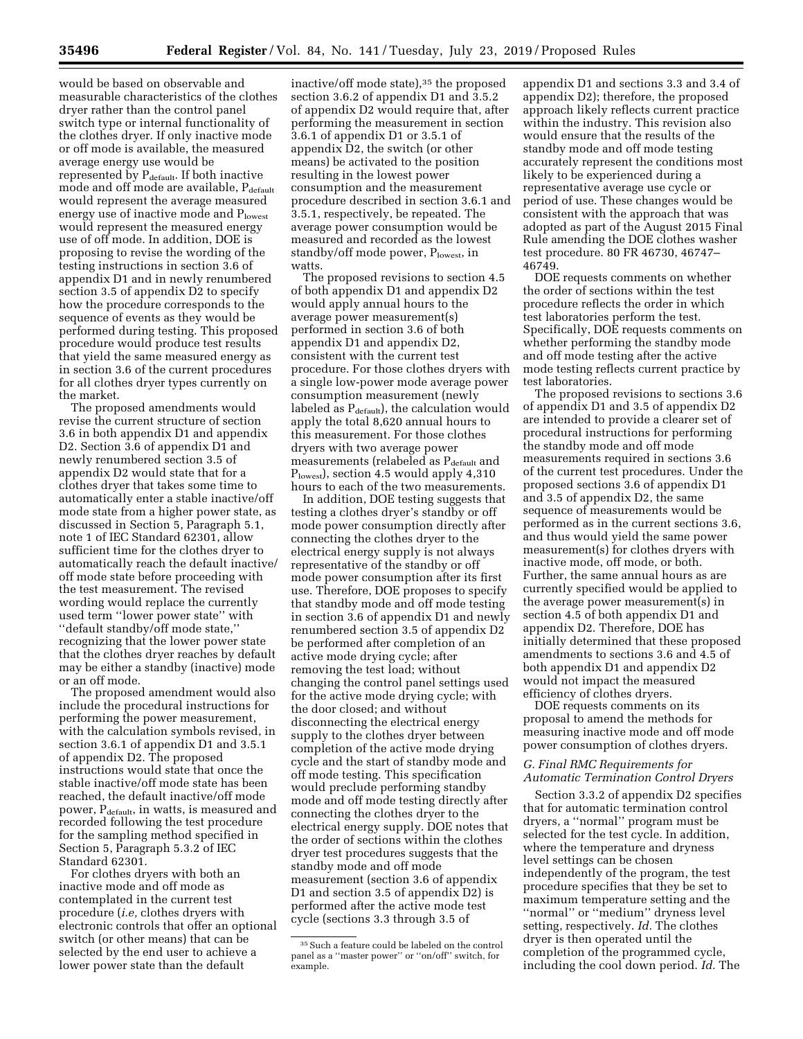would be based on observable and measurable characteristics of the clothes dryer rather than the control panel switch type or internal functionality of the clothes dryer. If only inactive mode or off mode is available, the measured average energy use would be represented by  $P_{default}$ . If both inactive mode and off mode are available, Pdefault would represent the average measured energy use of inactive mode and Plowest would represent the measured energy use of off mode. In addition, DOE is proposing to revise the wording of the testing instructions in section 3.6 of appendix D1 and in newly renumbered section 3.5 of appendix D2 to specify how the procedure corresponds to the sequence of events as they would be performed during testing. This proposed procedure would produce test results that yield the same measured energy as in section 3.6 of the current procedures for all clothes dryer types currently on the market.

The proposed amendments would revise the current structure of section 3.6 in both appendix D1 and appendix D2. Section 3.6 of appendix D1 and newly renumbered section 3.5 of appendix D2 would state that for a clothes dryer that takes some time to automatically enter a stable inactive/off mode state from a higher power state, as discussed in Section 5, Paragraph 5.1, note 1 of IEC Standard 62301, allow sufficient time for the clothes dryer to automatically reach the default inactive/ off mode state before proceeding with the test measurement. The revised wording would replace the currently used term ''lower power state'' with ''default standby/off mode state,'' recognizing that the lower power state that the clothes dryer reaches by default may be either a standby (inactive) mode or an off mode.

The proposed amendment would also include the procedural instructions for performing the power measurement, with the calculation symbols revised, in section 3.6.1 of appendix D1 and 3.5.1 of appendix D2. The proposed instructions would state that once the stable inactive/off mode state has been reached, the default inactive/off mode power, P<sub>default</sub>, in watts, is measured and recorded following the test procedure for the sampling method specified in Section 5, Paragraph 5.3.2 of IEC Standard 62301.

For clothes dryers with both an inactive mode and off mode as contemplated in the current test procedure (*i.e,* clothes dryers with electronic controls that offer an optional switch (or other means) that can be selected by the end user to achieve a lower power state than the default

inactive/off mode state),35 the proposed section 3.6.2 of appendix D1 and 3.5.2 of appendix D2 would require that, after performing the measurement in section 3.6.1 of appendix D1 or 3.5.1 of appendix D2, the switch (or other means) be activated to the position resulting in the lowest power consumption and the measurement procedure described in section 3.6.1 and 3.5.1, respectively, be repeated. The average power consumption would be measured and recorded as the lowest standby/off mode power,  $P_{lowest}$ , in watts.

The proposed revisions to section 4.5 of both appendix D1 and appendix D2 would apply annual hours to the average power measurement(s) performed in section 3.6 of both appendix D1 and appendix D2, consistent with the current test procedure. For those clothes dryers with a single low-power mode average power consumption measurement (newly labeled as  $P_{\text{default}}$ , the calculation would apply the total 8,620 annual hours to this measurement. For those clothes dryers with two average power measurements (relabeled as P<sub>default</sub> and Plowest), section 4.5 would apply 4,310 hours to each of the two measurements.

In addition, DOE testing suggests that testing a clothes dryer's standby or off mode power consumption directly after connecting the clothes dryer to the electrical energy supply is not always representative of the standby or off mode power consumption after its first use. Therefore, DOE proposes to specify that standby mode and off mode testing in section 3.6 of appendix D1 and newly renumbered section 3.5 of appendix D2 be performed after completion of an active mode drying cycle; after removing the test load; without changing the control panel settings used for the active mode drying cycle; with the door closed; and without disconnecting the electrical energy supply to the clothes dryer between completion of the active mode drying cycle and the start of standby mode and off mode testing. This specification would preclude performing standby mode and off mode testing directly after connecting the clothes dryer to the electrical energy supply. DOE notes that the order of sections within the clothes dryer test procedures suggests that the standby mode and off mode measurement (section 3.6 of appendix D1 and section 3.5 of appendix D2) is performed after the active mode test cycle (sections 3.3 through 3.5 of

appendix D1 and sections 3.3 and 3.4 of appendix D2); therefore, the proposed approach likely reflects current practice within the industry. This revision also would ensure that the results of the standby mode and off mode testing accurately represent the conditions most likely to be experienced during a representative average use cycle or period of use. These changes would be consistent with the approach that was adopted as part of the August 2015 Final Rule amending the DOE clothes washer test procedure. 80 FR 46730, 46747– 46749.

DOE requests comments on whether the order of sections within the test procedure reflects the order in which test laboratories perform the test. Specifically, DOE requests comments on whether performing the standby mode and off mode testing after the active mode testing reflects current practice by test laboratories.

The proposed revisions to sections 3.6 of appendix D1 and 3.5 of appendix D2 are intended to provide a clearer set of procedural instructions for performing the standby mode and off mode measurements required in sections 3.6 of the current test procedures. Under the proposed sections 3.6 of appendix D1 and 3.5 of appendix D2, the same sequence of measurements would be performed as in the current sections 3.6, and thus would yield the same power measurement(s) for clothes dryers with inactive mode, off mode, or both. Further, the same annual hours as are currently specified would be applied to the average power measurement(s) in section 4.5 of both appendix D1 and appendix D2. Therefore, DOE has initially determined that these proposed amendments to sections 3.6 and 4.5 of both appendix D1 and appendix D2 would not impact the measured efficiency of clothes dryers.

DOE requests comments on its proposal to amend the methods for measuring inactive mode and off mode power consumption of clothes dryers.

### *G. Final RMC Requirements for Automatic Termination Control Dryers*

Section 3.3.2 of appendix D2 specifies that for automatic termination control dryers, a ''normal'' program must be selected for the test cycle. In addition, where the temperature and dryness level settings can be chosen independently of the program, the test procedure specifies that they be set to maximum temperature setting and the ''normal'' or ''medium'' dryness level setting, respectively. *Id.* The clothes dryer is then operated until the completion of the programmed cycle, including the cool down period. *Id.* The

 $^{35}\rm\,Such$  a feature could be labeled on the control panel as a ''master power'' or ''on/off'' switch, for example.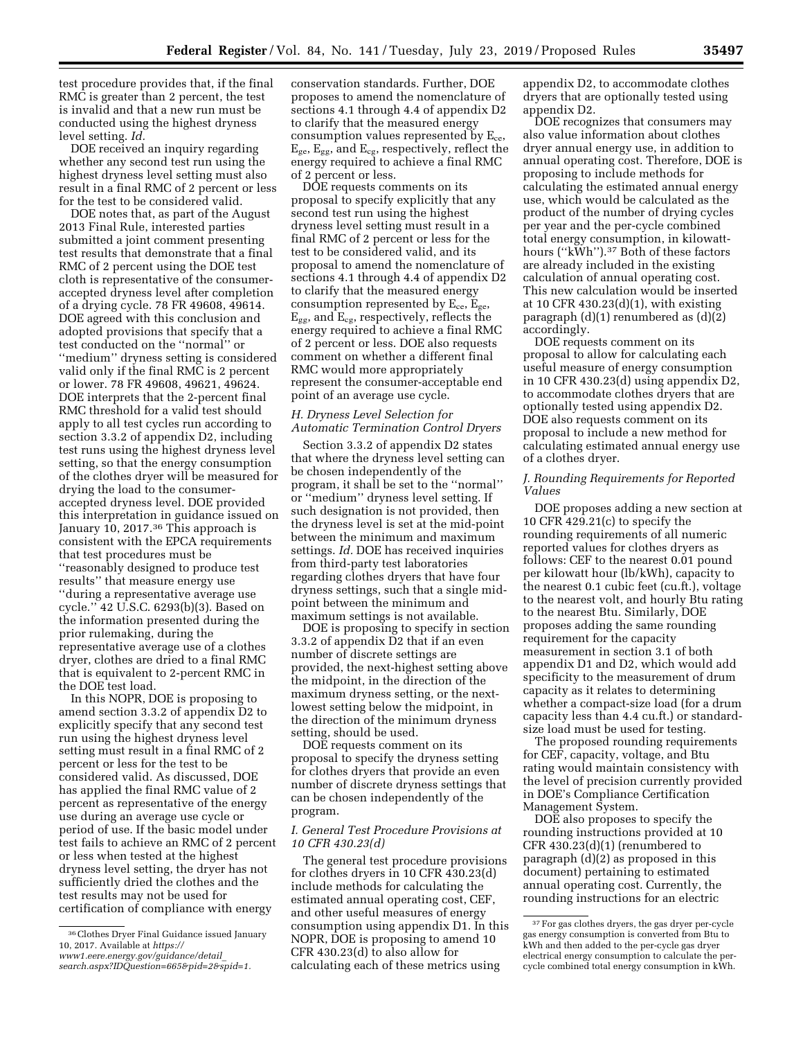test procedure provides that, if the final RMC is greater than 2 percent, the test is invalid and that a new run must be conducted using the highest dryness level setting. *Id.* 

DOE received an inquiry regarding whether any second test run using the highest dryness level setting must also result in a final RMC of 2 percent or less for the test to be considered valid.

DOE notes that, as part of the August 2013 Final Rule, interested parties submitted a joint comment presenting test results that demonstrate that a final RMC of 2 percent using the DOE test cloth is representative of the consumeraccepted dryness level after completion of a drying cycle. 78 FR 49608, 49614. DOE agreed with this conclusion and adopted provisions that specify that a test conducted on the ''normal'' or ''medium'' dryness setting is considered valid only if the final RMC is 2 percent or lower. 78 FR 49608, 49621, 49624. DOE interprets that the 2-percent final RMC threshold for a valid test should apply to all test cycles run according to section 3.3.2 of appendix D2, including test runs using the highest dryness level setting, so that the energy consumption of the clothes dryer will be measured for drying the load to the consumeraccepted dryness level. DOE provided this interpretation in guidance issued on January 10, 2017.<sup>36</sup> This approach is consistent with the EPCA requirements that test procedures must be ''reasonably designed to produce test results'' that measure energy use ''during a representative average use cycle.'' 42 U.S.C. 6293(b)(3). Based on the information presented during the prior rulemaking, during the representative average use of a clothes dryer, clothes are dried to a final RMC that is equivalent to 2-percent RMC in the DOE test load.

In this NOPR, DOE is proposing to amend section 3.3.2 of appendix D2 to explicitly specify that any second test run using the highest dryness level setting must result in a final RMC of 2 percent or less for the test to be considered valid. As discussed, DOE has applied the final RMC value of 2 percent as representative of the energy use during an average use cycle or period of use. If the basic model under test fails to achieve an RMC of 2 percent or less when tested at the highest dryness level setting, the dryer has not sufficiently dried the clothes and the test results may not be used for certification of compliance with energy

conservation standards. Further, DOE proposes to amend the nomenclature of sections 4.1 through 4.4 of appendix D2 to clarify that the measured energy consumption values represented by  $E_{ce}$ , Ege, Egg, and Ecg, respectively, reflect the energy required to achieve a final RMC of 2 percent or less.

DOE requests comments on its proposal to specify explicitly that any second test run using the highest dryness level setting must result in a final RMC of 2 percent or less for the test to be considered valid, and its proposal to amend the nomenclature of sections 4.1 through 4.4 of appendix D2 to clarify that the measured energy consumption represented by  $E_{ce}$ ,  $E_{ge}$ ,  $E_{gg}$ , and  $E_{cg}$ , respectively, reflects the energy required to achieve a final RMC of 2 percent or less. DOE also requests comment on whether a different final RMC would more appropriately represent the consumer-acceptable end point of an average use cycle.

#### *H. Dryness Level Selection for Automatic Termination Control Dryers*

Section 3.3.2 of appendix D2 states that where the dryness level setting can be chosen independently of the program, it shall be set to the ''normal'' or ''medium'' dryness level setting. If such designation is not provided, then the dryness level is set at the mid-point between the minimum and maximum settings. *Id.* DOE has received inquiries from third-party test laboratories regarding clothes dryers that have four dryness settings, such that a single midpoint between the minimum and maximum settings is not available.

DOE is proposing to specify in section 3.3.2 of appendix D2 that if an even number of discrete settings are provided, the next-highest setting above the midpoint, in the direction of the maximum dryness setting, or the nextlowest setting below the midpoint, in the direction of the minimum dryness setting, should be used.

DOE requests comment on its proposal to specify the dryness setting for clothes dryers that provide an even number of discrete dryness settings that can be chosen independently of the program.

### *I. General Test Procedure Provisions at 10 CFR 430.23(d)*

The general test procedure provisions for clothes dryers in 10 CFR 430.23(d) include methods for calculating the estimated annual operating cost, CEF, and other useful measures of energy consumption using appendix D1. In this NOPR, DOE is proposing to amend 10 CFR 430.23(d) to also allow for calculating each of these metrics using

appendix D2, to accommodate clothes dryers that are optionally tested using appendix D2.

DOE recognizes that consumers may also value information about clothes dryer annual energy use, in addition to annual operating cost. Therefore, DOE is proposing to include methods for calculating the estimated annual energy use, which would be calculated as the product of the number of drying cycles per year and the per-cycle combined total energy consumption, in kilowatthours (''kWh'').37 Both of these factors are already included in the existing calculation of annual operating cost. This new calculation would be inserted at 10 CFR 430.23(d)(1), with existing paragraph (d)(1) renumbered as (d)(2) accordingly.

DOE requests comment on its proposal to allow for calculating each useful measure of energy consumption in 10 CFR 430.23(d) using appendix D2, to accommodate clothes dryers that are optionally tested using appendix D2. DOE also requests comment on its proposal to include a new method for calculating estimated annual energy use of a clothes dryer.

### *J. Rounding Requirements for Reported Values*

DOE proposes adding a new section at 10 CFR 429.21(c) to specify the rounding requirements of all numeric reported values for clothes dryers as follows: CEF to the nearest 0.01 pound per kilowatt hour (lb/kWh), capacity to the nearest 0.1 cubic feet (cu.ft.), voltage to the nearest volt, and hourly Btu rating to the nearest Btu. Similarly, DOE proposes adding the same rounding requirement for the capacity measurement in section 3.1 of both appendix D1 and D2, which would add specificity to the measurement of drum capacity as it relates to determining whether a compact-size load (for a drum capacity less than 4.4 cu.ft.) or standardsize load must be used for testing.

The proposed rounding requirements for CEF, capacity, voltage, and Btu rating would maintain consistency with the level of precision currently provided in DOE's Compliance Certification Management System.

DOE also proposes to specify the rounding instructions provided at 10 CFR 430.23(d)(1) (renumbered to paragraph (d)(2) as proposed in this document) pertaining to estimated annual operating cost. Currently, the rounding instructions for an electric

<sup>36</sup>Clothes Dryer Final Guidance issued January 10, 2017. Available at *[https://](https://www1.eere.energy.gov/guidance/detail_search.aspx?IDQuestion=665&pid=2&spid=1) [www1.eere.energy.gov/guidance/detail](https://www1.eere.energy.gov/guidance/detail_search.aspx?IDQuestion=665&pid=2&spid=1)*\_ *[search.aspx?IDQuestion=665&pid=2&spid=1.](https://www1.eere.energy.gov/guidance/detail_search.aspx?IDQuestion=665&pid=2&spid=1)* 

<sup>37</sup>For gas clothes dryers, the gas dryer per-cycle gas energy consumption is converted from Btu to kWh and then added to the per-cycle gas dryer electrical energy consumption to calculate the percycle combined total energy consumption in kWh.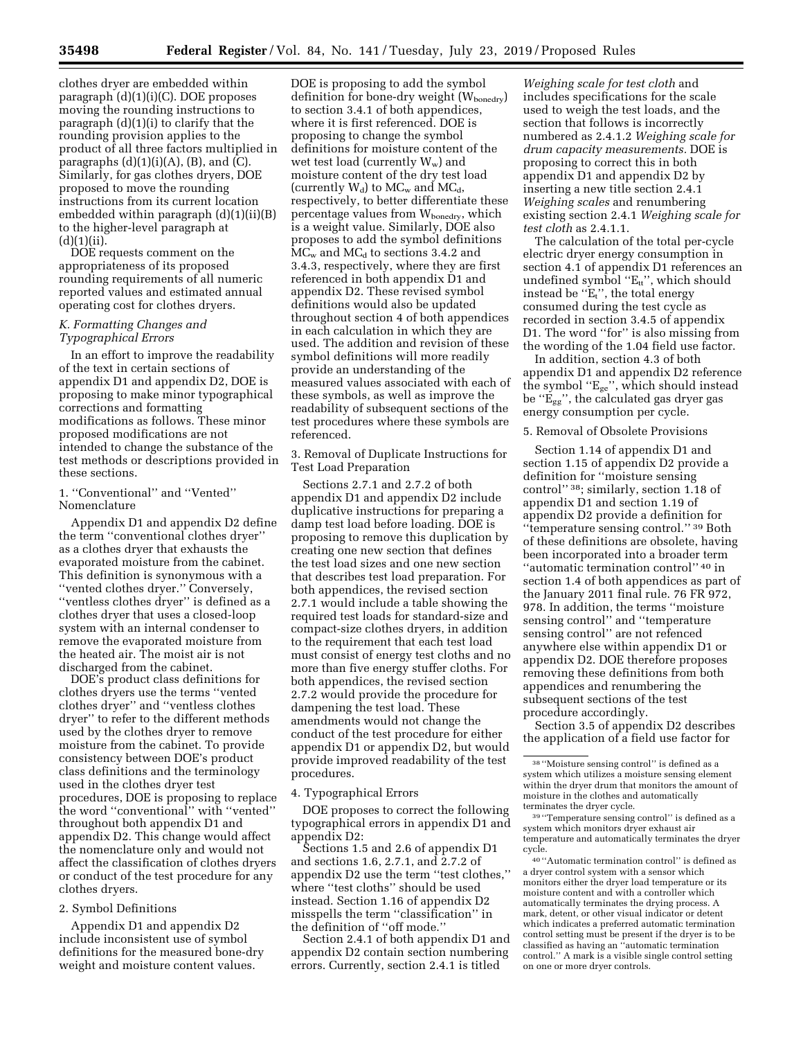clothes dryer are embedded within paragraph (d)(1)(i)(C). DOE proposes moving the rounding instructions to paragraph (d)(1)(i) to clarify that the rounding provision applies to the product of all three factors multiplied in paragraphs  $(d)(1)(i)(A)$ ,  $(B)$ , and  $(C)$ . Similarly, for gas clothes dryers, DOE proposed to move the rounding instructions from its current location embedded within paragraph (d)(1)(ii)(B) to the higher-level paragraph at  $(d)(1)(ii)$ .

DOE requests comment on the appropriateness of its proposed rounding requirements of all numeric reported values and estimated annual operating cost for clothes dryers.

### *K. Formatting Changes and Typographical Errors*

In an effort to improve the readability of the text in certain sections of appendix D1 and appendix D2, DOE is proposing to make minor typographical corrections and formatting modifications as follows. These minor proposed modifications are not intended to change the substance of the test methods or descriptions provided in these sections.

1. ''Conventional'' and ''Vented'' Nomenclature

Appendix D1 and appendix D2 define the term ''conventional clothes dryer'' as a clothes dryer that exhausts the evaporated moisture from the cabinet. This definition is synonymous with a ''vented clothes dryer.'' Conversely, ''ventless clothes dryer'' is defined as a clothes dryer that uses a closed-loop system with an internal condenser to remove the evaporated moisture from the heated air. The moist air is not discharged from the cabinet.

DOE's product class definitions for clothes dryers use the terms ''vented clothes dryer'' and ''ventless clothes dryer'' to refer to the different methods used by the clothes dryer to remove moisture from the cabinet. To provide consistency between DOE's product class definitions and the terminology used in the clothes dryer test procedures, DOE is proposing to replace the word ''conventional'' with ''vented'' throughout both appendix D1 and appendix D2. This change would affect the nomenclature only and would not affect the classification of clothes dryers or conduct of the test procedure for any clothes dryers.

### 2. Symbol Definitions

Appendix D1 and appendix D2 include inconsistent use of symbol definitions for the measured bone-dry weight and moisture content values.

DOE is proposing to add the symbol definition for bone-dry weight (W<sub>bonedry</sub>) to section 3.4.1 of both appendices, where it is first referenced. DOE is proposing to change the symbol definitions for moisture content of the wet test load (currently  $W_w$ ) and moisture content of the dry test load (currently  $W_d$ ) to  $MC_w$  and  $MC_d$ , respectively, to better differentiate these percentage values from Wbonedry, which is a weight value. Similarly, DOE also proposes to add the symbol definitions  $MC<sub>w</sub>$  and  $MC<sub>d</sub>$  to sections 3.4.2 and 3.4.3, respectively, where they are first referenced in both appendix D1 and appendix D2. These revised symbol definitions would also be updated throughout section 4 of both appendices in each calculation in which they are used. The addition and revision of these symbol definitions will more readily provide an understanding of the measured values associated with each of these symbols, as well as improve the readability of subsequent sections of the test procedures where these symbols are referenced.

3. Removal of Duplicate Instructions for Test Load Preparation

Sections 2.7.1 and 2.7.2 of both appendix D1 and appendix D2 include duplicative instructions for preparing a damp test load before loading. DOE is proposing to remove this duplication by creating one new section that defines the test load sizes and one new section that describes test load preparation. For both appendices, the revised section 2.7.1 would include a table showing the required test loads for standard-size and compact-size clothes dryers, in addition to the requirement that each test load must consist of energy test cloths and no more than five energy stuffer cloths. For both appendices, the revised section 2.7.2 would provide the procedure for dampening the test load. These amendments would not change the conduct of the test procedure for either appendix D1 or appendix D2, but would provide improved readability of the test procedures.

4. Typographical Errors

DOE proposes to correct the following typographical errors in appendix D1 and appendix D2:

Sections 1.5 and 2.6 of appendix D1 and sections 1.6, 2.7.1, and 2.7.2 of appendix D2 use the term ''test clothes,'' where ''test cloths'' should be used instead. Section 1.16 of appendix D2 misspells the term ''classification'' in the definition of ''off mode.''

Section 2.4.1 of both appendix D1 and appendix D2 contain section numbering errors. Currently, section 2.4.1 is titled

*Weighing scale for test cloth* and includes specifications for the scale used to weigh the test loads, and the section that follows is incorrectly numbered as 2.4.1.2 *Weighing scale for drum capacity measurements.* DOE is proposing to correct this in both appendix D1 and appendix D2 by inserting a new title section 2.4.1 *Weighing scales* and renumbering existing section 2.4.1 *Weighing scale for test cloth* as 2.4.1.1.

The calculation of the total per-cycle electric dryer energy consumption in section 4.1 of appendix D1 references an undefined symbol "E<sub>tt</sub>", which should instead be " $E_t$ ", the total energy consumed during the test cycle as recorded in section 3.4.5 of appendix D1. The word "for" is also missing from the wording of the 1.04 field use factor.

In addition, section 4.3 of both appendix D1 and appendix D2 reference the symbol ''Ege'', which should instead be ''Egg'', the calculated gas dryer gas energy consumption per cycle.

### 5. Removal of Obsolete Provisions

Section 1.14 of appendix D1 and section 1.15 of appendix D2 provide a definition for ''moisture sensing control'' 38; similarly, section 1.18 of appendix D1 and section 1.19 of appendix D2 provide a definition for ''temperature sensing control.'' 39 Both of these definitions are obsolete, having been incorporated into a broader term ''automatic termination control'' 40 in section 1.4 of both appendices as part of the January 2011 final rule. 76 FR 972, 978. In addition, the terms ''moisture sensing control'' and ''temperature sensing control'' are not refenced anywhere else within appendix D1 or appendix D2. DOE therefore proposes removing these definitions from both appendices and renumbering the subsequent sections of the test procedure accordingly.

Section 3.5 of appendix D2 describes the application of a field use factor for

40 ''Automatic termination control'' is defined as a dryer control system with a sensor which monitors either the dryer load temperature or its moisture content and with a controller which automatically terminates the drying process. A mark, detent, or other visual indicator or detent which indicates a preferred automatic termination control setting must be present if the dryer is to be classified as having an ''automatic termination control.'' A mark is a visible single control setting on one or more dryer controls.

<sup>38</sup> ''Moisture sensing control'' is defined as a system which utilizes a moisture sensing element within the dryer drum that monitors the amount of moisture in the clothes and automatically terminates the dryer cycle.

<sup>39</sup> ''Temperature sensing control'' is defined as a system which monitors dryer exhaust air temperature and automatically terminates the dryer cycle.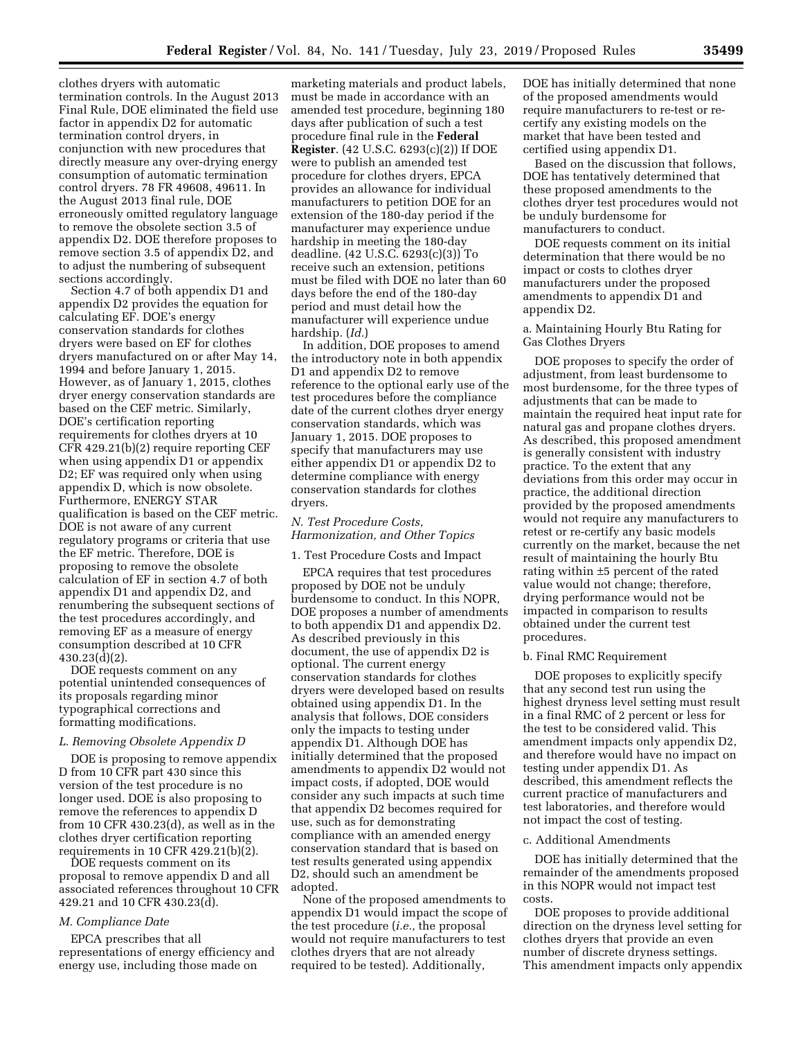clothes dryers with automatic termination controls. In the August 2013 Final Rule, DOE eliminated the field use factor in appendix D2 for automatic termination control dryers, in conjunction with new procedures that directly measure any over-drying energy consumption of automatic termination control dryers. 78 FR 49608, 49611. In the August 2013 final rule, DOE erroneously omitted regulatory language to remove the obsolete section 3.5 of appendix D2. DOE therefore proposes to remove section 3.5 of appendix D2, and to adjust the numbering of subsequent sections accordingly.

Section 4.7 of both appendix D1 and appendix D2 provides the equation for calculating EF. DOE's energy conservation standards for clothes dryers were based on EF for clothes dryers manufactured on or after May 14, 1994 and before January 1, 2015. However, as of January 1, 2015, clothes dryer energy conservation standards are based on the CEF metric. Similarly, DOE's certification reporting requirements for clothes dryers at 10 CFR 429.21(b)(2) require reporting CEF when using appendix D1 or appendix D2; EF was required only when using appendix D, which is now obsolete. Furthermore, ENERGY STAR qualification is based on the CEF metric. DOE is not aware of any current regulatory programs or criteria that use the EF metric. Therefore, DOE is proposing to remove the obsolete calculation of EF in section 4.7 of both appendix D1 and appendix D2, and renumbering the subsequent sections of the test procedures accordingly, and removing EF as a measure of energy consumption described at 10 CFR 430.23(d)(2).

DOE requests comment on any potential unintended consequences of its proposals regarding minor typographical corrections and formatting modifications.

### *L. Removing Obsolete Appendix D*

DOE is proposing to remove appendix D from 10 CFR part 430 since this version of the test procedure is no longer used. DOE is also proposing to remove the references to appendix D from 10 CFR 430.23(d), as well as in the clothes dryer certification reporting requirements in 10 CFR 429.21(b)(2).

DOE requests comment on its proposal to remove appendix D and all associated references throughout 10 CFR 429.21 and 10 CFR 430.23(d).

#### *M. Compliance Date*

EPCA prescribes that all representations of energy efficiency and energy use, including those made on

marketing materials and product labels, must be made in accordance with an amended test procedure, beginning 180 days after publication of such a test procedure final rule in the **Federal Register**. (42 U.S.C. 6293(c)(2)) If DOE were to publish an amended test procedure for clothes dryers, EPCA provides an allowance for individual manufacturers to petition DOE for an extension of the 180-day period if the manufacturer may experience undue hardship in meeting the 180-day deadline. (42 U.S.C. 6293(c)(3)) To receive such an extension, petitions must be filed with DOE no later than 60 days before the end of the 180-day period and must detail how the manufacturer will experience undue hardship. (*Id.*)

In addition, DOE proposes to amend the introductory note in both appendix D1 and appendix D2 to remove reference to the optional early use of the test procedures before the compliance date of the current clothes dryer energy conservation standards, which was January 1, 2015. DOE proposes to specify that manufacturers may use either appendix D1 or appendix D2 to determine compliance with energy conservation standards for clothes dryers.

#### *N. Test Procedure Costs, Harmonization, and Other Topics*

1. Test Procedure Costs and Impact

EPCA requires that test procedures proposed by DOE not be unduly burdensome to conduct. In this NOPR, DOE proposes a number of amendments to both appendix D1 and appendix D2. As described previously in this document, the use of appendix D2 is optional. The current energy conservation standards for clothes dryers were developed based on results obtained using appendix D1. In the analysis that follows, DOE considers only the impacts to testing under appendix D1. Although DOE has initially determined that the proposed amendments to appendix D2 would not impact costs, if adopted, DOE would consider any such impacts at such time that appendix D2 becomes required for use, such as for demonstrating compliance with an amended energy conservation standard that is based on test results generated using appendix D2, should such an amendment be adopted.

None of the proposed amendments to appendix D1 would impact the scope of the test procedure (*i.e.,* the proposal would not require manufacturers to test clothes dryers that are not already required to be tested). Additionally,

DOE has initially determined that none of the proposed amendments would require manufacturers to re-test or recertify any existing models on the market that have been tested and certified using appendix D1.

Based on the discussion that follows, DOE has tentatively determined that these proposed amendments to the clothes dryer test procedures would not be unduly burdensome for manufacturers to conduct.

DOE requests comment on its initial determination that there would be no impact or costs to clothes dryer manufacturers under the proposed amendments to appendix D1 and appendix D2.

### a. Maintaining Hourly Btu Rating for Gas Clothes Dryers

DOE proposes to specify the order of adjustment, from least burdensome to most burdensome, for the three types of adjustments that can be made to maintain the required heat input rate for natural gas and propane clothes dryers. As described, this proposed amendment is generally consistent with industry practice. To the extent that any deviations from this order may occur in practice, the additional direction provided by the proposed amendments would not require any manufacturers to retest or re-certify any basic models currently on the market, because the net result of maintaining the hourly Btu rating within ±5 percent of the rated value would not change; therefore, drying performance would not be impacted in comparison to results obtained under the current test procedures.

#### b. Final RMC Requirement

DOE proposes to explicitly specify that any second test run using the highest dryness level setting must result in a final RMC of 2 percent or less for the test to be considered valid. This amendment impacts only appendix D2, and therefore would have no impact on testing under appendix D1. As described, this amendment reflects the current practice of manufacturers and test laboratories, and therefore would not impact the cost of testing.

#### c. Additional Amendments

DOE has initially determined that the remainder of the amendments proposed in this NOPR would not impact test costs.

DOE proposes to provide additional direction on the dryness level setting for clothes dryers that provide an even number of discrete dryness settings. This amendment impacts only appendix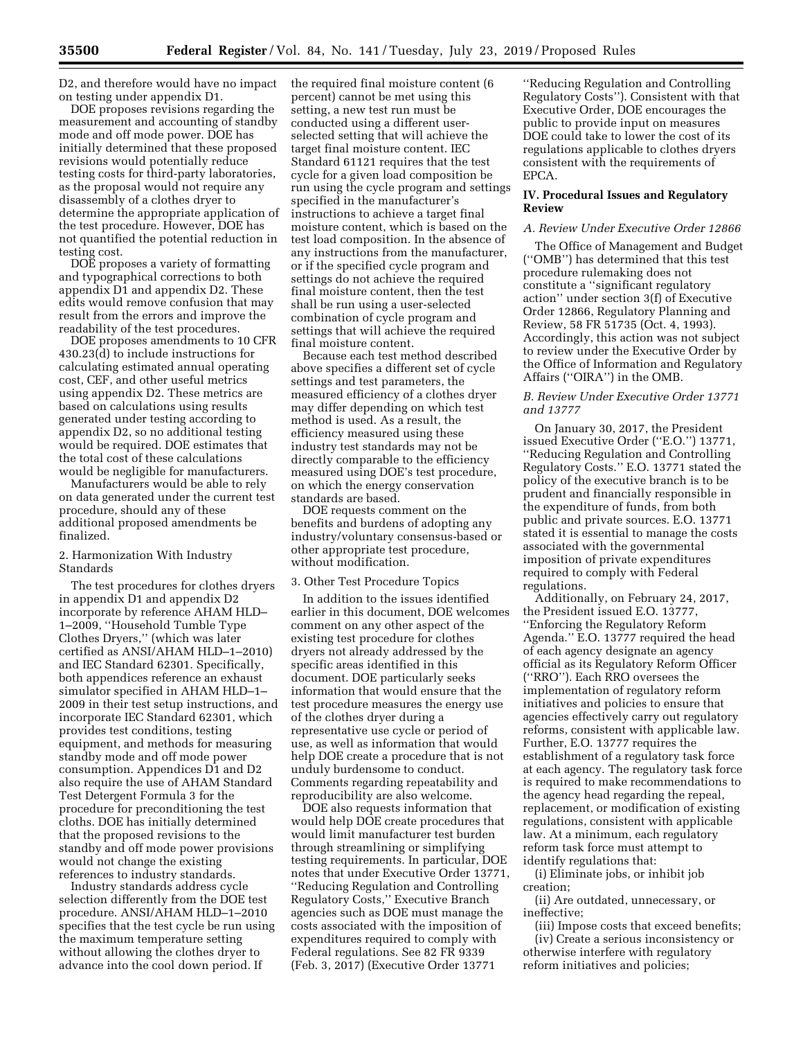D2, and therefore would have no impact on testing under appendix D1.

DOE proposes revisions regarding the measurement and accounting of standby mode and off mode power. DOE has initially determined that these proposed revisions would potentially reduce testing costs for third-party laboratories, as the proposal would not require any disassembly of a clothes dryer to determine the appropriate application of the test procedure. However, DOE has not quantified the potential reduction in testing cost.

DOE proposes a variety of formatting and typographical corrections to both appendix D1 and appendix D2. These edits would remove confusion that may result from the errors and improve the readability of the test procedures.

DOE proposes amendments to 10 CFR 430.23(d) to include instructions for calculating estimated annual operating cost, CEF, and other useful metrics using appendix D2. These metrics are based on calculations using results generated under testing according to appendix D2, so no additional testing would be required. DOE estimates that the total cost of these calculations would be negligible for manufacturers.

Manufacturers would be able to rely on data generated under the current test procedure, should any of these additional proposed amendments be finalized.

### 2. Harmonization With Industry Standards

The test procedures for clothes dryers in appendix D1 and appendix D2 incorporate by reference AHAM HLD– 1–2009, ''Household Tumble Type Clothes Dryers,'' (which was later certified as ANSI/AHAM HLD–1–2010) and IEC Standard 62301. Specifically, both appendices reference an exhaust simulator specified in AHAM HLD–1– 2009 in their test setup instructions, and incorporate IEC Standard 62301, which provides test conditions, testing equipment, and methods for measuring standby mode and off mode power consumption. Appendices D1 and D2 also require the use of AHAM Standard Test Detergent Formula 3 for the procedure for preconditioning the test cloths. DOE has initially determined that the proposed revisions to the standby and off mode power provisions would not change the existing references to industry standards.

Industry standards address cycle selection differently from the DOE test procedure. ANSI/AHAM HLD–1–2010 specifies that the test cycle be run using the maximum temperature setting without allowing the clothes dryer to advance into the cool down period. If

the required final moisture content (6 percent) cannot be met using this setting, a new test run must be conducted using a different userselected setting that will achieve the target final moisture content. IEC Standard 61121 requires that the test cycle for a given load composition be run using the cycle program and settings specified in the manufacturer's instructions to achieve a target final moisture content, which is based on the test load composition. In the absence of any instructions from the manufacturer, or if the specified cycle program and settings do not achieve the required final moisture content, then the test shall be run using a user-selected combination of cycle program and settings that will achieve the required final moisture content.

Because each test method described above specifies a different set of cycle settings and test parameters, the measured efficiency of a clothes dryer may differ depending on which test method is used. As a result, the efficiency measured using these industry test standards may not be directly comparable to the efficiency measured using DOE's test procedure, on which the energy conservation standards are based.

DOE requests comment on the benefits and burdens of adopting any industry/voluntary consensus-based or other appropriate test procedure, without modification.

### 3. Other Test Procedure Topics

In addition to the issues identified earlier in this document, DOE welcomes comment on any other aspect of the existing test procedure for clothes dryers not already addressed by the specific areas identified in this document. DOE particularly seeks information that would ensure that the test procedure measures the energy use of the clothes dryer during a representative use cycle or period of use, as well as information that would help DOE create a procedure that is not unduly burdensome to conduct. Comments regarding repeatability and reproducibility are also welcome.

DOE also requests information that would help DOE create procedures that would limit manufacturer test burden through streamlining or simplifying testing requirements. In particular, DOE notes that under Executive Order 13771, ''Reducing Regulation and Controlling Regulatory Costs,'' Executive Branch agencies such as DOE must manage the costs associated with the imposition of expenditures required to comply with Federal regulations. See 82 FR 9339 (Feb. 3, 2017) (Executive Order 13771

''Reducing Regulation and Controlling Regulatory Costs''). Consistent with that Executive Order, DOE encourages the public to provide input on measures DOE could take to lower the cost of its regulations applicable to clothes dryers consistent with the requirements of EPCA.

### **IV. Procedural Issues and Regulatory Review**

### *A. Review Under Executive Order 12866*

The Office of Management and Budget (''OMB'') has determined that this test procedure rulemaking does not constitute a ''significant regulatory action'' under section 3(f) of Executive Order 12866, Regulatory Planning and Review, 58 FR 51735 (Oct. 4, 1993). Accordingly, this action was not subject to review under the Executive Order by the Office of Information and Regulatory Affairs (''OIRA'') in the OMB.

### *B. Review Under Executive Order 13771 and 13777*

On January 30, 2017, the President issued Executive Order (''E.O.'') 13771, ''Reducing Regulation and Controlling Regulatory Costs.'' E.O. 13771 stated the policy of the executive branch is to be prudent and financially responsible in the expenditure of funds, from both public and private sources. E.O. 13771 stated it is essential to manage the costs associated with the governmental imposition of private expenditures required to comply with Federal regulations.

Additionally, on February 24, 2017, the President issued E.O. 13777, ''Enforcing the Regulatory Reform Agenda.'' E.O. 13777 required the head of each agency designate an agency official as its Regulatory Reform Officer (''RRO''). Each RRO oversees the implementation of regulatory reform initiatives and policies to ensure that agencies effectively carry out regulatory reforms, consistent with applicable law. Further, E.O. 13777 requires the establishment of a regulatory task force at each agency. The regulatory task force is required to make recommendations to the agency head regarding the repeal, replacement, or modification of existing regulations, consistent with applicable law. At a minimum, each regulatory reform task force must attempt to identify regulations that:

(i) Eliminate jobs, or inhibit job creation;

(ii) Are outdated, unnecessary, or ineffective;

(iii) Impose costs that exceed benefits; (iv) Create a serious inconsistency or otherwise interfere with regulatory reform initiatives and policies;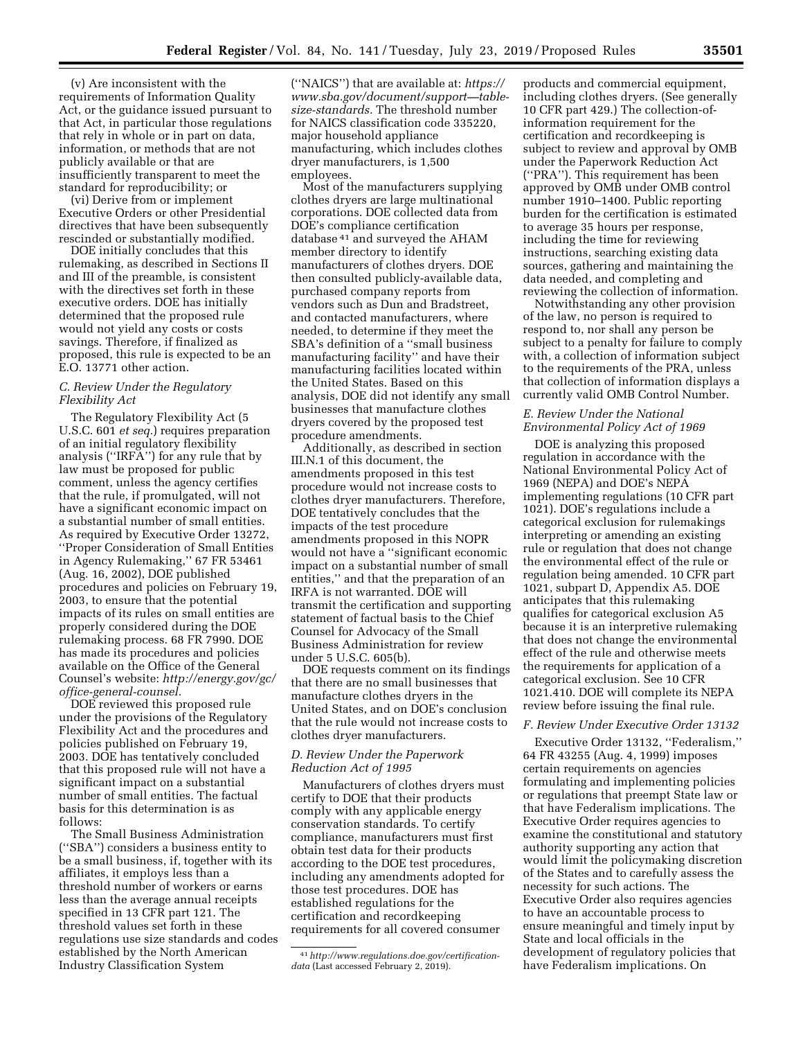(v) Are inconsistent with the requirements of Information Quality Act, or the guidance issued pursuant to that Act, in particular those regulations that rely in whole or in part on data, information, or methods that are not publicly available or that are insufficiently transparent to meet the standard for reproducibility; or

(vi) Derive from or implement Executive Orders or other Presidential directives that have been subsequently rescinded or substantially modified.

DOE initially concludes that this rulemaking, as described in Sections II and III of the preamble, is consistent with the directives set forth in these executive orders. DOE has initially determined that the proposed rule would not yield any costs or costs savings. Therefore, if finalized as proposed, this rule is expected to be an E.O. 13771 other action.

### *C. Review Under the Regulatory Flexibility Act*

The Regulatory Flexibility Act (5 U.S.C. 601 *et seq.*) requires preparation of an initial regulatory flexibility analysis (''IRFA'') for any rule that by law must be proposed for public comment, unless the agency certifies that the rule, if promulgated, will not have a significant economic impact on a substantial number of small entities. As required by Executive Order 13272, ''Proper Consideration of Small Entities in Agency Rulemaking,'' 67 FR 53461 (Aug. 16, 2002), DOE published procedures and policies on February 19, 2003, to ensure that the potential impacts of its rules on small entities are properly considered during the DOE rulemaking process. 68 FR 7990. DOE has made its procedures and policies available on the Office of the General Counsel's website: *[http://energy.gov/gc/](http://energy.gov/gc/office-general-counsel) [office-general-counsel.](http://energy.gov/gc/office-general-counsel)* 

DOE reviewed this proposed rule under the provisions of the Regulatory Flexibility Act and the procedures and policies published on February 19, 2003. DOE has tentatively concluded that this proposed rule will not have a significant impact on a substantial number of small entities. The factual basis for this determination is as follows:

The Small Business Administration (''SBA'') considers a business entity to be a small business, if, together with its affiliates, it employs less than a threshold number of workers or earns less than the average annual receipts specified in 13 CFR part 121. The threshold values set forth in these regulations use size standards and codes established by the North American Industry Classification System

(''NAICS'') that are available at: *[https://](https://www.sba.gov/document/support_table-size-standards)  [www.sba.gov/document/support—table](https://www.sba.gov/document/support_table-size-standards)[size-standards.](https://www.sba.gov/document/support_table-size-standards)* The threshold number for NAICS classification code 335220, major household appliance manufacturing, which includes clothes dryer manufacturers, is 1,500 employees.

Most of the manufacturers supplying clothes dryers are large multinational corporations. DOE collected data from DOE's compliance certification database 41 and surveyed the AHAM member directory to identify manufacturers of clothes dryers. DOE then consulted publicly-available data, purchased company reports from vendors such as Dun and Bradstreet, and contacted manufacturers, where needed, to determine if they meet the SBA's definition of a ''small business manufacturing facility'' and have their manufacturing facilities located within the United States. Based on this analysis, DOE did not identify any small businesses that manufacture clothes dryers covered by the proposed test procedure amendments.

Additionally, as described in section III.N.1 of this document, the amendments proposed in this test procedure would not increase costs to clothes dryer manufacturers. Therefore, DOE tentatively concludes that the impacts of the test procedure amendments proposed in this NOPR would not have a ''significant economic impact on a substantial number of small entities,'' and that the preparation of an IRFA is not warranted. DOE will transmit the certification and supporting statement of factual basis to the Chief Counsel for Advocacy of the Small Business Administration for review under 5 U.S.C. 605(b).

DOE requests comment on its findings that there are no small businesses that manufacture clothes dryers in the United States, and on DOE's conclusion that the rule would not increase costs to clothes dryer manufacturers.

### *D. Review Under the Paperwork Reduction Act of 1995*

Manufacturers of clothes dryers must certify to DOE that their products comply with any applicable energy conservation standards. To certify compliance, manufacturers must first obtain test data for their products according to the DOE test procedures, including any amendments adopted for those test procedures. DOE has established regulations for the certification and recordkeeping requirements for all covered consumer

products and commercial equipment, including clothes dryers. (See generally 10 CFR part 429.) The collection-ofinformation requirement for the certification and recordkeeping is subject to review and approval by OMB under the Paperwork Reduction Act (''PRA''). This requirement has been approved by OMB under OMB control number 1910–1400. Public reporting burden for the certification is estimated to average 35 hours per response, including the time for reviewing instructions, searching existing data sources, gathering and maintaining the data needed, and completing and reviewing the collection of information.

Notwithstanding any other provision of the law, no person is required to respond to, nor shall any person be subject to a penalty for failure to comply with, a collection of information subject to the requirements of the PRA, unless that collection of information displays a currently valid OMB Control Number.

### *E. Review Under the National Environmental Policy Act of 1969*

DOE is analyzing this proposed regulation in accordance with the National Environmental Policy Act of 1969 (NEPA) and DOE's NEPA implementing regulations (10 CFR part 1021). DOE's regulations include a categorical exclusion for rulemakings interpreting or amending an existing rule or regulation that does not change the environmental effect of the rule or regulation being amended. 10 CFR part 1021, subpart D, Appendix A5. DOE anticipates that this rulemaking qualifies for categorical exclusion A5 because it is an interpretive rulemaking that does not change the environmental effect of the rule and otherwise meets the requirements for application of a categorical exclusion. See 10 CFR 1021.410. DOE will complete its NEPA review before issuing the final rule.

#### *F. Review Under Executive Order 13132*

Executive Order 13132, ''Federalism,'' 64 FR 43255 (Aug. 4, 1999) imposes certain requirements on agencies formulating and implementing policies or regulations that preempt State law or that have Federalism implications. The Executive Order requires agencies to examine the constitutional and statutory authority supporting any action that would limit the policymaking discretion of the States and to carefully assess the necessity for such actions. The Executive Order also requires agencies to have an accountable process to ensure meaningful and timely input by State and local officials in the development of regulatory policies that have Federalism implications. On

<sup>41</sup>*[http://www.regulations.doe.gov/certification](http://www.regulations.doe.gov/certification-data)[data](http://www.regulations.doe.gov/certification-data)* (Last accessed February 2, 2019).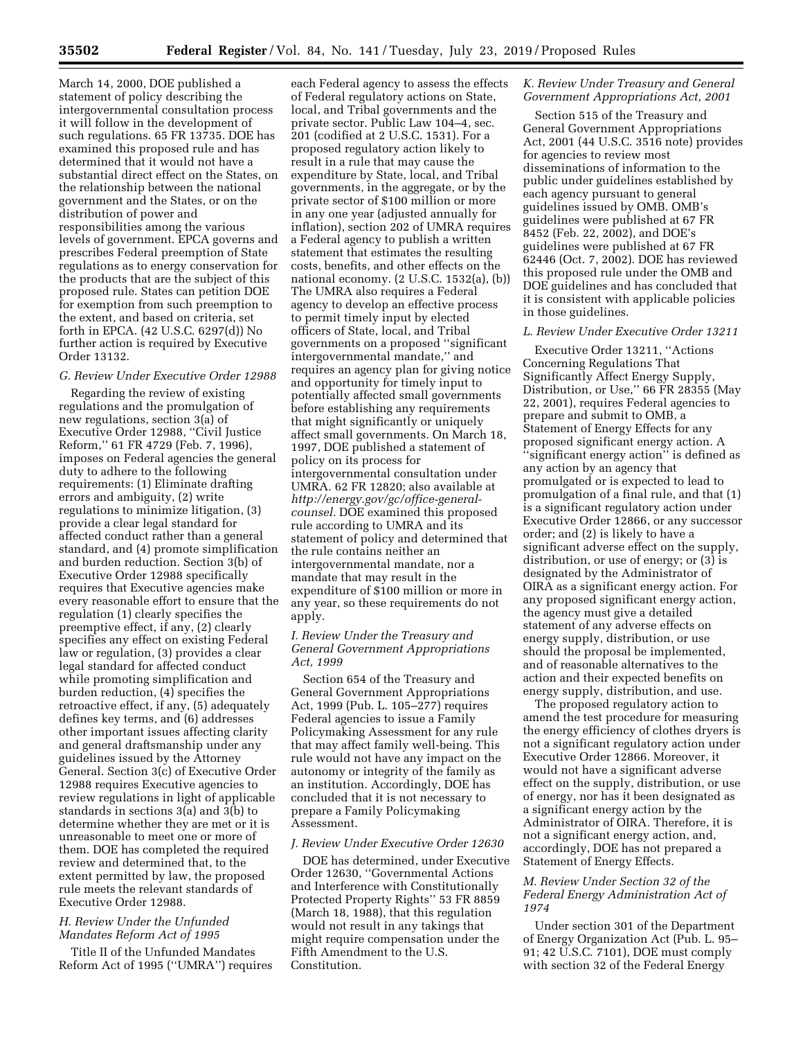March 14, 2000, DOE published a statement of policy describing the intergovernmental consultation process it will follow in the development of such regulations. 65 FR 13735. DOE has examined this proposed rule and has determined that it would not have a substantial direct effect on the States, on the relationship between the national government and the States, or on the distribution of power and responsibilities among the various levels of government. EPCA governs and prescribes Federal preemption of State regulations as to energy conservation for the products that are the subject of this proposed rule. States can petition DOE for exemption from such preemption to the extent, and based on criteria, set forth in EPCA. (42 U.S.C. 6297(d)) No further action is required by Executive Order 13132.

#### *G. Review Under Executive Order 12988*

Regarding the review of existing regulations and the promulgation of new regulations, section 3(a) of Executive Order 12988, ''Civil Justice Reform,'' 61 FR 4729 (Feb. 7, 1996), imposes on Federal agencies the general duty to adhere to the following requirements: (1) Eliminate drafting errors and ambiguity, (2) write regulations to minimize litigation, (3) provide a clear legal standard for affected conduct rather than a general standard, and (4) promote simplification and burden reduction. Section 3(b) of Executive Order 12988 specifically requires that Executive agencies make every reasonable effort to ensure that the regulation (1) clearly specifies the preemptive effect, if any, (2) clearly specifies any effect on existing Federal law or regulation, (3) provides a clear legal standard for affected conduct while promoting simplification and burden reduction, (4) specifies the retroactive effect, if any, (5) adequately defines key terms, and (6) addresses other important issues affecting clarity and general draftsmanship under any guidelines issued by the Attorney General. Section 3(c) of Executive Order 12988 requires Executive agencies to review regulations in light of applicable standards in sections 3(a) and 3(b) to determine whether they are met or it is unreasonable to meet one or more of them. DOE has completed the required review and determined that, to the extent permitted by law, the proposed rule meets the relevant standards of Executive Order 12988.

# *H. Review Under the Unfunded Mandates Reform Act of 1995*

Title II of the Unfunded Mandates Reform Act of 1995 (''UMRA'') requires

each Federal agency to assess the effects of Federal regulatory actions on State, local, and Tribal governments and the private sector. Public Law 104–4, sec. 201 (codified at 2 U.S.C. 1531). For a proposed regulatory action likely to result in a rule that may cause the expenditure by State, local, and Tribal governments, in the aggregate, or by the private sector of \$100 million or more in any one year (adjusted annually for inflation), section 202 of UMRA requires a Federal agency to publish a written statement that estimates the resulting costs, benefits, and other effects on the national economy. (2 U.S.C. 1532(a), (b)) The UMRA also requires a Federal agency to develop an effective process to permit timely input by elected officers of State, local, and Tribal governments on a proposed ''significant intergovernmental mandate,'' and requires an agency plan for giving notice and opportunity for timely input to potentially affected small governments before establishing any requirements that might significantly or uniquely affect small governments. On March 18, 1997, DOE published a statement of policy on its process for intergovernmental consultation under UMRA. 62 FR 12820; also available at *[http://energy.gov/gc/office-general](http://energy.gov/gc/office-general-counsel)[counsel.](http://energy.gov/gc/office-general-counsel)* DOE examined this proposed rule according to UMRA and its statement of policy and determined that the rule contains neither an intergovernmental mandate, nor a mandate that may result in the expenditure of \$100 million or more in any year, so these requirements do not apply.

#### *I. Review Under the Treasury and General Government Appropriations Act, 1999*

Section 654 of the Treasury and General Government Appropriations Act, 1999 (Pub. L. 105–277) requires Federal agencies to issue a Family Policymaking Assessment for any rule that may affect family well-being. This rule would not have any impact on the autonomy or integrity of the family as an institution. Accordingly, DOE has concluded that it is not necessary to prepare a Family Policymaking Assessment.

#### *J. Review Under Executive Order 12630*

DOE has determined, under Executive Order 12630, ''Governmental Actions and Interference with Constitutionally Protected Property Rights'' 53 FR 8859 (March 18, 1988), that this regulation would not result in any takings that might require compensation under the Fifth Amendment to the U.S. Constitution.

# *K. Review Under Treasury and General Government Appropriations Act, 2001*

Section 515 of the Treasury and General Government Appropriations Act, 2001 (44 U.S.C. 3516 note) provides for agencies to review most disseminations of information to the public under guidelines established by each agency pursuant to general guidelines issued by OMB. OMB's guidelines were published at 67 FR 8452 (Feb. 22, 2002), and DOE's guidelines were published at 67 FR 62446 (Oct. 7, 2002). DOE has reviewed this proposed rule under the OMB and DOE guidelines and has concluded that it is consistent with applicable policies in those guidelines.

#### *L. Review Under Executive Order 13211*

Executive Order 13211, ''Actions Concerning Regulations That Significantly Affect Energy Supply, Distribution, or Use,'' 66 FR 28355 (May 22, 2001), requires Federal agencies to prepare and submit to OMB, a Statement of Energy Effects for any proposed significant energy action. A "significant energy action" is defined as any action by an agency that promulgated or is expected to lead to promulgation of a final rule, and that (1) is a significant regulatory action under Executive Order 12866, or any successor order; and (2) is likely to have a significant adverse effect on the supply, distribution, or use of energy; or (3) is designated by the Administrator of OIRA as a significant energy action. For any proposed significant energy action, the agency must give a detailed statement of any adverse effects on energy supply, distribution, or use should the proposal be implemented, and of reasonable alternatives to the action and their expected benefits on energy supply, distribution, and use.

The proposed regulatory action to amend the test procedure for measuring the energy efficiency of clothes dryers is not a significant regulatory action under Executive Order 12866. Moreover, it would not have a significant adverse effect on the supply, distribution, or use of energy, nor has it been designated as a significant energy action by the Administrator of OIRA. Therefore, it is not a significant energy action, and, accordingly, DOE has not prepared a Statement of Energy Effects.

## *M. Review Under Section 32 of the Federal Energy Administration Act of 1974*

Under section 301 of the Department of Energy Organization Act (Pub. L. 95– 91; 42 U.S.C. 7101), DOE must comply with section 32 of the Federal Energy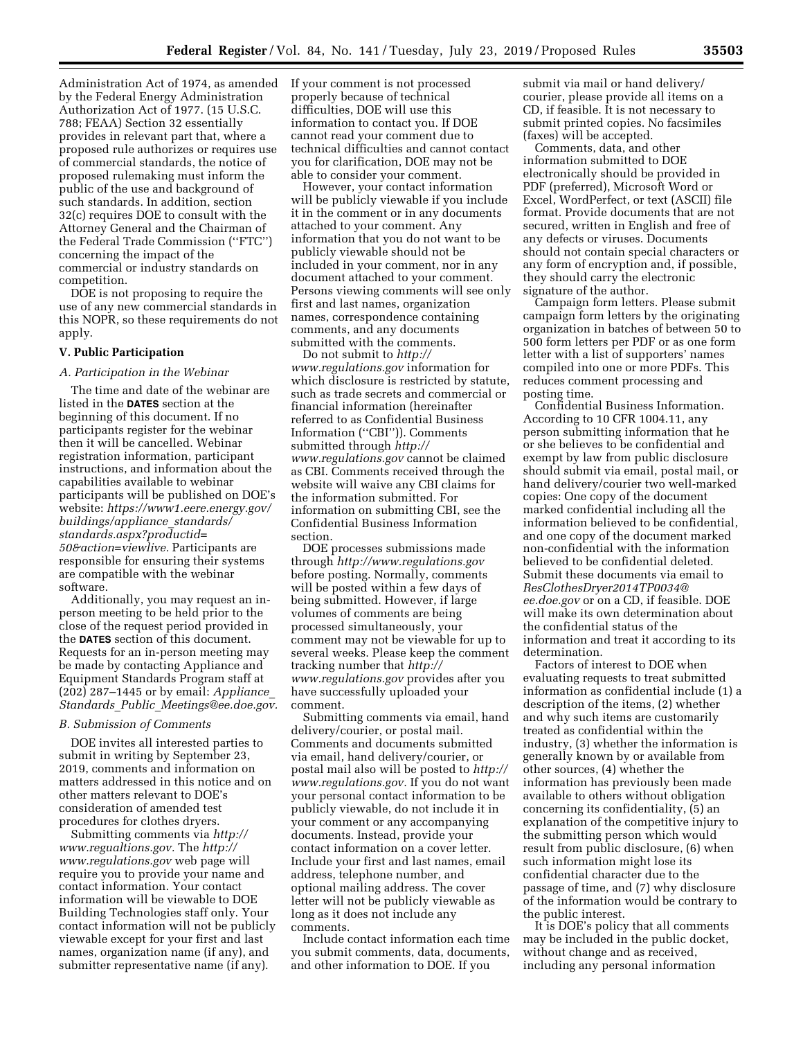Administration Act of 1974, as amended by the Federal Energy Administration Authorization Act of 1977. (15 U.S.C. 788; FEAA) Section 32 essentially provides in relevant part that, where a proposed rule authorizes or requires use of commercial standards, the notice of proposed rulemaking must inform the public of the use and background of such standards. In addition, section 32(c) requires DOE to consult with the Attorney General and the Chairman of the Federal Trade Commission (''FTC'') concerning the impact of the commercial or industry standards on competition.

DOE is not proposing to require the use of any new commercial standards in this NOPR, so these requirements do not apply.

### **V. Public Participation**

#### *A. Participation in the Webinar*

The time and date of the webinar are listed in the **DATES** section at the beginning of this document. If no participants register for the webinar then it will be cancelled. Webinar registration information, participant instructions, and information about the capabilities available to webinar participants will be published on DOE's website: *[https://www1.eere.energy.gov/](https://www1.eere.energy.gov/buildings/appliance_standards/standards.aspx?productid=50&action=viewlive)  [buildings/appliance](https://www1.eere.energy.gov/buildings/appliance_standards/standards.aspx?productid=50&action=viewlive)*\_*standards/ [standards.aspx?productid=](https://www1.eere.energy.gov/buildings/appliance_standards/standards.aspx?productid=50&action=viewlive) [50&action=viewlive.](https://www1.eere.energy.gov/buildings/appliance_standards/standards.aspx?productid=50&action=viewlive)* Participants are responsible for ensuring their systems are compatible with the webinar software.

Additionally, you may request an inperson meeting to be held prior to the close of the request period provided in the **DATES** section of this document. Requests for an in-person meeting may be made by contacting Appliance and Equipment Standards Program staff at (202) 287–1445 or by email: *[Appliance](mailto:Appliance_Standards_Public_Meetings@ee.doe.gov)*\_ *Standards*\_*Public*\_*[Meetings@ee.doe.gov.](mailto:Appliance_Standards_Public_Meetings@ee.doe.gov)* 

#### *B. Submission of Comments*

DOE invites all interested parties to submit in writing by September 23, 2019, comments and information on matters addressed in this notice and on other matters relevant to DOE's consideration of amended test procedures for clothes dryers.

Submitting comments via *[http://](http://www.regualtions.gov) [www.regualtions.gov.](http://www.regualtions.gov)* The *[http://](http://www.regulations.gov) [www.regulations.gov](http://www.regulations.gov)* web page will require you to provide your name and contact information. Your contact information will be viewable to DOE Building Technologies staff only. Your contact information will not be publicly viewable except for your first and last names, organization name (if any), and submitter representative name (if any).

If your comment is not processed properly because of technical difficulties, DOE will use this information to contact you. If DOE cannot read your comment due to technical difficulties and cannot contact you for clarification, DOE may not be able to consider your comment.

However, your contact information will be publicly viewable if you include it in the comment or in any documents attached to your comment. Any information that you do not want to be publicly viewable should not be included in your comment, nor in any document attached to your comment. Persons viewing comments will see only first and last names, organization names, correspondence containing comments, and any documents submitted with the comments.

Do not submit to *[http://](http://www.regulations.gov) [www.regulations.gov](http://www.regulations.gov)* information for which disclosure is restricted by statute, such as trade secrets and commercial or financial information (hereinafter referred to as Confidential Business Information (''CBI'')). Comments submitted through *[http://](http://www.regulations.gov) [www.regulations.gov](http://www.regulations.gov)* cannot be claimed as CBI. Comments received through the website will waive any CBI claims for the information submitted. For information on submitting CBI, see the Confidential Business Information section.

DOE processes submissions made through *<http://www.regulations.gov>*  before posting. Normally, comments will be posted within a few days of being submitted. However, if large volumes of comments are being processed simultaneously, your comment may not be viewable for up to several weeks. Please keep the comment tracking number that *[http://](http://www.regulations.gov) [www.regulations.gov](http://www.regulations.gov)* provides after you have successfully uploaded your comment.

Submitting comments via email, hand delivery/courier, or postal mail. Comments and documents submitted via email, hand delivery/courier, or postal mail also will be posted to *[http://](http://www.regulations.gov) [www.regulations.gov.](http://www.regulations.gov)* If you do not want your personal contact information to be publicly viewable, do not include it in your comment or any accompanying documents. Instead, provide your contact information on a cover letter. Include your first and last names, email address, telephone number, and optional mailing address. The cover letter will not be publicly viewable as long as it does not include any comments.

Include contact information each time you submit comments, data, documents, and other information to DOE. If you

submit via mail or hand delivery/ courier, please provide all items on a CD, if feasible. It is not necessary to submit printed copies. No facsimiles (faxes) will be accepted.

Comments, data, and other information submitted to DOE electronically should be provided in PDF (preferred), Microsoft Word or Excel, WordPerfect, or text (ASCII) file format. Provide documents that are not secured, written in English and free of any defects or viruses. Documents should not contain special characters or any form of encryption and, if possible, they should carry the electronic signature of the author.

Campaign form letters. Please submit campaign form letters by the originating organization in batches of between 50 to 500 form letters per PDF or as one form letter with a list of supporters' names compiled into one or more PDFs. This reduces comment processing and posting time.

Confidential Business Information. According to 10 CFR 1004.11, any person submitting information that he or she believes to be confidential and exempt by law from public disclosure should submit via email, postal mail, or hand delivery/courier two well-marked copies: One copy of the document marked confidential including all the information believed to be confidential, and one copy of the document marked non-confidential with the information believed to be confidential deleted. Submit these documents via email to *[ResClothesDryer2014TP0034@](mailto:ResClothesDryer2014TP0034@ee.doe.gov) [ee.doe.gov](mailto:ResClothesDryer2014TP0034@ee.doe.gov)* or on a CD, if feasible. DOE will make its own determination about the confidential status of the information and treat it according to its determination.

Factors of interest to DOE when evaluating requests to treat submitted information as confidential include (1) a description of the items, (2) whether and why such items are customarily treated as confidential within the industry, (3) whether the information is generally known by or available from other sources, (4) whether the information has previously been made available to others without obligation concerning its confidentiality, (5) an explanation of the competitive injury to the submitting person which would result from public disclosure, (6) when such information might lose its confidential character due to the passage of time, and (7) why disclosure of the information would be contrary to the public interest.

It is DOE's policy that all comments may be included in the public docket, without change and as received, including any personal information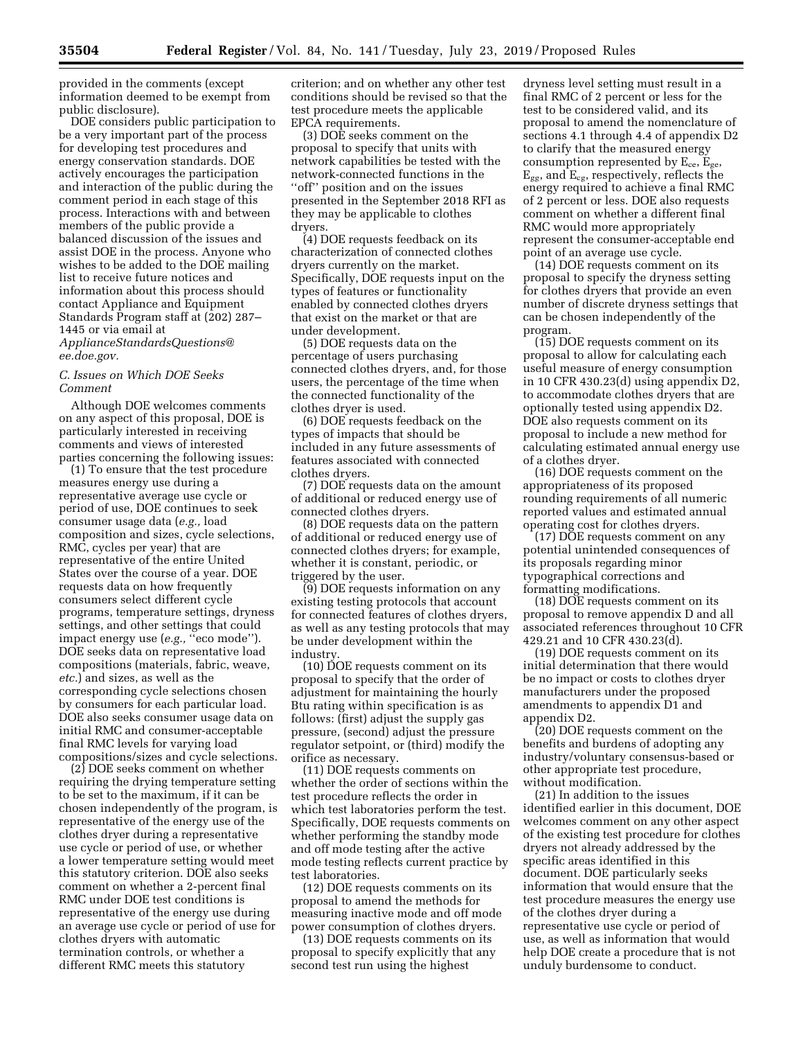provided in the comments (except information deemed to be exempt from public disclosure).

DOE considers public participation to be a very important part of the process for developing test procedures and energy conservation standards. DOE actively encourages the participation and interaction of the public during the comment period in each stage of this process. Interactions with and between members of the public provide a balanced discussion of the issues and assist DOE in the process. Anyone who wishes to be added to the DOE mailing list to receive future notices and information about this process should contact Appliance and Equipment Standards Program staff at (202) 287– 1445 or via email at *[ApplianceStandardsQuestions@](mailto:ApplianceStandardsQuestions@ee.doe.gov) [ee.doe.gov.](mailto:ApplianceStandardsQuestions@ee.doe.gov)* 

### *C. Issues on Which DOE Seeks Comment*

Although DOE welcomes comments on any aspect of this proposal, DOE is particularly interested in receiving comments and views of interested parties concerning the following issues:

(1) To ensure that the test procedure measures energy use during a representative average use cycle or period of use, DOE continues to seek consumer usage data (*e.g.,* load composition and sizes, cycle selections, RMC, cycles per year) that are representative of the entire United States over the course of a year. DOE requests data on how frequently consumers select different cycle programs, temperature settings, dryness settings, and other settings that could impact energy use (*e.g.,* ''eco mode''). DOE seeks data on representative load compositions (materials, fabric, weave, *etc.*) and sizes, as well as the corresponding cycle selections chosen by consumers for each particular load. DOE also seeks consumer usage data on initial RMC and consumer-acceptable final RMC levels for varying load compositions/sizes and cycle selections.

(2) DOE seeks comment on whether requiring the drying temperature setting to be set to the maximum, if it can be chosen independently of the program, is representative of the energy use of the clothes dryer during a representative use cycle or period of use, or whether a lower temperature setting would meet this statutory criterion. DOE also seeks comment on whether a 2-percent final RMC under DOE test conditions is representative of the energy use during an average use cycle or period of use for clothes dryers with automatic termination controls, or whether a different RMC meets this statutory

criterion; and on whether any other test conditions should be revised so that the test procedure meets the applicable EPCA requirements.

(3) DOE seeks comment on the proposal to specify that units with network capabilities be tested with the network-connected functions in the ''off'' position and on the issues presented in the September 2018 RFI as they may be applicable to clothes dryers.

(4) DOE requests feedback on its characterization of connected clothes dryers currently on the market. Specifically, DOE requests input on the types of features or functionality enabled by connected clothes dryers that exist on the market or that are under development.

(5) DOE requests data on the percentage of users purchasing connected clothes dryers, and, for those users, the percentage of the time when the connected functionality of the clothes dryer is used.

(6) DOE requests feedback on the types of impacts that should be included in any future assessments of features associated with connected clothes dryers.

(7) DOE requests data on the amount of additional or reduced energy use of connected clothes dryers.

(8) DOE requests data on the pattern of additional or reduced energy use of connected clothes dryers; for example, whether it is constant, periodic, or triggered by the user.

(9) DOE requests information on any existing testing protocols that account for connected features of clothes dryers, as well as any testing protocols that may be under development within the industry.

(10) DOE requests comment on its proposal to specify that the order of adjustment for maintaining the hourly Btu rating within specification is as follows: (first) adjust the supply gas pressure, (second) adjust the pressure regulator setpoint, or (third) modify the orifice as necessary.

(11) DOE requests comments on whether the order of sections within the test procedure reflects the order in which test laboratories perform the test. Specifically, DOE requests comments on whether performing the standby mode and off mode testing after the active mode testing reflects current practice by test laboratories.

(12) DOE requests comments on its proposal to amend the methods for measuring inactive mode and off mode power consumption of clothes dryers.

(13) DOE requests comments on its proposal to specify explicitly that any second test run using the highest

dryness level setting must result in a final RMC of 2 percent or less for the test to be considered valid, and its proposal to amend the nomenclature of sections 4.1 through 4.4 of appendix D2 to clarify that the measured energy consumption represented by  $E_{ce}$ ,  $E_{ge}$ ,  $E_{gg}$ , and  $E_{cg}$ , respectively, reflects the energy required to achieve a final RMC of 2 percent or less. DOE also requests comment on whether a different final RMC would more appropriately represent the consumer-acceptable end point of an average use cycle.

(14) DOE requests comment on its proposal to specify the dryness setting for clothes dryers that provide an even number of discrete dryness settings that can be chosen independently of the program.

(15) DOE requests comment on its proposal to allow for calculating each useful measure of energy consumption in 10 CFR 430.23(d) using appendix D2, to accommodate clothes dryers that are optionally tested using appendix D2. DOE also requests comment on its proposal to include a new method for calculating estimated annual energy use of a clothes dryer.

(16) DOE requests comment on the appropriateness of its proposed rounding requirements of all numeric reported values and estimated annual operating cost for clothes dryers.

(17) DOE requests comment on any potential unintended consequences of its proposals regarding minor typographical corrections and formatting modifications.

(18) DOE requests comment on its proposal to remove appendix D and all associated references throughout 10 CFR 429.21 and 10 CFR 430.23(d).

(19) DOE requests comment on its initial determination that there would be no impact or costs to clothes dryer manufacturers under the proposed amendments to appendix D1 and appendix D2.

(20) DOE requests comment on the benefits and burdens of adopting any industry/voluntary consensus-based or other appropriate test procedure, without modification.

(21) In addition to the issues identified earlier in this document, DOE welcomes comment on any other aspect of the existing test procedure for clothes dryers not already addressed by the specific areas identified in this document. DOE particularly seeks information that would ensure that the test procedure measures the energy use of the clothes dryer during a representative use cycle or period of use, as well as information that would help DOE create a procedure that is not unduly burdensome to conduct.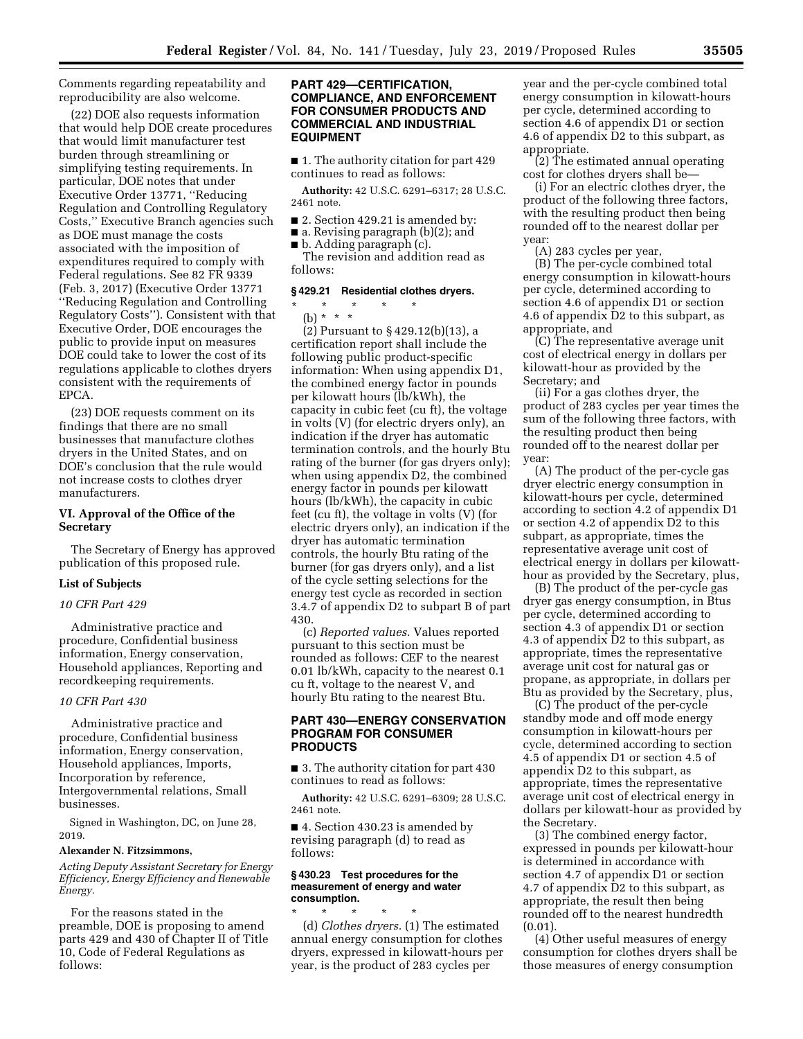Comments regarding repeatability and reproducibility are also welcome.

(22) DOE also requests information that would help DOE create procedures that would limit manufacturer test burden through streamlining or simplifying testing requirements. In particular, DOE notes that under Executive Order 13771, ''Reducing Regulation and Controlling Regulatory Costs,'' Executive Branch agencies such as DOE must manage the costs associated with the imposition of expenditures required to comply with Federal regulations. See 82 FR 9339 (Feb. 3, 2017) (Executive Order 13771 ''Reducing Regulation and Controlling Regulatory Costs''). Consistent with that Executive Order, DOE encourages the public to provide input on measures DOE could take to lower the cost of its regulations applicable to clothes dryers consistent with the requirements of EPCA.

(23) DOE requests comment on its findings that there are no small businesses that manufacture clothes dryers in the United States, and on DOE's conclusion that the rule would not increase costs to clothes dryer manufacturers.

# **VI. Approval of the Office of the Secretary**

The Secretary of Energy has approved publication of this proposed rule.

#### **List of Subjects**

#### *10 CFR Part 429*

Administrative practice and procedure, Confidential business information, Energy conservation, Household appliances, Reporting and recordkeeping requirements.

#### *10 CFR Part 430*

Administrative practice and procedure, Confidential business information, Energy conservation, Household appliances, Imports, Incorporation by reference, Intergovernmental relations, Small businesses.

Signed in Washington, DC, on June 28, 2019.

#### **Alexander N. Fitzsimmons,**

*Acting Deputy Assistant Secretary for Energy Efficiency, Energy Efficiency and Renewable Energy.* 

For the reasons stated in the preamble, DOE is proposing to amend parts 429 and 430 of Chapter II of Title 10, Code of Federal Regulations as follows:

### **PART 429—CERTIFICATION, COMPLIANCE, AND ENFORCEMENT FOR CONSUMER PRODUCTS AND COMMERCIAL AND INDUSTRIAL EQUIPMENT**

■ 1. The authority citation for part 429 continues to read as follows:

**Authority:** 42 U.S.C. 6291–6317; 28 U.S.C. 2461 note.

■ 2. Section 429.21 is amended by:

■ a. Revising paragraph (b)(2); and

■ b. Adding paragraph (c).

The revision and addition read as follows:

## **§ 429.21 Residential clothes dryers.**

\* \* \* \* \* (b) \* \* \*

(2) Pursuant to § 429.12(b)(13), a certification report shall include the following public product-specific information: When using appendix D1, the combined energy factor in pounds per kilowatt hours (lb/kWh), the capacity in cubic feet (cu ft), the voltage in volts (V) (for electric dryers only), an indication if the dryer has automatic termination controls, and the hourly Btu rating of the burner (for gas dryers only); when using appendix D2, the combined energy factor in pounds per kilowatt hours (lb/kWh), the capacity in cubic feet (cu ft), the voltage in volts (V) (for electric dryers only), an indication if the dryer has automatic termination controls, the hourly Btu rating of the burner (for gas dryers only), and a list of the cycle setting selections for the energy test cycle as recorded in section 3.4.7 of appendix D2 to subpart B of part 430.

(c) *Reported values.* Values reported pursuant to this section must be rounded as follows: CEF to the nearest 0.01 lb/kWh, capacity to the nearest 0.1 cu ft, voltage to the nearest V, and hourly Btu rating to the nearest Btu.

## **PART 430—ENERGY CONSERVATION PROGRAM FOR CONSUMER PRODUCTS**

■ 3. The authority citation for part 430 continues to read as follows:

**Authority:** 42 U.S.C. 6291–6309; 28 U.S.C. 2461 note.

■ 4. Section 430.23 is amended by revising paragraph (d) to read as follows:

#### **§ 430.23 Test procedures for the measurement of energy and water consumption.**

\* \* \* \* \* (d) *Clothes dryers.* (1) The estimated annual energy consumption for clothes dryers, expressed in kilowatt-hours per year, is the product of 283 cycles per

year and the per-cycle combined total energy consumption in kilowatt-hours per cycle, determined according to section 4.6 of appendix D1 or section 4.6 of appendix D2 to this subpart, as appropriate.

(2) The estimated annual operating cost for clothes dryers shall be—

(i) For an electric clothes dryer, the product of the following three factors, with the resulting product then being rounded off to the nearest dollar per year:

(A) 283 cycles per year,

(B) The per-cycle combined total energy consumption in kilowatt-hours per cycle, determined according to section 4.6 of appendix D1 or section 4.6 of appendix D2 to this subpart, as appropriate, and

(C) The representative average unit cost of electrical energy in dollars per kilowatt-hour as provided by the Secretary; and

(ii) For a gas clothes dryer, the product of 283 cycles per year times the sum of the following three factors, with the resulting product then being rounded off to the nearest dollar per year:

(A) The product of the per-cycle gas dryer electric energy consumption in kilowatt-hours per cycle, determined according to section 4.2 of appendix D1 or section 4.2 of appendix D2 to this subpart, as appropriate, times the representative average unit cost of electrical energy in dollars per kilowatthour as provided by the Secretary, plus,

(B) The product of the per-cycle gas dryer gas energy consumption, in Btus per cycle, determined according to section 4.3 of appendix D1 or section 4.3 of appendix D2 to this subpart, as appropriate, times the representative average unit cost for natural gas or propane, as appropriate, in dollars per Btu as provided by the Secretary, plus,

(C) The product of the per-cycle standby mode and off mode energy consumption in kilowatt-hours per cycle, determined according to section 4.5 of appendix D1 or section 4.5 of appendix D2 to this subpart, as appropriate, times the representative average unit cost of electrical energy in dollars per kilowatt-hour as provided by the Secretary.

(3) The combined energy factor, expressed in pounds per kilowatt-hour is determined in accordance with section 4.7 of appendix D1 or section 4.7 of appendix D2 to this subpart, as appropriate, the result then being rounded off to the nearest hundredth  $(0.01)$ .

(4) Other useful measures of energy consumption for clothes dryers shall be those measures of energy consumption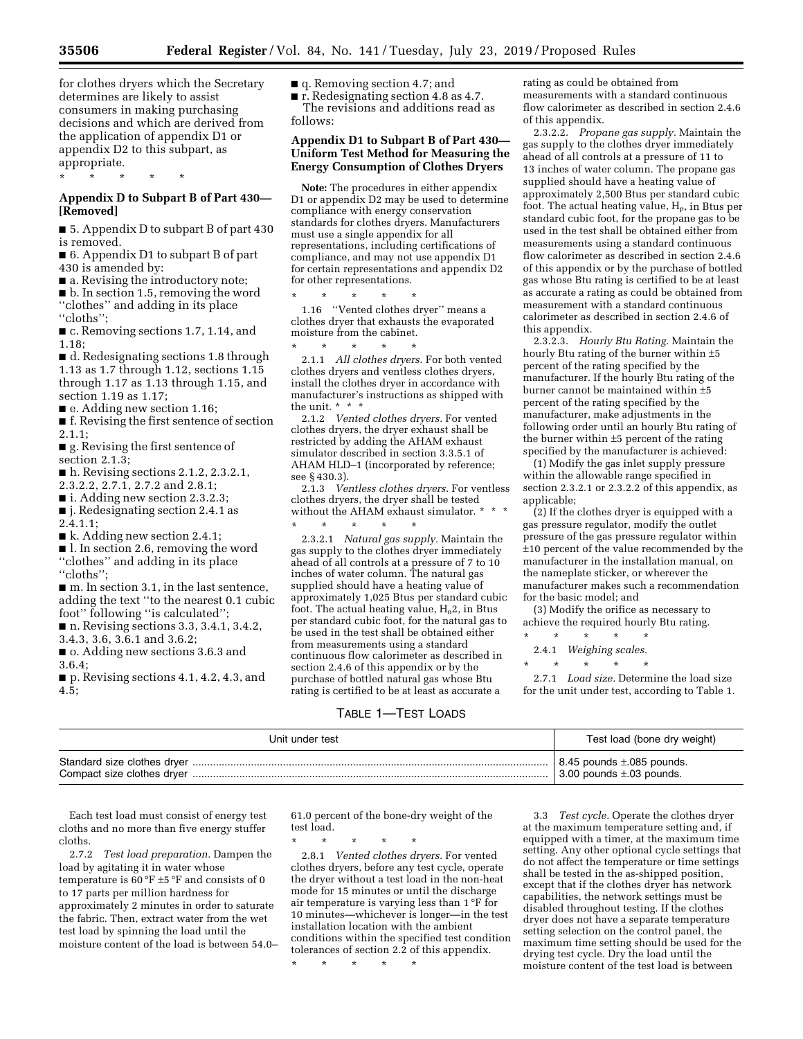for clothes dryers which the Secretary determines are likely to assist consumers in making purchasing decisions and which are derived from the application of appendix D1 or appendix D2 to this subpart, as appropriate.

\* \* \* \* \*

# **Appendix D to Subpart B of Part 430— [Removed]**

■ 5. Appendix D to subpart B of part 430 is removed.

■ 6. Appendix D1 to subpart B of part 430 is amended by:

■ a. Revising the introductory note;

■ b. In section 1.5, removing the word ''clothes'' and adding in its place ''cloths'';

■ c. Removing sections 1.7, 1.14, and 1.18;

■ d. Redesignating sections 1.8 through 1.13 as 1.7 through 1.12, sections 1.15 through 1.17 as 1.13 through 1.15, and section 1.19 as 1.17;

■ e. Adding new section 1.16;

■ f. Revising the first sentence of section 2.1.1;

■ g. Revising the first sentence of section 2.1.3;

- h. Revising sections 2.1.2, 2.3.2.1, 2.3.2.2, 2.7.1, 2.7.2 and 2.8.1;
- i. Adding new section 2.3.2.3;
- j. Redesignating section 2.4.1 as
- 2.4.1.1;

■ k. Adding new section 2.4.1;

■ l. In section 2.6, removing the word ''clothes'' and adding in its place

''cloths''; ■ m. In section 3.1, in the last sentence, adding the text ''to the nearest 0.1 cubic foot'' following ''is calculated'';

■ n. Revising sections 3.3, 3.4.1, 3.4.2,

3.4.3, 3.6, 3.6.1 and 3.6.2;

■ **o.** Adding new sections 3.6.3 and

3.6.4;

■ p. Revising sections 4.1, 4.2, 4.3, and 4.5;

■ q. Removing section 4.7; and

■ **r.** Redesignating section 4.8 as 4.7. The revisions and additions read as follows:

# **Appendix D1 to Subpart B of Part 430— Uniform Test Method for Measuring the Energy Consumption of Clothes Dryers**

**Note:** The procedures in either appendix D1 or appendix D2 may be used to determine compliance with energy conservation standards for clothes dryers. Manufacturers must use a single appendix for all representations, including certifications of compliance, and may not use appendix D1 for certain representations and appendix D2 for other representations.

\* \* \* \* \* 1.16 ''Vented clothes dryer'' means a clothes dryer that exhausts the evaporated moisture from the cabinet.

\* \* \* \* \* 2.1.1 *All clothes dryers.* For both vented clothes dryers and ventless clothes dryers, install the clothes dryer in accordance with manufacturer's instructions as shipped with the unit. \* \* \*

2.1.2 *Vented clothes dryers.* For vented clothes dryers, the dryer exhaust shall be restricted by adding the AHAM exhaust simulator described in section 3.3.5.1 of AHAM HLD–1 (incorporated by reference; see § 430.3).

2.1.3 *Ventless clothes dryers.* For ventless clothes dryers, the dryer shall be tested without the AHAM exhaust simulator. \* \* \*

\* \* \* \* \* 2.3.2.1 *Natural gas supply.* Maintain the gas supply to the clothes dryer immediately ahead of all controls at a pressure of 7 to 10 inches of water column. The natural gas supplied should have a heating value of approximately 1,025 Btus per standard cubic foot. The actual heating value,  $H_n2$ , in Btus per standard cubic foot, for the natural gas to be used in the test shall be obtained either from measurements using a standard continuous flow calorimeter as described in section 2.4.6 of this appendix or by the purchase of bottled natural gas whose Btu rating is certified to be at least as accurate a

rating as could be obtained from measurements with a standard continuous flow calorimeter as described in section 2.4.6 of this appendix.

2.3.2.2. *Propane gas supply.* Maintain the gas supply to the clothes dryer immediately ahead of all controls at a pressure of 11 to 13 inches of water column. The propane gas supplied should have a heating value of approximately 2,500 Btus per standard cubic foot. The actual heating value,  $H_p$ , in Btus per standard cubic foot, for the propane gas to be used in the test shall be obtained either from measurements using a standard continuous flow calorimeter as described in section 2.4.6 of this appendix or by the purchase of bottled gas whose Btu rating is certified to be at least as accurate a rating as could be obtained from measurement with a standard continuous calorimeter as described in section 2.4.6 of this appendix.

2.3.2.3. *Hourly Btu Rating.* Maintain the hourly Btu rating of the burner within ±5 percent of the rating specified by the manufacturer. If the hourly Btu rating of the burner cannot be maintained within ±5 percent of the rating specified by the manufacturer, make adjustments in the following order until an hourly Btu rating of the burner within ±5 percent of the rating specified by the manufacturer is achieved:

(1) Modify the gas inlet supply pressure within the allowable range specified in section 2.3.2.1 or 2.3.2.2 of this appendix, as applicable;

(2) If the clothes dryer is equipped with a gas pressure regulator, modify the outlet pressure of the gas pressure regulator within ±10 percent of the value recommended by the manufacturer in the installation manual, on the nameplate sticker, or wherever the manufacturer makes such a recommendation for the basic model; and

(3) Modify the orifice as necessary to achieve the required hourly Btu rating.

\* \* \* \* \* 2.4.1 *Weighing scales.* 

\* \* \* \* \*

2.7.1 *Load size.* Determine the load size for the unit under test, according to Table 1.

### TABLE 1—TEST LOADS

| Unit under test             | Test load (bone dry weight)            |
|-----------------------------|----------------------------------------|
| Standard size clothes dryer | $\vert$ 8.45 pounds $\pm$ .085 pounds. |
|                             | $\vert$ 3.00 pounds $\pm$ .03 pounds.  |

Each test load must consist of energy test cloths and no more than five energy stuffer cloths.

2.7.2 *Test load preparation.* Dampen the load by agitating it in water whose temperature is  $60 °F \pm 5 °F$  and consists of 0 to 17 parts per million hardness for approximately 2 minutes in order to saturate the fabric. Then, extract water from the wet test load by spinning the load until the moisture content of the load is between 54.0–

61.0 percent of the bone-dry weight of the test load.

\* \* \* \* \* 2.8.1 *Vented clothes dryers.* For vented clothes dryers, before any test cycle, operate the dryer without a test load in the non-heat mode for 15 minutes or until the discharge air temperature is varying less than 1 °F for 10 minutes—whichever is longer—in the test installation location with the ambient conditions within the specified test condition tolerances of section  $2.\overline{2}$  of this appendix.

\* \* \* \* \*

3.3 *Test cycle.* Operate the clothes dryer at the maximum temperature setting and, if equipped with a timer, at the maximum time setting. Any other optional cycle settings that do not affect the temperature or time settings shall be tested in the as-shipped position, except that if the clothes dryer has network capabilities, the network settings must be disabled throughout testing. If the clothes dryer does not have a separate temperature setting selection on the control panel, the maximum time setting should be used for the drying test cycle. Dry the load until the moisture content of the test load is between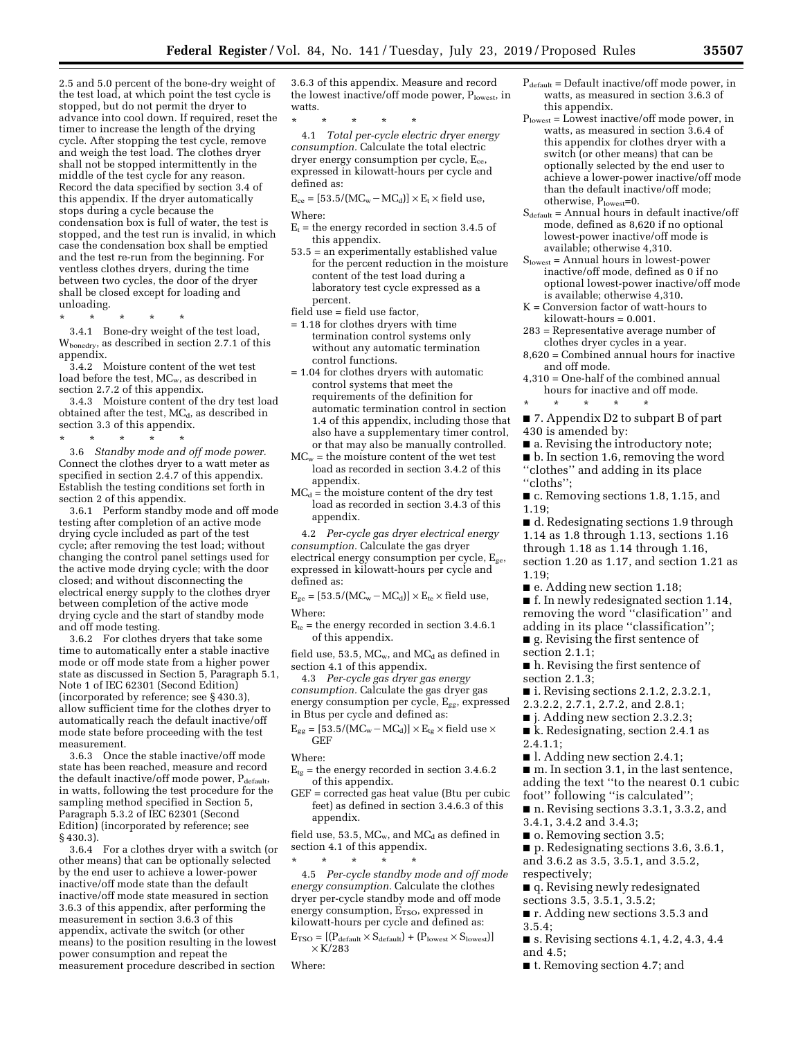2.5 and 5.0 percent of the bone-dry weight of the test load, at which point the test cycle is stopped, but do not permit the dryer to advance into cool down. If required, reset the timer to increase the length of the drying cycle. After stopping the test cycle, remove and weigh the test load. The clothes dryer shall not be stopped intermittently in the middle of the test cycle for any reason. Record the data specified by section 3.4 of this appendix. If the dryer automatically stops during a cycle because the condensation box is full of water, the test is stopped, and the test run is invalid, in which case the condensation box shall be emptied and the test re-run from the beginning. For ventless clothes dryers, during the time between two cycles, the door of the dryer shall be closed except for loading and unloading.

\* \* \* \* \*

3.4.1 Bone-dry weight of the test load, Wbonedry, as described in section 2.7.1 of this appendix.

3.4.2 Moisture content of the wet test load before the test, MCw, as described in section 2.7.2 of this appendix.

3.4.3 Moisture content of the dry test load obtained after the test,  $MC_d$ , as described in section 3.3 of this appendix.

\* \* \* \* \* 3.6 *Standby mode and off mode power.*  Connect the clothes dryer to a watt meter as specified in section 2.4.7 of this appendix. Establish the testing conditions set forth in section 2 of this appendix.

3.6.1 Perform standby mode and off mode testing after completion of an active mode drying cycle included as part of the test cycle; after removing the test load; without changing the control panel settings used for the active mode drying cycle; with the door closed; and without disconnecting the electrical energy supply to the clothes dryer between completion of the active mode drying cycle and the start of standby mode and off mode testing.

3.6.2 For clothes dryers that take some time to automatically enter a stable inactive mode or off mode state from a higher power state as discussed in Section 5, Paragraph 5.1, Note 1 of IEC 62301 (Second Edition) (incorporated by reference; see § 430.3), allow sufficient time for the clothes dryer to automatically reach the default inactive/off mode state before proceeding with the test measurement.

3.6.3 Once the stable inactive/off mode state has been reached, measure and record the default inactive/off mode power, Pdefault, in watts, following the test procedure for the sampling method specified in Section 5, Paragraph 5.3.2 of IEC 62301 (Second Edition) (incorporated by reference; see § 430.3).

3.6.4 For a clothes dryer with a switch (or other means) that can be optionally selected by the end user to achieve a lower-power inactive/off mode state than the default inactive/off mode state measured in section 3.6.3 of this appendix, after performing the measurement in section 3.6.3 of this appendix, activate the switch (or other means) to the position resulting in the lowest power consumption and repeat the measurement procedure described in section

3.6.3 of this appendix. Measure and record the lowest inactive/off mode power,  $P_{lowest}$ , in watts.

\* \* \* \* \* 4.1 *Total per-cycle electric dryer energy consumption.* Calculate the total electric dryer energy consumption per cycle, E<sub>ce</sub>, expressed in kilowatt-hours per cycle and defined as:

 $E_{ce} = [53.5/(MC_w - MC_d)] \times E_t \times field$  use, Where:

- $E_t$  = the energy recorded in section 3.4.5 of this appendix.
- 53.5 = an experimentally established value for the percent reduction in the moisture content of the test load during a laboratory test cycle expressed as a percent.
- field use = field use factor,
- = 1.18 for clothes dryers with time termination control systems only without any automatic termination control functions.
- = 1.04 for clothes dryers with automatic control systems that meet the requirements of the definition for automatic termination control in section 1.4 of this appendix, including those that also have a supplementary timer control, or that may also be manually controlled.
- $MC_w =$  the moisture content of the wet test load as recorded in section 3.4.2 of this appendix.
- $MC<sub>d</sub>$  = the moisture content of the dry test load as recorded in section 3.4.3 of this appendix.

4.2 *Per-cycle gas dryer electrical energy consumption.* Calculate the gas dryer electrical energy consumption per cycle,  $E_{ge}$ , expressed in kilowatt-hours per cycle and defined as:

 $E_{ge} = [53.5/(MC_w - MC_d)] \times E_{te} \times field$  use,

- Where:
- $E_{te}$  = the energy recorded in section 3.4.6.1 of this appendix.

field use, 53.5,  $MC_w$ , and  $MC_d$  as defined in section 4.1 of this appendix.

4.3 *Per-cycle gas dryer gas energy consumption.* Calculate the gas dryer gas energy consumption per cycle, Egg, expressed in Btus per cycle and defined as:

 $E_{gg} = [53.5/(MC_w - MC_d)] \times E_{tg} \times field$ use $\times$ GEF

- Where:
- $E_{tg}$  = the energy recorded in section 3.4.6.2 of this appendix.
- GEF = corrected gas heat value (Btu per cubic feet) as defined in section 3.4.6.3 of this appendix.

field use, 53.5,  $MC_w$ , and  $MC_d$  as defined in section 4.1 of this appendix.

\* \* \* \* \* 4.5 *Per-cycle standby mode and off mode energy consumption.* Calculate the clothes dryer per-cycle standby mode and off mode energy consumption, E<sub>TSO</sub>, expressed in kilowatt-hours per cycle and defined as:

 $\text{E}_\text{TSO} = \left[\left(\text{P}_\text{default} \times \text{S}_\text{default}\right) + \left(\text{P}_\text{lowest} \times \text{S}_\text{lowest}\right)\right]$  $\times$ K/283

Where:

- $P_{default} = Default inactive/off mode power, in$ watts, as measured in section 3.6.3 of this appendix.
- Plowest = Lowest inactive/off mode power, in watts, as measured in section 3.6.4 of this appendix for clothes dryer with a switch (or other means) that can be optionally selected by the end user to achieve a lower-power inactive/off mode than the default inactive/off mode; otherwise, Plowest=0.
- $S_{default} = Annual hours in default inactive/off$ mode, defined as 8,620 if no optional lowest-power inactive/off mode is available; otherwise 4,310.
- $\mathbf{S}_{\text{lowest}} = \text{Annual hours in lowest-power}$ inactive/off mode, defined as 0 if no optional lowest-power inactive/off mode is available; otherwise 4,310.
- K = Conversion factor of watt-hours to kilowatt-hours = 0.001.
- 283 = Representative average number of clothes dryer cycles in a year.
- 8,620 = Combined annual hours for inactive and off mode.
- 4,310 = One-half of the combined annual hours for inactive and off mode.
- \* \* \* \* \* ■ 7. Appendix D2 to subpart B of part 430 is amended by:
- 
- a. Revising the introductory note; ■ b. In section 1.6, removing the word ''clothes'' and adding in its place ''cloths'';
- c. Removing sections 1.8, 1.15, and 1.19;
- d. Redesignating sections 1.9 through 1.14 as 1.8 through 1.13, sections 1.16 through 1.18 as 1.14 through 1.16, section 1.20 as 1.17, and section 1.21 as 1.19;
- e. Adding new section 1.18;
- f. In newly redesignated section 1.14, removing the word ''clasification'' and
- adding in its place ''classification''; ■ g. Revising the first sentence of section 2.1.1;
- h. Revising the first sentence of section 2.1.3;
- i. Revising sections 2.1.2, 2.3.2.1,
- 2.3.2.2, 2.7.1, 2.7.2, and 2.8.1;
- *j.* Adding new section 2.3.2.3;
- k. Redesignating, section 2.4.1 as
- 2.4.1.1;
- l. Adding new section 2.4.1;

■ m. In section 3.1, in the last sentence, adding the text ''to the nearest 0.1 cubic foot'' following ''is calculated'';

- n. Revising sections 3.3.1, 3.3.2, and 3.4.1, 3.4.2 and 3.4.3;
- o. Removing section 3.5;
- p. Redesignating sections 3.6, 3.6.1,
- and 3.6.2 as 3.5, 3.5.1, and 3.5.2,
- respectively;
- q. Revising newly redesignated
- sections 3.5, 3.5.1, 3.5.2;
- **r.** Adding new sections 3.5.3 and 3.5.4;
- s. Revising sections 4.1, 4.2, 4.3, 4.4 and 4.5;
- t. Removing section 4.7; and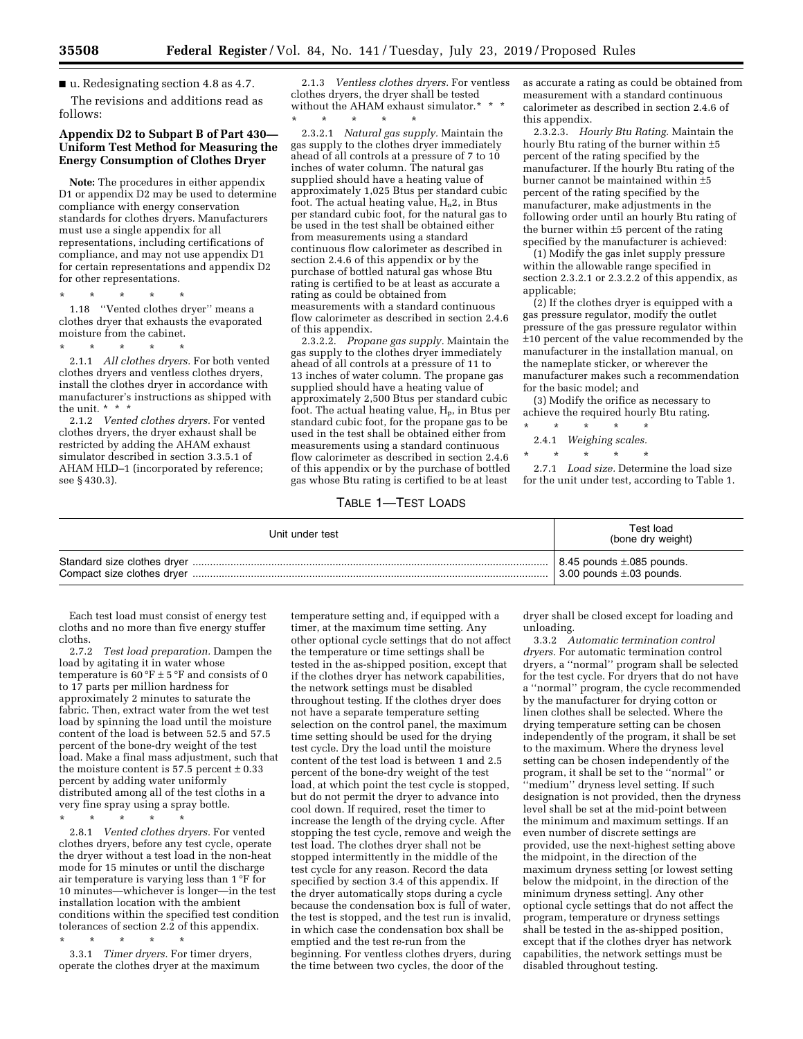■ u. Redesignating section 4.8 as 4.7.

The revisions and additions read as follows:

### **Appendix D2 to Subpart B of Part 430— Uniform Test Method for Measuring the Energy Consumption of Clothes Dryer**

**Note:** The procedures in either appendix D1 or appendix D2 may be used to determine compliance with energy conservation standards for clothes dryers. Manufacturers must use a single appendix for all representations, including certifications of compliance, and may not use appendix D1 for certain representations and appendix D2 for other representations.

\* \* \* \* \*

1.18 ''Vented clothes dryer'' means a clothes dryer that exhausts the evaporated moisture from the cabinet.

\* \* \* \* \* 2.1.1 *All clothes dryers.* For both vented clothes dryers and ventless clothes dryers, install the clothes dryer in accordance with manufacturer's instructions as shipped with the unit. \* \* \*

2.1.2 *Vented clothes dryers.* For vented clothes dryers, the dryer exhaust shall be restricted by adding the AHAM exhaust simulator described in section 3.3.5.1 of AHAM HLD–1 (incorporated by reference; see § 430.3).

2.1.3 *Ventless clothes dryers.* For ventless clothes dryers, the dryer shall be tested without the AHAM exhaust simulator.\*<br>\* \* \* \* \* \* \* \* \* \* \* \*

2.3.2.1 *Natural gas supply.* Maintain the gas supply to the clothes dryer immediately ahead of all controls at a pressure of 7 to 10 inches of water column. The natural gas supplied should have a heating value of approximately 1,025 Btus per standard cubic foot. The actual heating value,  $H_n2$ , in Btus per standard cubic foot, for the natural gas to be used in the test shall be obtained either from measurements using a standard continuous flow calorimeter as described in section 2.4.6 of this appendix or by the purchase of bottled natural gas whose Btu rating is certified to be at least as accurate a rating as could be obtained from measurements with a standard continuous flow calorimeter as described in section 2.4.6 of this appendix.

2.3.2.2. *Propane gas supply.* Maintain the gas supply to the clothes dryer immediately ahead of all controls at a pressure of 11 to 13 inches of water column. The propane gas supplied should have a heating value of approximately 2,500 Btus per standard cubic foot. The actual heating value,  $H_p$ , in Btus per standard cubic foot, for the propane gas to be used in the test shall be obtained either from measurements using a standard continuous flow calorimeter as described in section 2.4.6 of this appendix or by the purchase of bottled gas whose Btu rating is certified to be at least

### TABLE 1—TEST LOADS

as accurate a rating as could be obtained from measurement with a standard continuous calorimeter as described in section 2.4.6 of this appendix.

2.3.2.3. *Hourly Btu Rating.* Maintain the hourly Btu rating of the burner within ±5 percent of the rating specified by the manufacturer. If the hourly Btu rating of the burner cannot be maintained within ±5 percent of the rating specified by the manufacturer, make adjustments in the following order until an hourly Btu rating of the burner within ±5 percent of the rating specified by the manufacturer is achieved:

(1) Modify the gas inlet supply pressure within the allowable range specified in section 2.3.2.1 or 2.3.2.2 of this appendix, as applicable;

(2) If the clothes dryer is equipped with a gas pressure regulator, modify the outlet pressure of the gas pressure regulator within ±10 percent of the value recommended by the manufacturer in the installation manual, on the nameplate sticker, or wherever the manufacturer makes such a recommendation for the basic model; and

(3) Modify the orifice as necessary to achieve the required hourly Btu rating.

- \* \* \* \* \*
	- 2.4.1 *Weighing scales.*  \* \* \* \* \*

2.7.1 *Load size.* Determine the load size for the unit under test, according to Table 1.

| Unit under test | Test load<br>(bone dry weight)         |
|-----------------|----------------------------------------|
|                 | $\vert$ 8.45 pounds $\pm$ .085 pounds. |
|                 | $\vert$ 3.00 pounds $\pm$ .03 pounds.  |

Each test load must consist of energy test cloths and no more than five energy stuffer cloths.

2.7.2 *Test load preparation.* Dampen the load by agitating it in water whose temperature is  $60 °F \pm 5 °F$  and consists of 0 to 17 parts per million hardness for approximately 2 minutes to saturate the fabric. Then, extract water from the wet test load by spinning the load until the moisture content of the load is between 52.5 and 57.5 percent of the bone-dry weight of the test load. Make a final mass adjustment, such that the moisture content is 57.5 percent  $\pm$  0.33 percent by adding water uniformly distributed among all of the test cloths in a very fine spray using a spray bottle.

\* \* \* \* \*

2.8.1 *Vented clothes dryers.* For vented clothes dryers, before any test cycle, operate the dryer without a test load in the non-heat mode for 15 minutes or until the discharge air temperature is varying less than 1 °F for 10 minutes—whichever is longer—in the test installation location with the ambient conditions within the specified test condition tolerances of section 2.2 of this appendix.

\* \* \* \* \* 3.3.1 *Timer dryers.* For timer dryers, operate the clothes dryer at the maximum

temperature setting and, if equipped with a timer, at the maximum time setting. Any other optional cycle settings that do not affect the temperature or time settings shall be tested in the as-shipped position, except that if the clothes dryer has network capabilities, the network settings must be disabled throughout testing. If the clothes dryer does not have a separate temperature setting selection on the control panel, the maximum time setting should be used for the drying test cycle. Dry the load until the moisture content of the test load is between 1 and 2.5 percent of the bone-dry weight of the test load, at which point the test cycle is stopped, but do not permit the dryer to advance into cool down. If required, reset the timer to increase the length of the drying cycle. After stopping the test cycle, remove and weigh the test load. The clothes dryer shall not be stopped intermittently in the middle of the test cycle for any reason. Record the data specified by section 3.4 of this appendix. If the dryer automatically stops during a cycle because the condensation box is full of water, the test is stopped, and the test run is invalid, in which case the condensation box shall be emptied and the test re-run from the beginning. For ventless clothes dryers, during the time between two cycles, the door of the

dryer shall be closed except for loading and unloading.

3.3.2 *Automatic termination control dryers.* For automatic termination control dryers, a ''normal'' program shall be selected for the test cycle. For dryers that do not have a ''normal'' program, the cycle recommended by the manufacturer for drying cotton or linen clothes shall be selected. Where the drying temperature setting can be chosen independently of the program, it shall be set to the maximum. Where the dryness level setting can be chosen independently of the program, it shall be set to the ''normal'' or ''medium'' dryness level setting. If such designation is not provided, then the dryness level shall be set at the mid-point between the minimum and maximum settings. If an even number of discrete settings are provided, use the next-highest setting above the midpoint, in the direction of the maximum dryness setting [or lowest setting below the midpoint, in the direction of the minimum dryness setting]. Any other optional cycle settings that do not affect the program, temperature or dryness settings shall be tested in the as-shipped position, except that if the clothes dryer has network capabilities, the network settings must be disabled throughout testing.